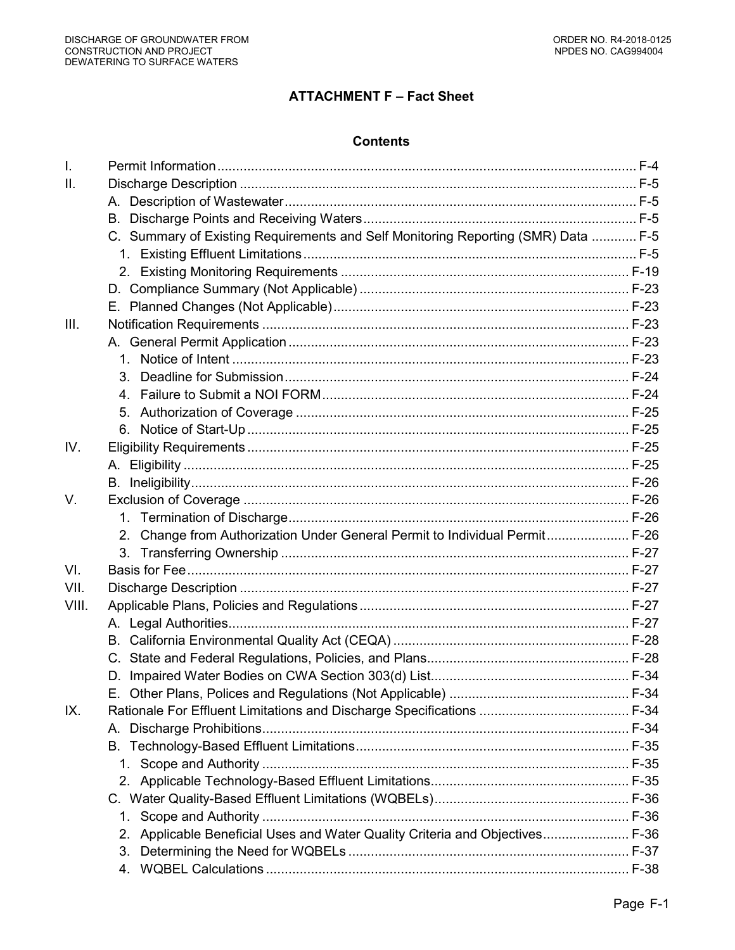# **ATTACHMENT F - Fact Sheet**

### **Contents**

| $\mathbf{L}$    |                                                                                   |  |
|-----------------|-----------------------------------------------------------------------------------|--|
| $\mathbf{II}$ . |                                                                                   |  |
|                 |                                                                                   |  |
|                 |                                                                                   |  |
|                 | C. Summary of Existing Requirements and Self Monitoring Reporting (SMR) Data  F-5 |  |
|                 |                                                                                   |  |
|                 |                                                                                   |  |
|                 |                                                                                   |  |
|                 |                                                                                   |  |
| III.            |                                                                                   |  |
|                 |                                                                                   |  |
|                 |                                                                                   |  |
|                 |                                                                                   |  |
|                 |                                                                                   |  |
|                 | 5.                                                                                |  |
|                 | 6.                                                                                |  |
| IV.             |                                                                                   |  |
|                 |                                                                                   |  |
|                 |                                                                                   |  |
| V.              |                                                                                   |  |
|                 |                                                                                   |  |
|                 | 2. Change from Authorization Under General Permit to Individual Permit F-26       |  |
|                 | 3.                                                                                |  |
| VI.             |                                                                                   |  |
| VII.            |                                                                                   |  |
| VIII.           |                                                                                   |  |
|                 |                                                                                   |  |
|                 |                                                                                   |  |
|                 |                                                                                   |  |
|                 |                                                                                   |  |
|                 |                                                                                   |  |
| IX.             |                                                                                   |  |
|                 |                                                                                   |  |
|                 |                                                                                   |  |
|                 |                                                                                   |  |
|                 |                                                                                   |  |
|                 |                                                                                   |  |
|                 |                                                                                   |  |
|                 | 1.                                                                                |  |
|                 | Applicable Beneficial Uses and Water Quality Criteria and Objectives F-36<br>2.   |  |
|                 | 3.                                                                                |  |
|                 | 4.                                                                                |  |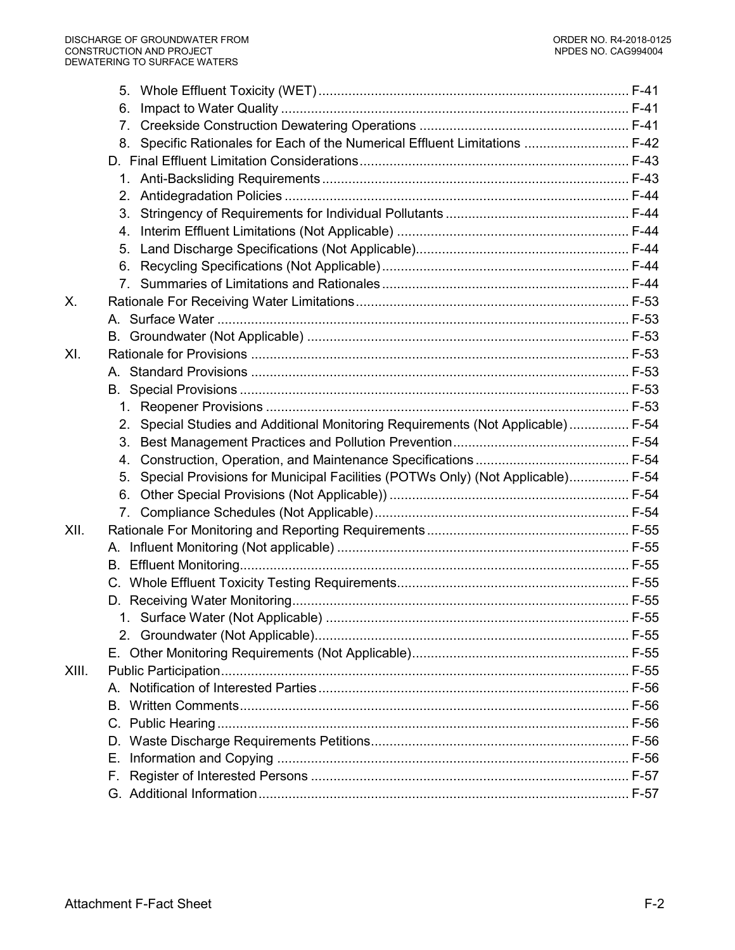|       | 6.                                                                                   |  |
|-------|--------------------------------------------------------------------------------------|--|
|       | $7_{\scriptscriptstyle{\sim}}$                                                       |  |
|       | 8. Specific Rationales for Each of the Numerical Effluent Limitations  F-42          |  |
|       |                                                                                      |  |
|       |                                                                                      |  |
|       | 2.                                                                                   |  |
|       | 3.                                                                                   |  |
|       | 4.                                                                                   |  |
|       | 5.                                                                                   |  |
|       | 6.                                                                                   |  |
|       | 7.                                                                                   |  |
| Χ.    |                                                                                      |  |
|       |                                                                                      |  |
|       |                                                                                      |  |
| XI.   |                                                                                      |  |
|       |                                                                                      |  |
|       |                                                                                      |  |
|       |                                                                                      |  |
|       | Special Studies and Additional Monitoring Requirements (Not Applicable) F-54<br>2.   |  |
|       | 3.                                                                                   |  |
|       | 4.                                                                                   |  |
|       | Special Provisions for Municipal Facilities (POTWs Only) (Not Applicable) F-54<br>5. |  |
|       | 6.                                                                                   |  |
|       |                                                                                      |  |
| XII.  |                                                                                      |  |
|       |                                                                                      |  |
|       | В.                                                                                   |  |
|       |                                                                                      |  |
|       |                                                                                      |  |
|       |                                                                                      |  |
|       |                                                                                      |  |
| XIII. |                                                                                      |  |
|       |                                                                                      |  |
|       |                                                                                      |  |
|       |                                                                                      |  |
|       |                                                                                      |  |
|       | Е.                                                                                   |  |
|       |                                                                                      |  |
|       |                                                                                      |  |
|       |                                                                                      |  |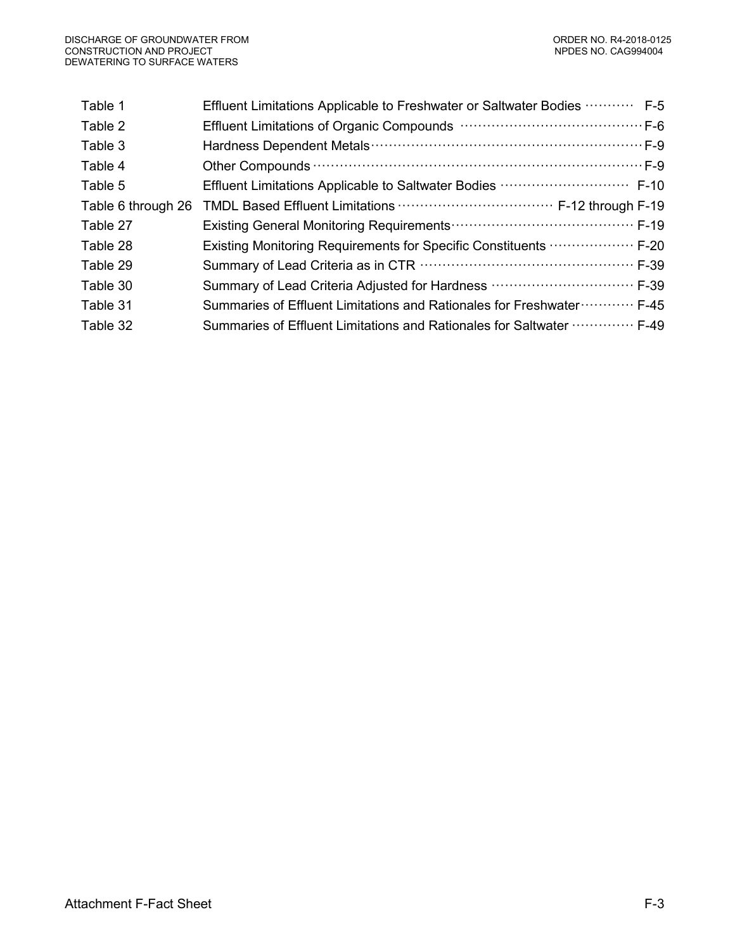| Effluent Limitations Applicable to Freshwater or Saltwater Bodies  F-5                         |
|------------------------------------------------------------------------------------------------|
|                                                                                                |
|                                                                                                |
|                                                                                                |
| Effluent Limitations Applicable to Saltwater Bodies  F-10                                      |
|                                                                                                |
|                                                                                                |
| Existing Monitoring Requirements for Specific Constituents <b>William Contact F-20</b>         |
|                                                                                                |
| Summary of Lead Criteria Adjusted for Hardness  F-39                                           |
| Summaries of Effluent Limitations and Rationales for Freshwater · · · · · · · · · · · · · F-45 |
| Summaries of Effluent Limitations and Rationales for Saltwater  F-49                           |
|                                                                                                |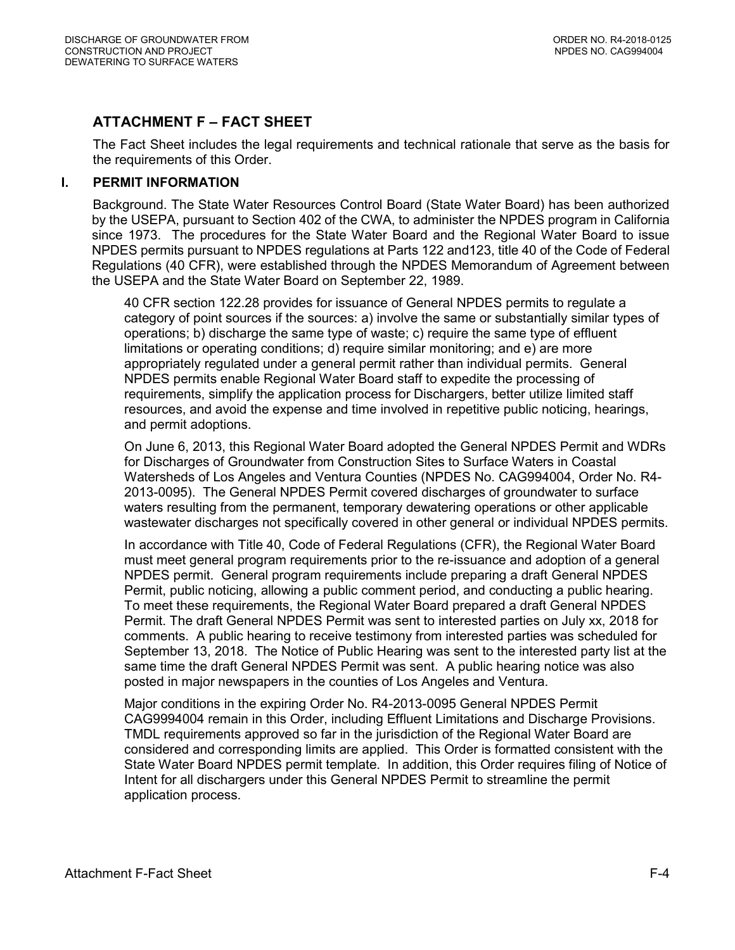# **ATTACHMENT F – FACT SHEET**

The Fact Sheet includes the legal requirements and technical rationale that serve as the basis for the requirements of this Order.

### <span id="page-3-0"></span>**I. PERMIT INFORMATION**

Background. The State Water Resources Control Board (State Water Board) has been authorized by the USEPA, pursuant to Section 402 of the CWA, to administer the NPDES program in California since 1973. The procedures for the State Water Board and the Regional Water Board to issue NPDES permits pursuant to NPDES regulations at Parts 122 and123, title 40 of the Code of Federal Regulations (40 CFR), were established through the NPDES Memorandum of Agreement between the USEPA and the State Water Board on September 22, 1989.

40 CFR section 122.28 provides for issuance of General NPDES permits to regulate a category of point sources if the sources: a) involve the same or substantially similar types of operations; b) discharge the same type of waste; c) require the same type of effluent limitations or operating conditions; d) require similar monitoring; and e) are more appropriately regulated under a general permit rather than individual permits. General NPDES permits enable Regional Water Board staff to expedite the processing of requirements, simplify the application process for Dischargers, better utilize limited staff resources, and avoid the expense and time involved in repetitive public noticing, hearings, and permit adoptions.

On June 6, 2013, this Regional Water Board adopted the General NPDES Permit and WDRs for Discharges of Groundwater from Construction Sites to Surface Waters in Coastal Watersheds of Los Angeles and Ventura Counties (NPDES No. CAG994004, Order No. R4- 2013-0095). The General NPDES Permit covered discharges of groundwater to surface waters resulting from the permanent, temporary dewatering operations or other applicable wastewater discharges not specifically covered in other general or individual NPDES permits.

In accordance with Title 40, Code of Federal Regulations (CFR), the Regional Water Board must meet general program requirements prior to the re-issuance and adoption of a general NPDES permit. General program requirements include preparing a draft General NPDES Permit, public noticing, allowing a public comment period, and conducting a public hearing. To meet these requirements, the Regional Water Board prepared a draft General NPDES Permit. The draft General NPDES Permit was sent to interested parties on July xx, 2018 for comments. A public hearing to receive testimony from interested parties was scheduled for September 13, 2018. The Notice of Public Hearing was sent to the interested party list at the same time the draft General NPDES Permit was sent. A public hearing notice was also posted in major newspapers in the counties of Los Angeles and Ventura.

Major conditions in the expiring Order No. R4-2013-0095 General NPDES Permit CAG9994004 remain in this Order, including Effluent Limitations and Discharge Provisions. TMDL requirements approved so far in the jurisdiction of the Regional Water Board are considered and corresponding limits are applied. This Order is formatted consistent with the State Water Board NPDES permit template. In addition, this Order requires filing of Notice of Intent for all dischargers under this General NPDES Permit to streamline the permit application process.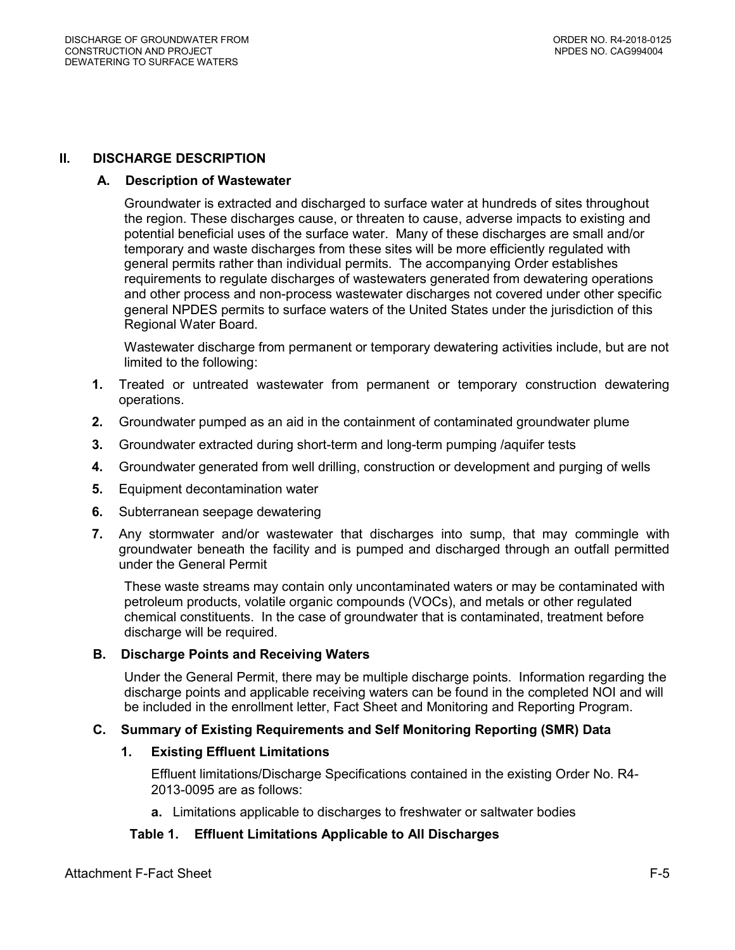### <span id="page-4-5"></span><span id="page-4-1"></span><span id="page-4-0"></span>**II. DISCHARGE DESCRIPTION**

#### **A. Description of Wastewater**

Groundwater is extracted and discharged to surface water at hundreds of sites throughout the region. These discharges cause, or threaten to cause, adverse impacts to existing and potential beneficial uses of the surface water. Many of these discharges are small and/or temporary and waste discharges from these sites will be more efficiently regulated with general permits rather than individual permits. The accompanying Order establishes requirements to regulate discharges of wastewaters generated from dewatering operations and other process and non-process wastewater discharges not covered under other specific general NPDES permits to surface waters of the United States under the jurisdiction of this Regional Water Board.

Wastewater discharge from permanent or temporary dewatering activities include, but are not limited to the following:

- **1.** Treated or untreated wastewater from permanent or temporary construction dewatering operations.
- **2.** Groundwater pumped as an aid in the containment of contaminated groundwater plume
- **3.** Groundwater extracted during short-term and long-term pumping /aquifer tests
- **4.** Groundwater generated from well drilling, construction or development and purging of wells
- **5.** Equipment decontamination water
- **6.** Subterranean seepage dewatering
- **7.** Any stormwater and/or wastewater that discharges into sump, that may commingle with groundwater beneath the facility and is pumped and discharged through an outfall permitted under the General Permit

These waste streams may contain only uncontaminated waters or may be contaminated with petroleum products, volatile organic compounds (VOCs), and metals or other regulated chemical constituents. In the case of groundwater that is contaminated, treatment before discharge will be required.

#### <span id="page-4-2"></span>**B. Discharge Points and Receiving Waters**

Under the General Permit, there may be multiple discharge points. Information regarding the discharge points and applicable receiving waters can be found in the completed NOI and will be included in the enrollment letter, Fact Sheet and Monitoring and Reporting Program.

# <span id="page-4-4"></span><span id="page-4-3"></span>**C. Summary of Existing Requirements and Self Monitoring Reporting (SMR) Data**

#### **1. Existing Effluent Limitations**

Effluent limitations/Discharge Specifications contained in the existing Order No. R4- 2013-0095 are as follows:

**a.** Limitations applicable to discharges to freshwater or saltwater bodies

# **Table 1. Effluent Limitations Applicable to All Discharges**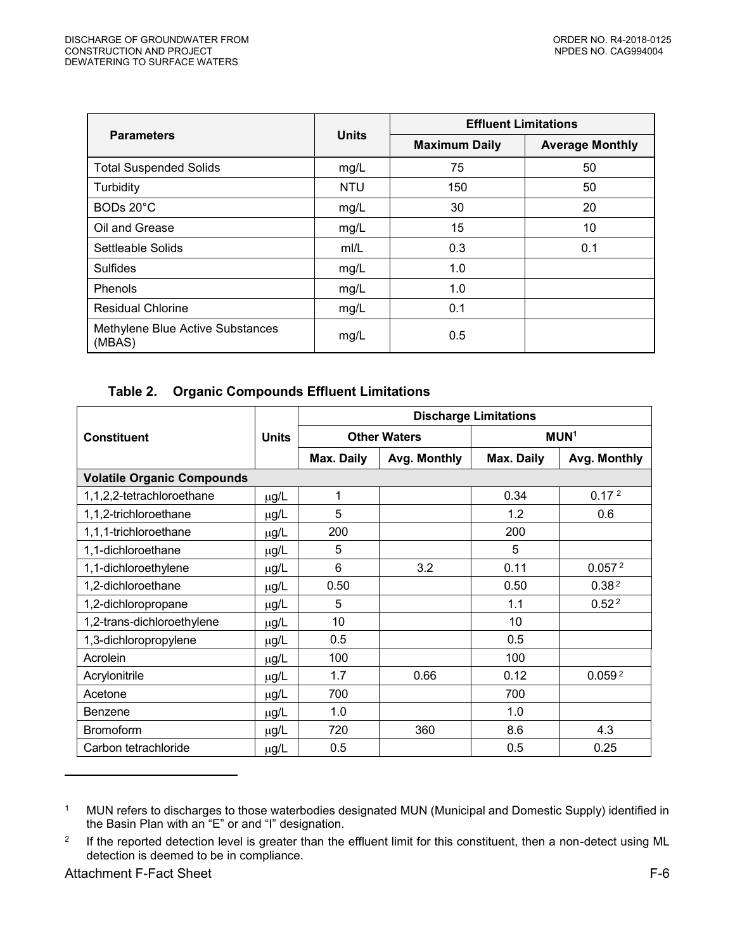<span id="page-5-0"></span>

|                                            |              | <b>Effluent Limitations</b> |                        |  |
|--------------------------------------------|--------------|-----------------------------|------------------------|--|
| <b>Parameters</b>                          | <b>Units</b> | <b>Maximum Daily</b>        | <b>Average Monthly</b> |  |
| <b>Total Suspended Solids</b>              | mg/L         | 75                          | 50                     |  |
| Turbidity                                  | <b>NTU</b>   | 150                         | 50                     |  |
| BODs 20°C                                  | mg/L         | 30                          | 20                     |  |
| Oil and Grease                             | mg/L         | 15                          | 10                     |  |
| Settleable Solids                          | mI/L         | 0.3                         | 0.1                    |  |
| Sulfides                                   | mg/L         | 1.0                         |                        |  |
| Phenols                                    | mg/L         | 1.0                         |                        |  |
| <b>Residual Chlorine</b>                   | mg/L         | 0.1                         |                        |  |
| Methylene Blue Active Substances<br>(MBAS) | mg/L         | 0.5                         |                        |  |

# **Table 2. Organic Compounds Effluent Limitations**

|                                   |              | <b>Discharge Limitations</b> |                     |                  |                    |  |
|-----------------------------------|--------------|------------------------------|---------------------|------------------|--------------------|--|
| <b>Constituent</b>                | <b>Units</b> |                              | <b>Other Waters</b> | MUN <sup>1</sup> |                    |  |
|                                   |              | Max. Daily                   | Avg. Monthly        | Max. Daily       | Avg. Monthly       |  |
| <b>Volatile Organic Compounds</b> |              |                              |                     |                  |                    |  |
| 1,1,2,2-tetrachloroethane         | $\mu$ g/L    | 1                            |                     | 0.34             | 0.17 <sup>2</sup>  |  |
| 1,1,2-trichloroethane             | µg/L         | 5                            |                     | 1.2              | 0.6                |  |
| 1,1,1-trichloroethane             | µg/L         | 200                          |                     | 200              |                    |  |
| 1,1-dichloroethane                | µg/L         | 5                            |                     | 5                |                    |  |
| 1,1-dichloroethylene              | µg/L         | $6\phantom{1}6$              | 3.2                 | 0.11             | 0.057 <sup>2</sup> |  |
| 1,2-dichloroethane                | µg/L         | 0.50                         |                     | 0.50             | 0.38 <sup>2</sup>  |  |
| 1,2-dichloropropane               | µg/L         | 5                            |                     | 1.1              | 0.52 <sup>2</sup>  |  |
| 1,2-trans-dichloroethylene        | µg/L         | 10                           |                     | 10               |                    |  |
| 1,3-dichloropropylene             | μg/L         | 0.5                          |                     | 0.5              |                    |  |
| Acrolein                          | µg/L         | 100                          |                     | 100              |                    |  |
| Acrylonitrile                     | µg/L         | 1.7                          | 0.66                | 0.12             | 0.059 <sup>2</sup> |  |
| Acetone                           | µg/L         | 700                          |                     | 700              |                    |  |
| <b>Benzene</b>                    | µg/L         | 1.0                          |                     | 1.0              |                    |  |
| <b>Bromoform</b>                  | μg/L         | 720                          | 360                 | 8.6              | 4.3                |  |
| Carbon tetrachloride              | μg/L         | 0.5                          |                     | 0.5              | 0.25               |  |

<sup>1</sup> MUN refers to discharges to those waterbodies designated MUN (Municipal and Domestic Supply) identified in the Basin Plan with an "E" or and "I" designation.

 $\overline{a}$ 

<sup>2</sup> If the reported detection level is greater than the effluent limit for this constituent, then a non-detect using ML detection is deemed to be in compliance.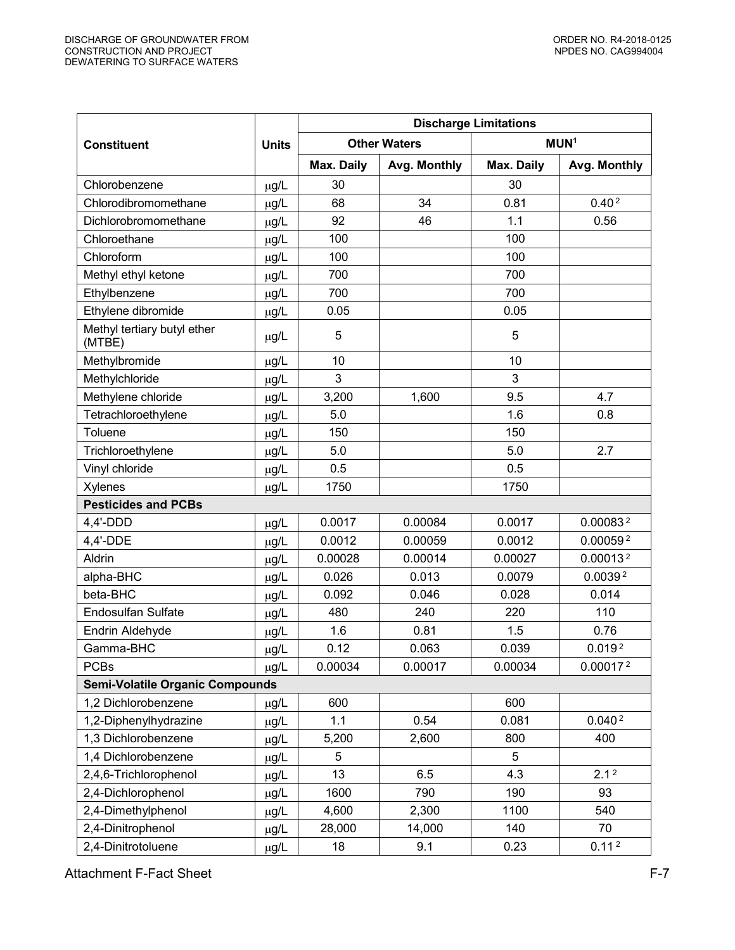|                                        |                       | <b>Discharge Limitations</b> |                     |                  |                      |  |
|----------------------------------------|-----------------------|------------------------------|---------------------|------------------|----------------------|--|
| <b>Constituent</b>                     | <b>Units</b>          |                              | <b>Other Waters</b> | MUN <sup>1</sup> |                      |  |
|                                        |                       | Max. Daily                   | Avg. Monthly        | Max. Daily       | Avg. Monthly         |  |
| Chlorobenzene                          | µg/L                  | 30                           |                     | 30               |                      |  |
| Chlorodibromomethane                   | $\mu$ g/L             | 68                           | 34                  | 0.81             | 0.40 <sup>2</sup>    |  |
| Dichlorobromomethane                   | µg/L                  | 92                           | 46                  | 1.1              | 0.56                 |  |
| Chloroethane                           | $\mu$ g/L             | 100                          |                     | 100              |                      |  |
| Chloroform                             | $\mu$ g/L             | 100                          |                     | 100              |                      |  |
| Methyl ethyl ketone                    | $\mu$ g/L             | 700                          |                     | 700              |                      |  |
| Ethylbenzene                           | $\mu$ g/L             | 700                          |                     | 700              |                      |  |
| Ethylene dibromide                     | $\mu$ g/L             | 0.05                         |                     | 0.05             |                      |  |
| Methyl tertiary butyl ether<br>(MTBE)  | $\mu$ g/L             | 5                            |                     | 5                |                      |  |
| Methylbromide                          | µg/L                  | 10                           |                     | 10               |                      |  |
| Methylchloride                         | µg/L                  | 3                            |                     | 3                |                      |  |
| Methylene chloride                     | µg/L                  | 3,200                        | 1,600               | 9.5              | 4.7                  |  |
| Tetrachloroethylene                    | µg/L                  | 5.0                          |                     | 1.6              | 0.8                  |  |
| Toluene                                | $\mu$ g/L             | 150                          |                     | 150              |                      |  |
| Trichloroethylene                      | µg/L                  | 5.0                          |                     | 5.0              | 2.7                  |  |
| Vinyl chloride                         | µg/L                  | 0.5                          |                     | 0.5              |                      |  |
| Xylenes                                | $\mu$ g/L             | 1750                         |                     | 1750             |                      |  |
| <b>Pesticides and PCBs</b>             |                       |                              |                     |                  |                      |  |
| 4,4'-DDD                               | µg/L                  | 0.0017                       | 0.00084             | 0.0017           | 0.000832             |  |
| 4,4'-DDE                               | µg/L                  | 0.0012                       | 0.00059             | 0.0012           | 0.000592             |  |
| Aldrin                                 | µg/L                  | 0.00028                      | 0.00014             | 0.00027          | 0.00013 <sup>2</sup> |  |
| alpha-BHC                              | µg/L                  | 0.026                        | 0.013               | 0.0079           | 0.0039 <sup>2</sup>  |  |
| beta-BHC                               | µg/L                  | 0.092                        | 0.046               | 0.028            | 0.014                |  |
| <b>Endosulfan Sulfate</b>              | $\mu$ g/L             | 480                          | 240                 | 220              | 110                  |  |
| Endrin Aldehyde                        | $\mu$ g/L             | 1.6                          | 0.81                | 1.5              | 0.76                 |  |
| Gamma-BHC                              | $\underline{\mu g/L}$ | 0.12                         | 0.063               | 0.039            | 0.019 <sup>2</sup>   |  |
| <b>PCBs</b>                            | $\mu$ g/L             | 0.00034                      | 0.00017             | 0.00034          | 0.000172             |  |
| <b>Semi-Volatile Organic Compounds</b> |                       |                              |                     |                  |                      |  |
| 1,2 Dichlorobenzene                    | μg/L                  | 600                          |                     | 600              |                      |  |
| 1,2-Diphenylhydrazine                  | µg/L                  | 1.1                          | 0.54                | 0.081            | 0.040 <sup>2</sup>   |  |
| 1,3 Dichlorobenzene                    | µg/L                  | 5,200                        | 2,600               | 800              | 400                  |  |
| 1,4 Dichlorobenzene                    | μg/L                  | 5                            |                     | 5                |                      |  |
| 2,4,6-Trichlorophenol                  | μg/L                  | 13                           | 6.5                 | 4.3              | 2.1 <sup>2</sup>     |  |
| 2,4-Dichlorophenol                     | µg/L                  | 1600                         | 790                 | 190              | 93                   |  |
| 2,4-Dimethylphenol                     | µg/L                  | 4,600                        | 2,300               | 1100             | 540                  |  |
| 2,4-Dinitrophenol                      | µg/L                  | 28,000                       | 14,000              | 140              | 70                   |  |
| 2,4-Dinitrotoluene                     | μg/L                  | 18                           | 9.1                 | 0.23             | 0.11 <sup>2</sup>    |  |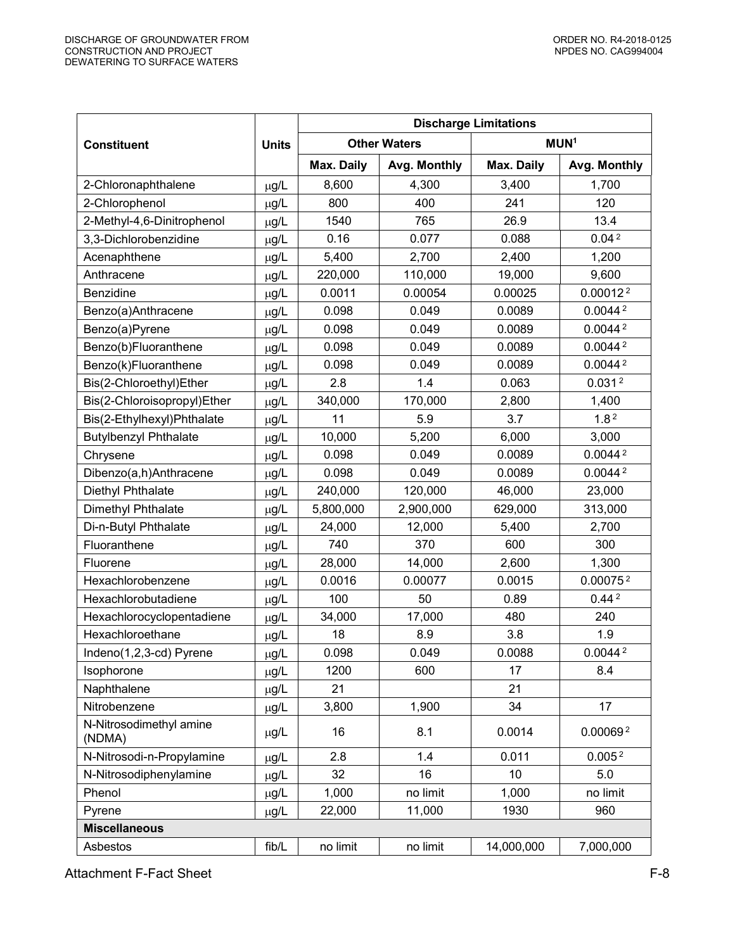|                                   |              | <b>Discharge Limitations</b> |                     |            |                      |  |
|-----------------------------------|--------------|------------------------------|---------------------|------------|----------------------|--|
| <b>Constituent</b>                | <b>Units</b> |                              | <b>Other Waters</b> |            | MUN <sup>1</sup>     |  |
|                                   |              | Max. Daily                   | Avg. Monthly        | Max. Daily | Avg. Monthly         |  |
| 2-Chloronaphthalene               | µg/L         | 8,600                        | 4,300               | 3,400      | 1,700                |  |
| 2-Chlorophenol                    | $\mu$ g/L    | 800                          | 400                 | 241        | 120                  |  |
| 2-Methyl-4,6-Dinitrophenol        | $\mu$ g/L    | 1540                         | 765                 | 26.9       | 13.4                 |  |
| 3,3-Dichlorobenzidine             | $\mu$ g/L    | 0.16                         | 0.077               | 0.088      | 0.04 <sup>2</sup>    |  |
| Acenaphthene                      | $\mu$ g/L    | 5,400                        | 2,700               | 2,400      | 1,200                |  |
| Anthracene                        | $\mu$ g/L    | 220,000                      | 110,000             | 19,000     | 9,600                |  |
| Benzidine                         | µg/L         | 0.0011                       | 0.00054             | 0.00025    | 0.00012 <sup>2</sup> |  |
| Benzo(a)Anthracene                | $\mu$ g/L    | 0.098                        | 0.049               | 0.0089     | 0.0044 <sup>2</sup>  |  |
| Benzo(a)Pyrene                    | $\mu$ g/L    | 0.098                        | 0.049               | 0.0089     | 0.0044 <sup>2</sup>  |  |
| Benzo(b)Fluoranthene              | $\mu$ g/L    | 0.098                        | 0.049               | 0.0089     | 0.0044 <sup>2</sup>  |  |
| Benzo(k)Fluoranthene              | µg/L         | 0.098                        | 0.049               | 0.0089     | 0.0044 <sup>2</sup>  |  |
| Bis(2-Chloroethyl)Ether           | $\mu$ g/L    | 2.8                          | 1.4                 | 0.063      | 0.031 <sup>2</sup>   |  |
| Bis(2-Chloroisopropyl)Ether       | $\mu$ g/L    | 340,000                      | 170,000             | 2,800      | 1,400                |  |
| Bis(2-Ethylhexyl)Phthalate        | $\mu$ g/L    | 11                           | 5.9                 | 3.7        | 1.8 <sup>2</sup>     |  |
| <b>Butylbenzyl Phthalate</b>      | $\mu$ g/L    | 10,000                       | 5,200               | 6,000      | 3,000                |  |
| Chrysene                          | $\mu$ g/L    | 0.098                        | 0.049               | 0.0089     | 0.0044 <sup>2</sup>  |  |
| Dibenzo(a,h)Anthracene            | µg/L         | 0.098                        | 0.049               | 0.0089     | 0.0044 <sup>2</sup>  |  |
| Diethyl Phthalate                 | $\mu$ g/L    | 240,000                      | 120,000             | 46,000     | 23,000               |  |
| Dimethyl Phthalate                | $\mu$ g/L    | 5,800,000                    | 2,900,000           | 629,000    | 313,000              |  |
| Di-n-Butyl Phthalate              | $\mu$ g/L    | 24,000                       | 12,000              | 5,400      | 2,700                |  |
| Fluoranthene                      | $\mu$ g/L    | 740                          | 370                 | 600        | 300                  |  |
| Fluorene                          | $\mu$ g/L    | 28,000                       | 14,000              | 2,600      | 1,300                |  |
| Hexachlorobenzene                 | µg/L         | 0.0016                       | 0.00077             | 0.0015     | 0.000752             |  |
| Hexachlorobutadiene               | $\mu$ g/L    | 100                          | 50                  | 0.89       | 0.44 <sup>2</sup>    |  |
| Hexachlorocyclopentadiene         | $\mu$ g/L    | 34,000                       | 17,000              | 480        | 240                  |  |
| Hexachloroethane                  | μg/L         | 18                           | 8.9                 | 3.8        | 1.9                  |  |
| Indeno(1,2,3-cd) Pyrene           | µg/L         | 0.098                        | 0.049               | 0.0088     | 0.0044 <sup>2</sup>  |  |
| Isophorone                        | $\mu$ g/L    | 1200                         | 600                 | 17         | 8.4                  |  |
| Naphthalene                       | µg/L         | 21                           |                     | 21         |                      |  |
| Nitrobenzene                      | $\mu$ g/L    | 3,800                        | 1,900               | 34         | 17                   |  |
| N-Nitrosodimethyl amine<br>(NDMA) | µg/L         | 16                           | 8.1                 | 0.0014     | 0.000692             |  |
| N-Nitrosodi-n-Propylamine         | µg/L         | 2.8                          | 1.4                 | 0.011      | 0.005 <sup>2</sup>   |  |
| N-Nitrosodiphenylamine            | µg/L         | 32                           | 16                  | 10         | 5.0                  |  |
| Phenol                            | µg/L         | 1,000                        | no limit            | 1,000      | no limit             |  |
| Pyrene                            | µg/L         | 22,000                       | 11,000              | 1930       | 960                  |  |
| <b>Miscellaneous</b>              |              |                              |                     |            |                      |  |
| Asbestos                          | fib/L        | no limit                     | no limit            | 14,000,000 | 7,000,000            |  |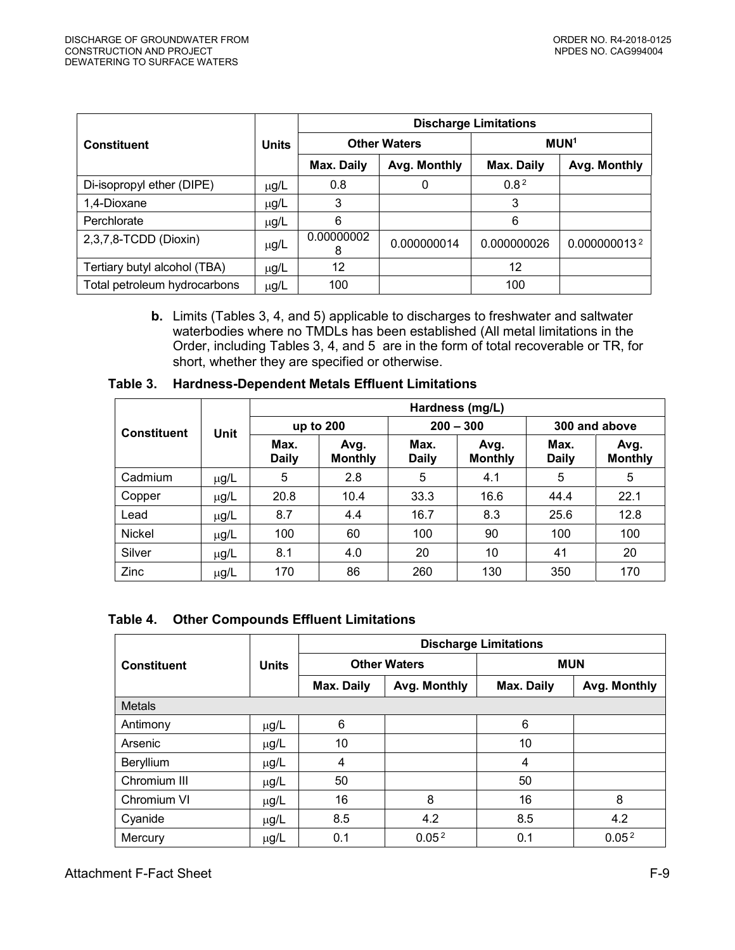<span id="page-8-0"></span>

|                              |              | <b>Discharge Limitations</b> |                     |                  |              |  |
|------------------------------|--------------|------------------------------|---------------------|------------------|--------------|--|
| <b>Constituent</b>           | <b>Units</b> |                              | <b>Other Waters</b> | MUN <sup>1</sup> |              |  |
|                              |              | Max. Daily                   | Avg. Monthly        | Max. Daily       | Avg. Monthly |  |
| Di-isopropyl ether (DIPE)    | $\mu$ g/L    | 0.8                          | 0                   | 0.8 <sup>2</sup> |              |  |
| 1,4-Dioxane                  | µg/L         | 3                            |                     | 3                |              |  |
| Perchlorate                  | $\mu$ g/L    | 6                            |                     | 6                |              |  |
| 2,3,7,8-TCDD (Dioxin)        | µg/L         | 0.00000002<br>8              | 0.000000014         | 0.000000026      | 0.0000000132 |  |
| Tertiary butyl alcohol (TBA) | µg/L         | 12                           |                     | 12               |              |  |
| Total petroleum hydrocarbons | µg/L         | 100                          |                     | 100              |              |  |

**b.** Limits (Tables 3, 4, and 5) applicable to discharges to freshwater and saltwater waterbodies where no TMDLs has been established (All metal limitations in the Order, including Tables 3, 4, and 5 are in the form of total recoverable or TR, for short, whether they are specified or otherwise.

|                    |           | Hardness (mg/L)      |                        |                      |                        |                      |                        |
|--------------------|-----------|----------------------|------------------------|----------------------|------------------------|----------------------|------------------------|
| <b>Constituent</b> | Unit      | up to 200            |                        | $200 - 300$          |                        | 300 and above        |                        |
|                    |           | Max.<br><b>Daily</b> | Avg.<br><b>Monthly</b> | Max.<br><b>Daily</b> | Avg.<br><b>Monthly</b> | Max.<br><b>Daily</b> | Avg.<br><b>Monthly</b> |
| Cadmium            | $\mu$ g/L | 5                    | 2.8                    | 5                    | 4.1                    | 5                    | 5                      |
| Copper             | $\mu$ g/L | 20.8                 | 10.4                   | 33.3                 | 16.6                   | 44.4                 | 22.1                   |
| Lead               | $\mu$ g/L | 8.7                  | 4.4                    | 16.7                 | 8.3                    | 25.6                 | 12.8                   |
| <b>Nickel</b>      | $\mu$ g/L | 100                  | 60                     | 100                  | 90                     | 100                  | 100                    |
| Silver             | $\mu$ g/L | 8.1                  | 4.0                    | 20                   | 10                     | 41                   | 20                     |
| Zinc               | $\mu$ g/L | 170                  | 86                     | 260                  | 130                    | 350                  | 170                    |

#### **Table 3. Hardness-Dependent Metals Effluent Limitations**

#### **Table 4. Other Compounds Effluent Limitations**

|                    |              | <b>Discharge Limitations</b> |                     |            |                   |  |  |
|--------------------|--------------|------------------------------|---------------------|------------|-------------------|--|--|
| <b>Constituent</b> | <b>Units</b> |                              | <b>Other Waters</b> | <b>MUN</b> |                   |  |  |
|                    |              | Max. Daily                   | Avg. Monthly        | Max. Daily | Avg. Monthly      |  |  |
| <b>Metals</b>      |              |                              |                     |            |                   |  |  |
| Antimony           | $\mu$ g/L    | 6                            |                     | 6          |                   |  |  |
| Arsenic            | $\mu$ g/L    | 10                           |                     | 10         |                   |  |  |
| Beryllium          | $\mu$ g/L    | $\overline{4}$               |                     | 4          |                   |  |  |
| Chromium III       | $\mu$ g/L    | 50                           |                     | 50         |                   |  |  |
| Chromium VI        | $\mu$ g/L    | 16                           | 8                   | 16         | 8                 |  |  |
| Cyanide            | $\mu$ g/L    | 8.5                          | 4.2                 | 8.5        | 4.2               |  |  |
| Mercury            | $\mu$ g/L    | 0.1                          | 0.05 <sup>2</sup>   | 0.1        | 0.05 <sup>2</sup> |  |  |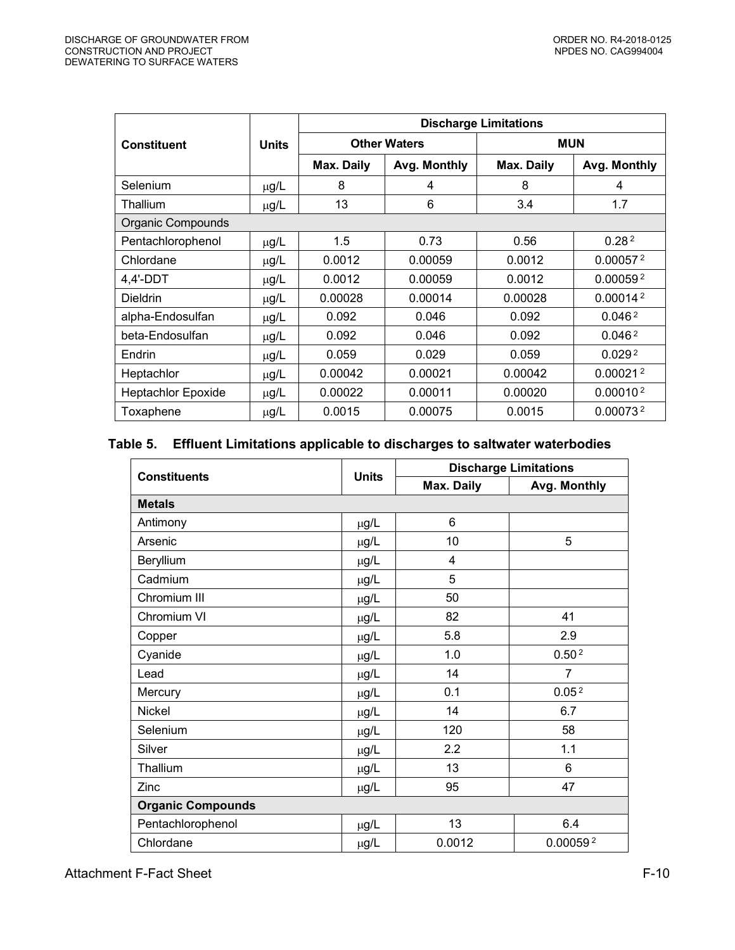<span id="page-9-0"></span>

|                           |              | <b>Discharge Limitations</b> |                     |            |                      |  |  |
|---------------------------|--------------|------------------------------|---------------------|------------|----------------------|--|--|
| <b>Constituent</b>        | <b>Units</b> |                              | <b>Other Waters</b> | <b>MUN</b> |                      |  |  |
|                           |              | Max. Daily                   | Avg. Monthly        | Max. Daily | Avg. Monthly         |  |  |
| Selenium                  | $\mu$ g/L    | 8                            | 4                   | 8          | 4                    |  |  |
| Thallium                  | $\mu$ g/L    | 13                           | 6                   | 3.4        | 1.7                  |  |  |
| Organic Compounds         |              |                              |                     |            |                      |  |  |
| Pentachlorophenol         | $\mu$ g/L    | 1.5                          | 0.73                | 0.56       | 0.28 <sup>2</sup>    |  |  |
| Chlordane                 | $\mu$ g/L    | 0.0012                       | 0.00059             | 0.0012     | 0.00057 <sup>2</sup> |  |  |
| $4,4'$ -DDT               | µg/L         | 0.0012                       | 0.00059             | 0.0012     | 0.00059 <sup>2</sup> |  |  |
| <b>Dieldrin</b>           | $\mu$ g/L    | 0.00028                      | 0.00014             | 0.00028    | 0.00014 <sup>2</sup> |  |  |
| alpha-Endosulfan          | $\mu$ g/L    | 0.092                        | 0.046               | 0.092      | 0.046 <sup>2</sup>   |  |  |
| beta-Endosulfan           | $\mu$ g/L    | 0.092                        | 0.046               | 0.092      | 0.046 <sup>2</sup>   |  |  |
| Endrin                    | $\mu$ g/L    | 0.059                        | 0.029               | 0.059      | 0.029 <sup>2</sup>   |  |  |
| Heptachlor                | $\mu$ g/L    | 0.00042                      | 0.00021             | 0.00042    | 0.00021 <sup>2</sup> |  |  |
| <b>Heptachlor Epoxide</b> | $\mu$ g/L    | 0.00022                      | 0.00011             | 0.00020    | 0.00010 <sup>2</sup> |  |  |
| Toxaphene                 | $\mu$ g/L    | 0.0015                       | 0.00075             | 0.0015     | 0.00073 <sup>2</sup> |  |  |

# **Table 5. Effluent Limitations applicable to discharges to saltwater waterbodies**

| <b>Constituents</b>      | <b>Units</b> | <b>Discharge Limitations</b> |                   |  |
|--------------------------|--------------|------------------------------|-------------------|--|
|                          |              | Max. Daily                   | Avg. Monthly      |  |
| <b>Metals</b>            |              |                              |                   |  |
| Antimony                 | $\mu$ g/L    | 6                            |                   |  |
| Arsenic                  | $\mu$ g/L    | 10                           | 5                 |  |
| Beryllium                | $\mu$ g/L    | 4                            |                   |  |
| Cadmium                  | $\mu$ g/L    | 5                            |                   |  |
| Chromium III             | $\mu$ g/L    | 50                           |                   |  |
| Chromium VI              | $\mu$ g/L    | 82                           | 41                |  |
| Copper                   | $\mu$ g/L    | 5.8                          | 2.9               |  |
| Cyanide                  | $\mu$ g/L    | 1.0                          | 0.50 <sup>2</sup> |  |
| Lead                     | $\mu$ g/L    | 14                           | $\overline{7}$    |  |
| Mercury                  | $\mu$ g/L    | 0.1                          | 0.05 <sup>2</sup> |  |
| <b>Nickel</b>            | $\mu$ g/L    | 14                           | 6.7               |  |
| Selenium                 | $\mu$ g/L    | 120                          | 58                |  |
| Silver                   | µg/L         | 2.2                          | 1.1               |  |
| Thallium                 | $\mu$ g/L    | 13                           | 6                 |  |
| Zinc                     | µg/L         | 95                           | 47                |  |
| <b>Organic Compounds</b> |              |                              |                   |  |
| Pentachlorophenol        | $\mu$ g/L    | 13                           | 6.4               |  |
| Chlordane                | $\mu$ g/L    | 0.0012                       | 0.000592          |  |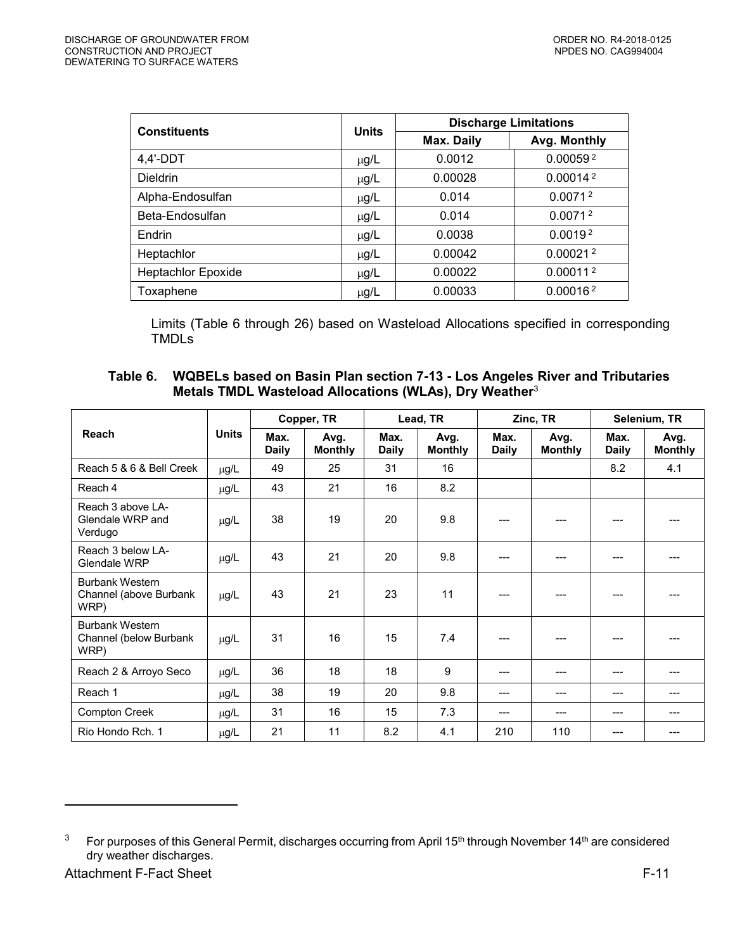<span id="page-10-0"></span>

| <b>Constituents</b> | <b>Units</b> | <b>Discharge Limitations</b> |                      |  |
|---------------------|--------------|------------------------------|----------------------|--|
|                     |              | Max. Daily                   | Avg. Monthly         |  |
| $4,4'$ -DDT         | $\mu$ g/L    | 0.0012                       | 0.000592             |  |
| <b>Dieldrin</b>     | $\mu$ g/L    | 0.00028                      | 0.00014 <sup>2</sup> |  |
| Alpha-Endosulfan    | $\mu$ g/L    | 0.014                        | 0.0071 <sup>2</sup>  |  |
| Beta-Endosulfan     | $\mu$ g/L    | 0.014                        | 0.0071 <sup>2</sup>  |  |
| Endrin              | $\mu$ g/L    | 0.0038                       | 0.0019 <sup>2</sup>  |  |
| Heptachlor          | $\mu$ g/L    | 0.00042                      | 0.00021 <sup>2</sup> |  |
| Heptachlor Epoxide  | $\mu$ g/L    | 0.00022                      | 0.00011 <sup>2</sup> |  |
| Toxaphene           | $\mu$ g/L    | 0.00033                      | 0.00016 <sup>2</sup> |  |

Limits (Table 6 through 26) based on Wasteload Allocations specified in corresponding TMDLs

| Table 6. WQBELs based on Basin Plan section 7-13 - Los Angeles River and Tributaries |
|--------------------------------------------------------------------------------------|
| Metals TMDL Wasteload Allocations (WLAs), Dry Weather <sup>3</sup>                   |

|                                                          |              | Copper, TR           |                        | Lead, TR             |                        | Zinc, TR             |                        | Selenium, TR         |                        |
|----------------------------------------------------------|--------------|----------------------|------------------------|----------------------|------------------------|----------------------|------------------------|----------------------|------------------------|
| Reach                                                    | <b>Units</b> | Max.<br><b>Daily</b> | Avg.<br><b>Monthly</b> | Max.<br><b>Daily</b> | Avg.<br><b>Monthly</b> | Max.<br><b>Daily</b> | Avg.<br><b>Monthly</b> | Max.<br><b>Daily</b> | Avg.<br><b>Monthly</b> |
| Reach 5 & 6 & Bell Creek                                 | μg/L         | 49                   | 25                     | 31                   | 16                     |                      |                        | 8.2                  | 4.1                    |
| Reach 4                                                  | µg/L         | 43                   | 21                     | 16                   | 8.2                    |                      |                        |                      |                        |
| Reach 3 above LA-<br>Glendale WRP and<br>Verdugo         | $\mu$ g/L    | 38                   | 19                     | 20                   | 9.8                    |                      | ---                    | ---                  |                        |
| Reach 3 below LA-<br>Glendale WRP                        | $\mu$ g/L    | 43                   | 21                     | 20                   | 9.8                    |                      |                        |                      |                        |
| <b>Burbank Western</b><br>Channel (above Burbank<br>WRP) | $\mu$ g/L    | 43                   | 21                     | 23                   | 11                     |                      |                        |                      |                        |
| <b>Burbank Western</b><br>Channel (below Burbank<br>WRP) | $\mu$ g/L    | 31                   | 16                     | 15                   | 7.4                    |                      |                        |                      |                        |
| Reach 2 & Arroyo Seco                                    | $\mu$ g/L    | 36                   | 18                     | 18                   | 9                      |                      |                        |                      |                        |
| Reach 1                                                  | μg/L         | 38                   | 19                     | 20                   | 9.8                    | ---                  | ---                    | ---                  |                        |
| <b>Compton Creek</b>                                     | $\mu$ g/L    | 31                   | 16                     | 15                   | 7.3                    | ---                  | ---                    | ---                  |                        |
| Rio Hondo Rch. 1                                         | µg/L         | 21                   | 11                     | 8.2                  | 4.1                    | 210                  | 110                    | ---                  |                        |

 $\overline{a}$ 

<sup>3</sup> For purposes of this General Permit, discharges occurring from April 15<sup>th</sup> through November 14<sup>th</sup> are considered dry weather discharges.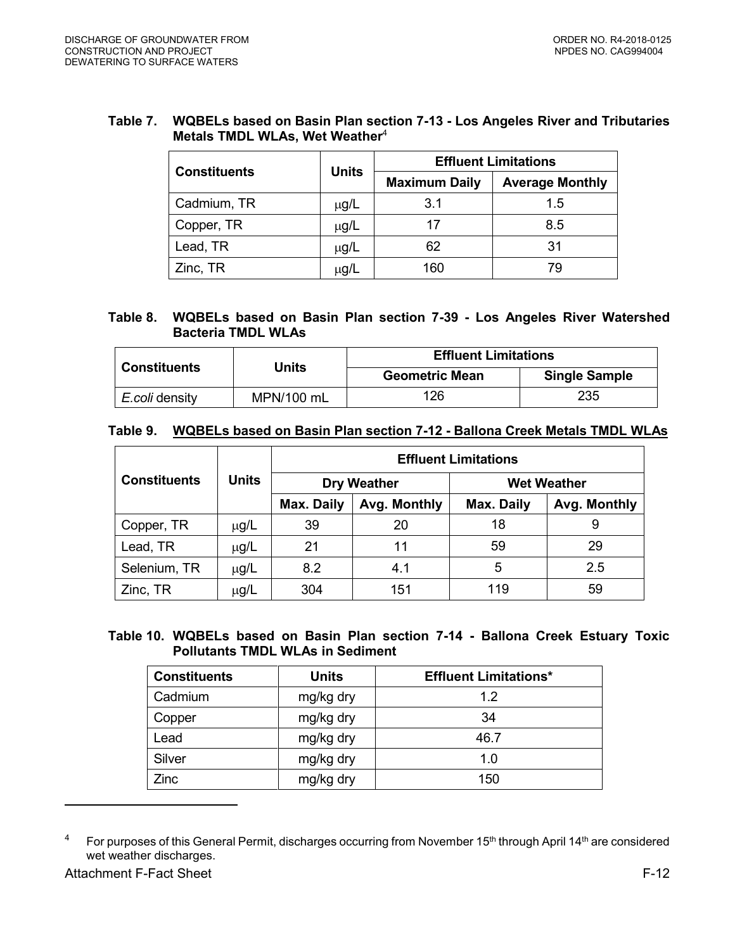### **Table 7. WQBELs based on Basin Plan section 7-13 - Los Angeles River and Tributaries Metals TMDL WLAs, Wet Weather**<sup>4</sup>

|                     | <b>Units</b> | <b>Effluent Limitations</b> |                        |  |
|---------------------|--------------|-----------------------------|------------------------|--|
| <b>Constituents</b> |              | <b>Maximum Daily</b>        | <b>Average Monthly</b> |  |
| Cadmium, TR         | $\mu$ g/L    | 3.1                         | 1.5                    |  |
| Copper, TR          | $\mu$ g/L    | 17                          | 8.5                    |  |
| Lead, TR            | $\mu$ g/L    | 62                          | 31                     |  |
| Zinc, TR            | μg/L         | 160                         | 79                     |  |

# **Table 8. WQBELs based on Basin Plan section 7-39 - Los Angeles River Watershed Bacteria TMDL WLAs**

|                     |            | <b>Effluent Limitations</b> |                      |  |
|---------------------|------------|-----------------------------|----------------------|--|
| <b>Constituents</b> | Units      | <b>Geometric Mean</b>       | <b>Single Sample</b> |  |
| E.coli density      | MPN/100 mL | 126                         | 235                  |  |

### **Table 9. WQBELs based on Basin Plan section 7-12 - Ballona Creek Metals TMDL WLAs**

|                     |              | <b>Effluent Limitations</b> |                    |            |                    |  |  |
|---------------------|--------------|-----------------------------|--------------------|------------|--------------------|--|--|
| <b>Constituents</b> | <b>Units</b> |                             | <b>Dry Weather</b> |            | <b>Wet Weather</b> |  |  |
|                     |              | Max. Daily<br>Avg. Monthly  |                    | Max. Daily | Avg. Monthly       |  |  |
| Copper, TR          | $\mu$ g/L    | 39                          | 20                 | 18         | 9                  |  |  |
| Lead, TR            | $\mu$ g/L    | 21                          | 11                 | 59         | 29                 |  |  |
| Selenium, TR        | $\mu$ g/L    | 8.2                         | 4.1                | 5          | 2.5                |  |  |
| Zinc, TR            | μg/L         | 304                         | 151                | 119        | 59                 |  |  |

### **Table 10. WQBELs based on Basin Plan section 7-14 - Ballona Creek Estuary Toxic Pollutants TMDL WLAs in Sediment**

| <b>Constituents</b> | <b>Units</b> | <b>Effluent Limitations*</b> |
|---------------------|--------------|------------------------------|
| Cadmium             | mg/kg dry    | 1.2                          |
| Copper              | mg/kg dry    | 34                           |
| Lead                | mg/kg dry    | 46.7                         |
| Silver              | mg/kg dry    | 1.0                          |
| Zinc                | mg/kg dry    | 150                          |

 $^4$  For purposes of this General Permit, discharges occurring from November 15<sup>th</sup> through April 14<sup>th</sup> are considered wet weather discharges.

 $\overline{a}$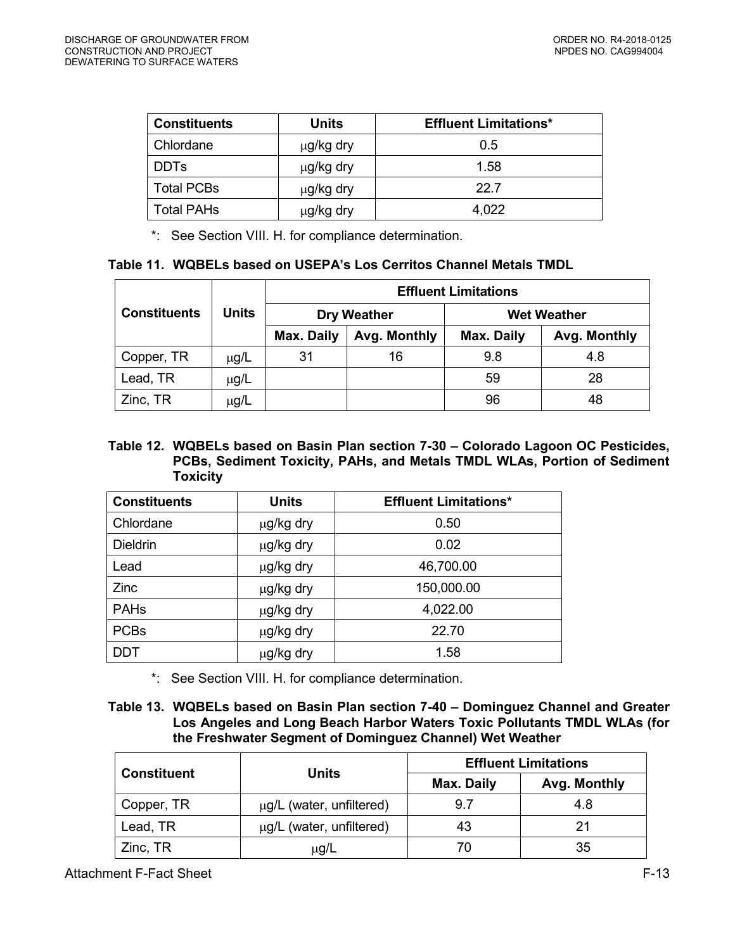| <b>Constituents</b> | Units     | <b>Effluent Limitations*</b> |
|---------------------|-----------|------------------------------|
| Chlordane           | μg/kg dry | 0.5                          |
| <b>DDTs</b>         | μg/kg dry | 1.58                         |
| <b>Total PCBs</b>   | μg/kg dry | 22.7                         |
| Total PAHs          | μg/kg dry | 4,022                        |

\*: See Section VIII. H. for compliance determination.

### **Table 11. WQBELs based on USEPA's Los Cerritos Channel Metals TMDL**

|                     |           |                    |              | <b>Effluent Limitations</b> |                    |
|---------------------|-----------|--------------------|--------------|-----------------------------|--------------------|
| <b>Constituents</b> | Units     | <b>Dry Weather</b> |              |                             | <b>Wet Weather</b> |
|                     |           | Max. Daily         | Avg. Monthly | Max. Daily                  | Avg. Monthly       |
| Copper, TR          | $\mu$ g/L | 31                 | 16           | 9.8                         | 4.8                |
| Lead, TR            | µg/L      |                    |              | 59                          | 28                 |
| Zinc, TR            | $\mu$ g/L |                    |              | 96                          | 48                 |

# **Table 12. WQBELs based on Basin Plan section 7-30 – Colorado Lagoon OC Pesticides, PCBs, Sediment Toxicity, PAHs, and Metals TMDL WLAs, Portion of Sediment Toxicity**

| <b>Constituents</b> | <b>Units</b> | <b>Effluent Limitations*</b> |
|---------------------|--------------|------------------------------|
| Chlordane           | µg/kg dry    | 0.50                         |
| <b>Dieldrin</b>     | µg/kg dry    | 0.02                         |
| Lead                | µg/kg dry    | 46,700.00                    |
| Zinc                | µg/kg dry    | 150,000.00                   |
| <b>PAHs</b>         | µg/kg dry    | 4,022.00                     |
| <b>PCBs</b>         | µg/kg dry    | 22.70                        |
| <b>DDT</b>          | µg/kg dry    | 1.58                         |

\*: See Section VIII. H. for compliance determination.

### **Table 13. WQBELs based on Basin Plan section 7-40 – Dominguez Channel and Greater Los Angeles and Long Beach Harbor Waters Toxic Pollutants TMDL WLAs (for the Freshwater Segment of Dominguez Channel) Wet Weather**

| <b>Constituent</b> | <b>Units</b>             | <b>Effluent Limitations</b> |              |  |
|--------------------|--------------------------|-----------------------------|--------------|--|
|                    |                          | Max. Daily                  | Avg. Monthly |  |
| Copper, TR         | µg/L (water, unfiltered) | 9.7                         | 4.8          |  |
| Lead, TR           | μg/L (water, unfiltered) | 43                          | 21           |  |
| Zinc, TR           | $\mu$ g/L                |                             | 35           |  |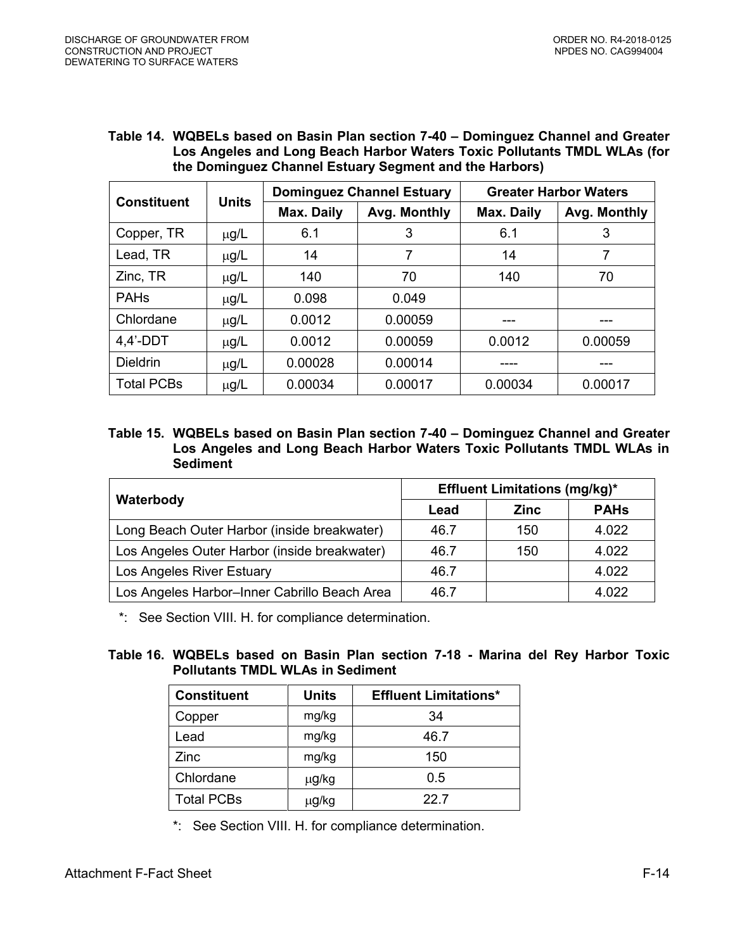#### **Table 14. WQBELs based on Basin Plan section 7-40 – Dominguez Channel and Greater Los Angeles and Long Beach Harbor Waters Toxic Pollutants TMDL WLAs (for the Dominguez Channel Estuary Segment and the Harbors)**

| <b>Constituent</b> | <b>Units</b> |                   | <b>Dominguez Channel Estuary</b> | <b>Greater Harbor Waters</b> |              |  |
|--------------------|--------------|-------------------|----------------------------------|------------------------------|--------------|--|
|                    |              | <b>Max. Daily</b> | Avg. Monthly                     | <b>Max. Daily</b>            | Avg. Monthly |  |
| Copper, TR         | $\mu$ g/L    | 6.1               | 3                                | 6.1                          | 3            |  |
| Lead, TR           | $\mu$ g/L    | 14                |                                  | 14                           |              |  |
| Zinc, TR           | $\mu$ g/L    | 140               | 70                               | 140                          | 70           |  |
| <b>PAHs</b>        | $\mu$ g/L    | 0.098             | 0.049                            |                              |              |  |
| Chlordane          | $\mu$ g/L    | 0.0012            | 0.00059                          |                              | ---          |  |
| $4,4'$ -DDT        | $\mu$ g/L    | 0.0012            | 0.00059                          | 0.0012                       | 0.00059      |  |
| <b>Dieldrin</b>    | $\mu$ g/L    | 0.00028           | 0.00014                          |                              | ---          |  |
| <b>Total PCBs</b>  | $\mu$ g/L    | 0.00034           | 0.00017                          | 0.00034                      | 0.00017      |  |

# **Table 15. WQBELs based on Basin Plan section 7-40 – Dominguez Channel and Greater Los Angeles and Long Beach Harbor Waters Toxic Pollutants TMDL WLAs in Sediment**

|                                              | <b>Effluent Limitations (mg/kg)*</b> |             |             |  |  |
|----------------------------------------------|--------------------------------------|-------------|-------------|--|--|
| Waterbody                                    | Lead                                 | <b>Zinc</b> | <b>PAHs</b> |  |  |
| Long Beach Outer Harbor (inside breakwater)  | 46.7                                 | 150         | 4.022       |  |  |
| Los Angeles Outer Harbor (inside breakwater) | 46.7                                 | 150         | 4.022       |  |  |
| Los Angeles River Estuary                    | 46.7                                 |             | 4.022       |  |  |
| Los Angeles Harbor-Inner Cabrillo Beach Area | 46.7                                 |             | 4.022       |  |  |

\*: See Section VIII. H. for compliance determination.

# **Table 16. WQBELs based on Basin Plan section 7-18 - Marina del Rey Harbor Toxic Pollutants TMDL WLAs in Sediment**

| <b>Constituent</b> | <b>Units</b> | <b>Effluent Limitations*</b> |
|--------------------|--------------|------------------------------|
| Copper             | mg/kg        | 34                           |
| Lead               | mg/kg        | 46.7                         |
| Zinc               | mg/kg        | 150                          |
| Chlordane          | μg/kg        | 0.5                          |
| <b>Total PCBs</b>  | μg/kg        | 22.7                         |

\*: See Section VIII. H. for compliance determination.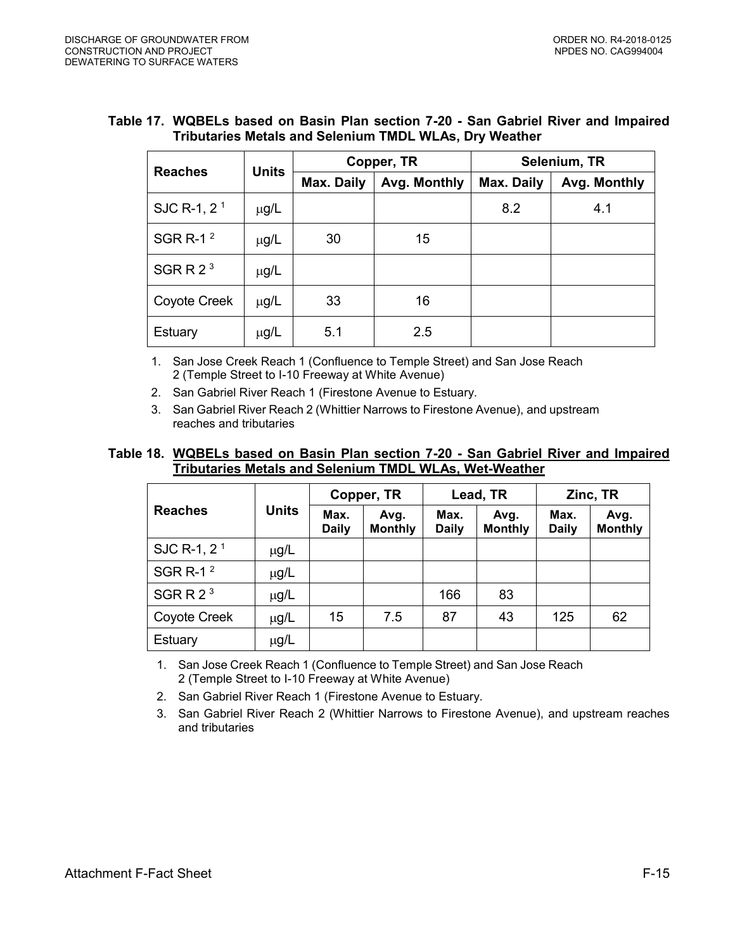| <b>Reaches</b>          | <b>Units</b> |                            | Copper, TR | Selenium, TR |              |  |  |
|-------------------------|--------------|----------------------------|------------|--------------|--------------|--|--|
|                         |              | Max. Daily<br>Avg. Monthly |            | Max. Daily   | Avg. Monthly |  |  |
| SJC R-1, 2 <sup>1</sup> | $\mu$ g/L    |                            |            | 8.2          | 4.1          |  |  |
| SGR R-1 $2$             | $\mu$ g/L    | 30                         | 15         |              |              |  |  |
| SGRR $23$               | $\mu$ g/L    |                            |            |              |              |  |  |
| Coyote Creek            | $\mu$ g/L    | 33                         | 16         |              |              |  |  |
| Estuary                 | $\mu$ g/L    | 5.1                        | 2.5        |              |              |  |  |

### **Table 17. WQBELs based on Basin Plan section 7-20 - San Gabriel River and Impaired Tributaries Metals and Selenium TMDL WLAs, Dry Weather**

1. San Jose Creek Reach 1 (Confluence to Temple Street) and San Jose Reach 2 (Temple Street to I-10 Freeway at White Avenue)

- 2. San Gabriel River Reach 1 (Firestone Avenue to Estuary.
- 3. San Gabriel River Reach 2 (Whittier Narrows to Firestone Avenue), and upstream reaches and tributaries

### **Table 18. WQBELs based on Basin Plan section 7-20 - San Gabriel River and Impaired Tributaries Metals and Selenium TMDL WLAs, Wet-Weather**

|                      |              | Copper, TR           |                        |                      | Lead, TR               | Zinc, TR             |                        |
|----------------------|--------------|----------------------|------------------------|----------------------|------------------------|----------------------|------------------------|
| <b>Reaches</b>       | <b>Units</b> | Max.<br><b>Daily</b> | Avg.<br><b>Monthly</b> | Max.<br><b>Daily</b> | Avg.<br><b>Monthly</b> | Max.<br><b>Daily</b> | Avg.<br><b>Monthly</b> |
| SJC R-1, $21$        | $\mu$ g/L    |                      |                        |                      |                        |                      |                        |
| SGR R-1 <sup>2</sup> | µg/L         |                      |                        |                      |                        |                      |                        |
| SGRR $23$            | µg/L         |                      |                        | 166                  | 83                     |                      |                        |
| Coyote Creek         | $\mu$ g/L    | 15                   | 7.5                    | 87                   | 43                     | 125                  | 62                     |
| Estuary              | $\mu$ g/L    |                      |                        |                      |                        |                      |                        |

1. San Jose Creek Reach 1 (Confluence to Temple Street) and San Jose Reach 2 (Temple Street to I-10 Freeway at White Avenue)

- 2. San Gabriel River Reach 1 (Firestone Avenue to Estuary.
- 3. San Gabriel River Reach 2 (Whittier Narrows to Firestone Avenue), and upstream reaches and tributaries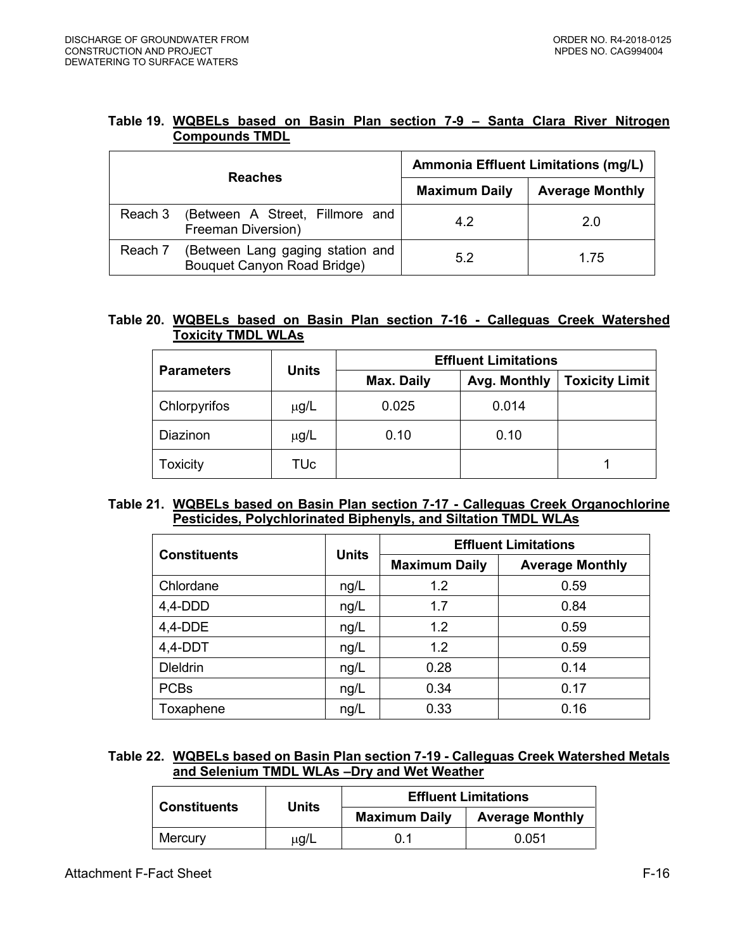| Table 19. WQBELs based on Basin Plan section 7-9 - Santa Clara River Nitrogen |  |  |  |  |  |  |
|-------------------------------------------------------------------------------|--|--|--|--|--|--|
| <b>Compounds TMDL</b>                                                         |  |  |  |  |  |  |

|         | <b>Reaches</b>                                                  | <b>Ammonia Effluent Limitations (mg/L)</b> |                        |  |  |
|---------|-----------------------------------------------------------------|--------------------------------------------|------------------------|--|--|
|         |                                                                 | <b>Maximum Daily</b>                       | <b>Average Monthly</b> |  |  |
| Reach 3 | (Between A Street, Fillmore and<br>Freeman Diversion)           | 4.2                                        | 2.0                    |  |  |
| Reach 7 | (Between Lang gaging station and<br>Bouquet Canyon Road Bridge) | 5.2                                        | 1.75                   |  |  |

# **Table 20. WQBELs based on Basin Plan section 7-16 - Calleguas Creek Watershed Toxicity TMDL WLAs**

| <b>Parameters</b> | <b>Units</b> | <b>Effluent Limitations</b> |              |                       |  |  |  |
|-------------------|--------------|-----------------------------|--------------|-----------------------|--|--|--|
|                   |              | Max. Daily                  | Avg. Monthly | <b>Toxicity Limit</b> |  |  |  |
| Chlorpyrifos      | $\mu$ g/L    | 0.025                       | 0.014        |                       |  |  |  |
| Diazinon          | $\mu$ g/L    | 0.10                        | 0.10         |                       |  |  |  |
| Toxicity          | TUc          |                             |              |                       |  |  |  |

### **Table 21. WQBELs based on Basin Plan section 7-17 - Calleguas Creek Organochlorine Pesticides, Polychlorinated Biphenyls, and Siltation TMDL WLAs**

|                     | <b>Units</b> | <b>Effluent Limitations</b> |                        |  |  |
|---------------------|--------------|-----------------------------|------------------------|--|--|
| <b>Constituents</b> |              | <b>Maximum Daily</b>        | <b>Average Monthly</b> |  |  |
| Chlordane           | ng/L         | 1.2                         | 0.59                   |  |  |
| $4,4$ -DDD          | ng/L         | 1.7                         | 0.84                   |  |  |
| $4,4-DDE$           | ng/L         | 1.2                         | 0.59                   |  |  |
| $4,4-DDT$           | ng/L         | 1.2                         | 0.59                   |  |  |
| <b>Dieldrin</b>     | ng/L         | 0.28                        | 0.14                   |  |  |
| <b>PCBs</b>         | ng/L         | 0.34                        | 0.17                   |  |  |
| Toxaphene           | ng/L         | 0.33                        | 0.16                   |  |  |

# **Table 22. WQBELs based on Basin Plan section 7-19 - Calleguas Creek Watershed Metals and Selenium TMDL WLAs –Dry and Wet Weather**

|                     | Units     |                      | <b>Effluent Limitations</b> |
|---------------------|-----------|----------------------|-----------------------------|
| <b>Constituents</b> |           | <b>Maximum Daily</b> | <b>Average Monthly</b>      |
| Mercury             | $\mu$ g/L | 0.1                  | 0.051                       |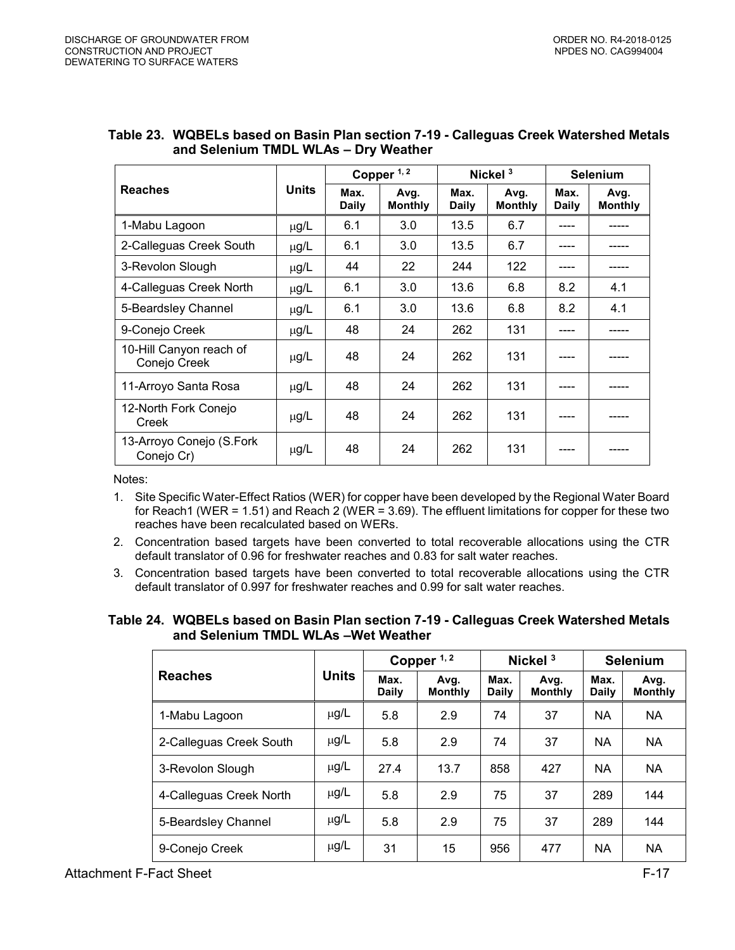|                                         |              |               | Copper $1, 2$          |               | Nickel $3$             | <b>Selenium</b>      |                        |
|-----------------------------------------|--------------|---------------|------------------------|---------------|------------------------|----------------------|------------------------|
| <b>Reaches</b>                          | <b>Units</b> | Max.<br>Daily | Avg.<br><b>Monthly</b> | Max.<br>Daily | Avg.<br><b>Monthly</b> | Max.<br><b>Daily</b> | Avg.<br><b>Monthly</b> |
| 1-Mabu Lagoon                           | μg/L         | 6.1           | 3.0                    | 13.5          | 6.7                    |                      |                        |
| 2-Calleguas Creek South                 | µg/L         | 6.1           | 3.0                    | 13.5          | 6.7                    |                      |                        |
| 3-Revolon Slough                        | $\mu$ g/L    | 44            | 22                     | 244           | 122                    |                      |                        |
| 4-Calleguas Creek North                 | $\mu$ g/L    | 6.1           | 3.0                    | 13.6          | 6.8                    | 8.2                  | 4.1                    |
| 5-Beardsley Channel                     | μg/L         | 6.1           | 3.0                    | 13.6          | 6.8                    | 8.2                  | 4.1                    |
| 9-Conejo Creek                          | $\mu$ g/L    | 48            | 24                     | 262           | 131                    |                      |                        |
| 10-Hill Canyon reach of<br>Conejo Creek | μg/L         | 48            | 24                     | 262           | 131                    |                      |                        |
| 11-Arroyo Santa Rosa                    | $\mu$ g/L    | 48            | 24                     | 262           | 131                    |                      |                        |
| 12-North Fork Conejo<br>Creek           | μg/L         | 48            | 24                     | 262           | 131                    |                      |                        |
| 13-Arroyo Conejo (S.Fork<br>Conejo Cr)  | μg/L         | 48            | 24                     | 262           | 131                    |                      |                        |

| Table 23.  WQBELs based on Basin Plan section 7-19 - Calleguas Creek Watershed Metals |
|---------------------------------------------------------------------------------------|
| and Selenium TMDL WLAs - Dry Weather                                                  |

Notes:

- 1. Site Specific Water-Effect Ratios (WER) for copper have been developed by the Regional Water Board for Reach1 (WER = 1.51) and Reach 2 (WER = 3.69). The effluent limitations for copper for these two reaches have been recalculated based on WERs.
- 2. Concentration based targets have been converted to total recoverable allocations using the CTR default translator of 0.96 for freshwater reaches and 0.83 for salt water reaches.
- 3. Concentration based targets have been converted to total recoverable allocations using the CTR default translator of 0.997 for freshwater reaches and 0.99 for salt water reaches.

**Table 24. WQBELs based on Basin Plan section 7-19 - Calleguas Creek Watershed Metals and Selenium TMDL WLAs –Wet Weather**

|                         |              | Copper $1, 2$        |                        | Nickel $3$    |                        | <b>Selenium</b>      |                        |
|-------------------------|--------------|----------------------|------------------------|---------------|------------------------|----------------------|------------------------|
| <b>Reaches</b>          | <b>Units</b> | Max.<br><b>Daily</b> | Avg.<br><b>Monthly</b> | Max.<br>Daily | Avg.<br><b>Monthly</b> | Max.<br><b>Daily</b> | Avg.<br><b>Monthly</b> |
| 1-Mabu Lagoon           | $\mu$ g/L    | 5.8                  | 2.9                    | 74            | 37                     | <b>NA</b>            | <b>NA</b>              |
| 2-Calleguas Creek South | $\mu$ g/L    | 5.8                  | 2.9                    | 74            | 37                     | <b>NA</b>            | <b>NA</b>              |
| 3-Revolon Slough        | $\mu$ g/L    | 27.4                 | 13.7                   | 858           | 427                    | <b>NA</b>            | <b>NA</b>              |
| 4-Calleguas Creek North | $\mu$ g/L    | 5.8                  | 2.9                    | 75            | 37                     | 289                  | 144                    |
| 5-Beardsley Channel     | $\mu$ g/L    | 5.8                  | 2.9                    | 75            | 37                     | 289                  | 144                    |
| 9-Conejo Creek          | $\mu$ g/L    | 31                   | 15                     | 956           | 477                    | <b>NA</b>            | <b>NA</b>              |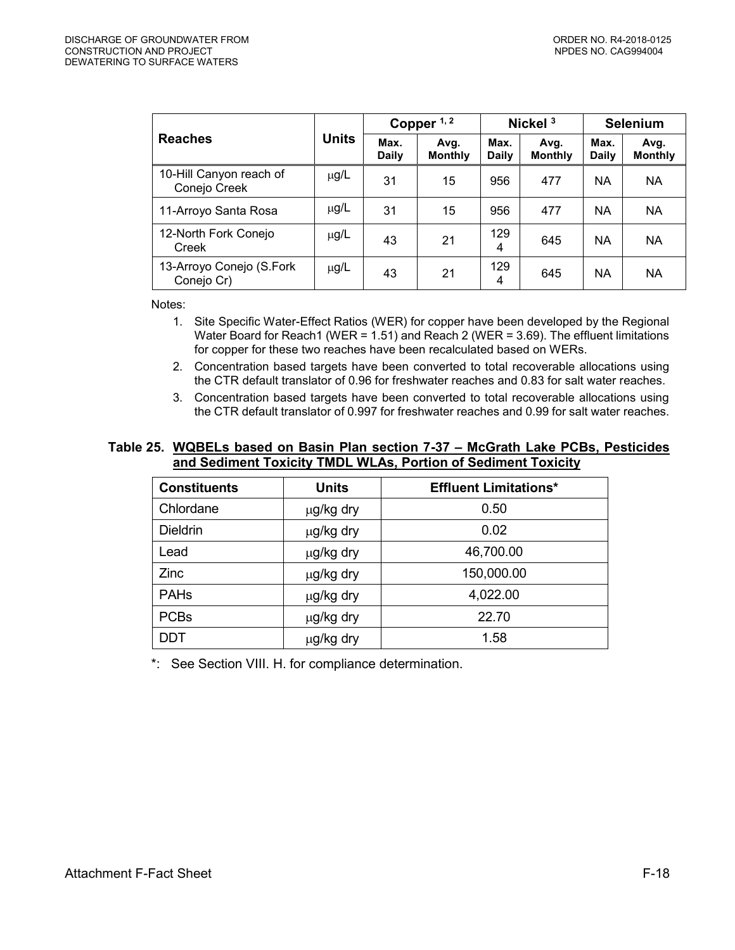|                                         |              |                      | Copper $1, 2$          | Nickel <sup>3</sup>  |                        | <b>Selenium</b>      |                        |
|-----------------------------------------|--------------|----------------------|------------------------|----------------------|------------------------|----------------------|------------------------|
| <b>Reaches</b>                          | <b>Units</b> | Max.<br><b>Daily</b> | Avg.<br><b>Monthly</b> | Max.<br><b>Daily</b> | Avg.<br><b>Monthly</b> | Max.<br><b>Daily</b> | Avg.<br><b>Monthly</b> |
| 10-Hill Canyon reach of<br>Conejo Creek | $\mu$ g/L    | 31                   | 15                     | 956                  | 477                    | <b>NA</b>            | NA                     |
| 11-Arroyo Santa Rosa                    | $\mu$ g/L    | 31                   | 15                     | 956                  | 477                    | <b>NA</b>            | <b>NA</b>              |
| 12-North Fork Conejo<br>Creek           | $\mu$ g/L    | 43                   | 21                     | 129<br>4             | 645                    | <b>NA</b>            | <b>NA</b>              |
| 13-Arroyo Conejo (S.Fork<br>Conejo Cr)  | $\mu$ g/L    | 43                   | 21                     | 129<br>4             | 645                    | <b>NA</b>            | <b>NA</b>              |

Notes:

- 1. Site Specific Water-Effect Ratios (WER) for copper have been developed by the Regional Water Board for Reach1 (WER = 1.51) and Reach 2 (WER = 3.69). The effluent limitations for copper for these two reaches have been recalculated based on WERs.
- 2. Concentration based targets have been converted to total recoverable allocations using the CTR default translator of 0.96 for freshwater reaches and 0.83 for salt water reaches.
- 3. Concentration based targets have been converted to total recoverable allocations using the CTR default translator of 0.997 for freshwater reaches and 0.99 for salt water reaches.

### **Table 25. WQBELs based on Basin Plan section 7-37 – McGrath Lake PCBs, Pesticides and Sediment Toxicity TMDL WLAs, Portion of Sediment Toxicity**

| <b>Constituents</b> | <b>Units</b> | <b>Effluent Limitations*</b> |
|---------------------|--------------|------------------------------|
| Chlordane           | μg/kg dry    | 0.50                         |
| <b>Dieldrin</b>     | µg/kg dry    | 0.02                         |
| Lead                | µg/kg dry    | 46,700.00                    |
| Zinc                | µg/kg dry    | 150,000.00                   |
| <b>PAHs</b>         | µg/kg dry    | 4,022.00                     |
| <b>PCBs</b>         | μg/kg dry    | 22.70                        |
| <b>DDT</b>          | μg/kg dry    | 1.58                         |

\*: See Section VIII. H. for compliance determination.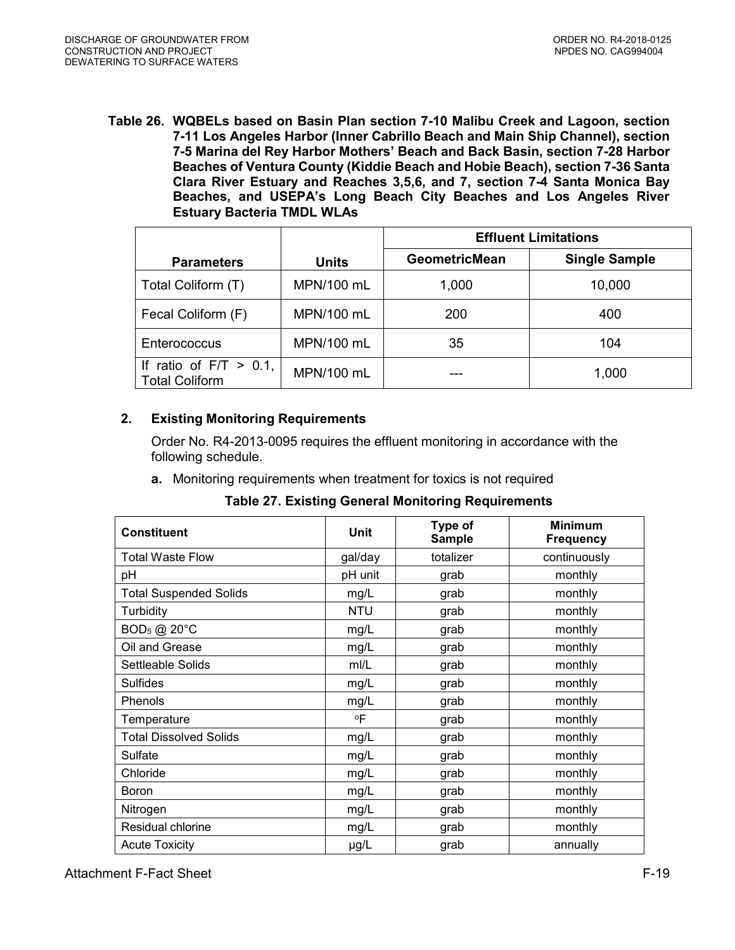<span id="page-18-1"></span>**Table 26. WQBELs based on Basin Plan section 7-10 Malibu Creek and Lagoon, section 7-11 Los Angeles Harbor (Inner Cabrillo Beach and Main Ship Channel), section 7-5 Marina del Rey Harbor Mothers' Beach and Back Basin, section 7-28 Harbor Beaches of Ventura County (Kiddie Beach and Hobie Beach), section 7-36 Santa Clara River Estuary and Reaches 3,5,6, and 7, section 7-4 Santa Monica Bay Beaches, and USEPA's Long Beach City Beaches and Los Angeles River Estuary Bacteria TMDL WLAs**

|                                                    |              | <b>Effluent Limitations</b> |                      |  |  |  |
|----------------------------------------------------|--------------|-----------------------------|----------------------|--|--|--|
| <b>Parameters</b>                                  | <b>Units</b> | <b>GeometricMean</b>        | <b>Single Sample</b> |  |  |  |
| Total Coliform (T)                                 | MPN/100 mL   | 1,000                       | 10,000               |  |  |  |
| Fecal Coliform (F)                                 | MPN/100 mL   | 200                         | 400                  |  |  |  |
| Enterococcus                                       | MPN/100 mL   | 35                          | 104                  |  |  |  |
| If ratio of $F/T > 0.1$ ,<br><b>Total Coliform</b> | MPN/100 mL   |                             | 1,000                |  |  |  |

# <span id="page-18-0"></span>**2. Existing Monitoring Requirements**

Order No. R4-2013-0095 requires the effluent monitoring in accordance with the following schedule.

**a.** Monitoring requirements when treatment for toxics is not required

| <b>Constituent</b>            | <b>Unit</b> | Type of<br><b>Sample</b> | <b>Minimum</b><br><b>Frequency</b> |
|-------------------------------|-------------|--------------------------|------------------------------------|
| Total Waste Flow              | gal/day     | totalizer                | continuously                       |
| pH                            | pH unit     | grab                     | monthly                            |
| <b>Total Suspended Solids</b> | mg/L        | grab                     | monthly                            |
| Turbidity                     | <b>NTU</b>  | grab                     | monthly                            |
| $BOD_5$ @ 20 $°C$             | mg/L        | grab                     | monthly                            |
| Oil and Grease                | mg/L        | grab                     | monthly                            |
| Settleable Solids             | m/L         | grab                     | monthly                            |
| <b>Sulfides</b>               | mg/L        | grab                     | monthly                            |
| Phenols                       | mg/L        | grab                     | monthly                            |
| Temperature                   | ٥F          | grab                     | monthly                            |
| <b>Total Dissolved Solids</b> | mg/L        | grab                     | monthly                            |
| Sulfate                       | mg/L        | grab                     | monthly                            |
| Chloride                      | mg/L        | grab                     | monthly                            |
| Boron                         | mg/L        | grab                     | monthly                            |
| Nitrogen                      | mg/L        | grab                     | monthly                            |
| Residual chlorine             | mg/L        | grab                     | monthly                            |
| <b>Acute Toxicity</b>         | µg/L        | grab                     | annually                           |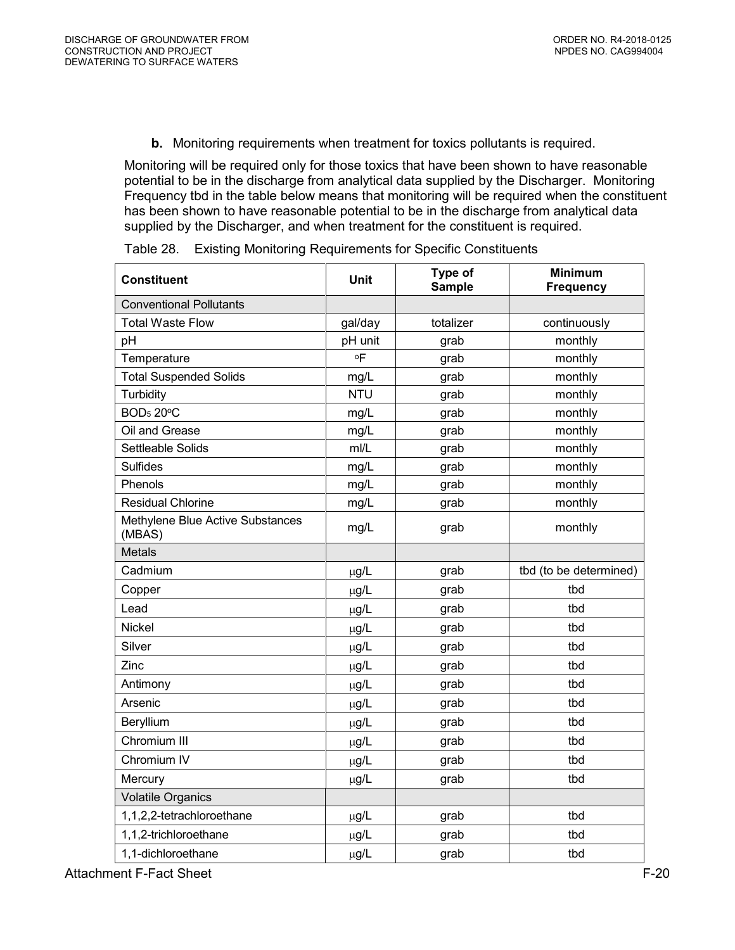**b.** Monitoring requirements when treatment for toxics pollutants is required.

<span id="page-19-0"></span>Monitoring will be required only for those toxics that have been shown to have reasonable potential to be in the discharge from analytical data supplied by the Discharger. Monitoring Frequency tbd in the table below means that monitoring will be required when the constituent has been shown to have reasonable potential to be in the discharge from analytical data supplied by the Discharger, and when treatment for the constituent is required.

| <b>Constituent</b>                         | Unit         | Type of<br><b>Sample</b> | <b>Minimum</b><br><b>Frequency</b> |
|--------------------------------------------|--------------|--------------------------|------------------------------------|
| <b>Conventional Pollutants</b>             |              |                          |                                    |
| <b>Total Waste Flow</b>                    | gal/day      | totalizer                | continuously                       |
| pH                                         | pH unit      | grab                     | monthly                            |
| Temperature                                | $^{\circ}$ F | grab                     | monthly                            |
| <b>Total Suspended Solids</b>              | mg/L         | grab                     | monthly                            |
| Turbidity                                  | <b>NTU</b>   | grab                     | monthly                            |
| BOD <sub>5</sub> 20°C                      | mg/L         | grab                     | monthly                            |
| Oil and Grease                             | mg/L         | grab                     | monthly                            |
| Settleable Solids                          | mI/L         | grab                     | monthly                            |
| <b>Sulfides</b>                            | mg/L         | grab                     | monthly                            |
| Phenols                                    | mg/L         | grab                     | monthly                            |
| <b>Residual Chlorine</b>                   | mg/L         | grab                     | monthly                            |
| Methylene Blue Active Substances<br>(MBAS) | mg/L         | grab                     | monthly                            |
| <b>Metals</b>                              |              |                          |                                    |
| Cadmium                                    | $\mu$ g/L    | grab                     | tbd (to be determined)             |
| Copper                                     | $\mu$ g/L    | grab                     | tbd                                |
| Lead                                       | µg/L         | grab                     | tbd                                |
| Nickel                                     | $\mu$ g/L    | grab                     | tbd                                |
| Silver                                     | µg/L         | grab                     | tbd                                |
| Zinc                                       | $\mu$ g/L    | grab                     | tbd                                |
| Antimony                                   | $\mu$ g/L    | grab                     | tbd                                |
| Arsenic                                    | $\mu$ g/L    | grab                     | tbd                                |
| Beryllium                                  | $\mu$ g/L    | grab                     | tbd                                |
| Chromium III                               | $\mu$ g/L    | grab                     | tbd                                |
| Chromium IV                                | $\mu$ g/L    | grab                     | tbd                                |
| Mercury                                    | $\mu$ g/L    | grab                     | tbd                                |
| <b>Volatile Organics</b>                   |              |                          |                                    |
| 1,1,2,2-tetrachloroethane                  | $\mu$ g/L    | grab                     | tbd                                |
| 1,1,2-trichloroethane                      | $\mu$ g/L    | grab                     | tbd                                |
| 1,1-dichloroethane                         | µg/L         | grab                     | tbd                                |

Table 28. Existing Monitoring Requirements for Specific Constituents

Attachment F-Fact Sheet F-20 and the state of the state of the state of the state of the state of the state of the state of the state of the state of the state of the state of the state of the state of the state of the sta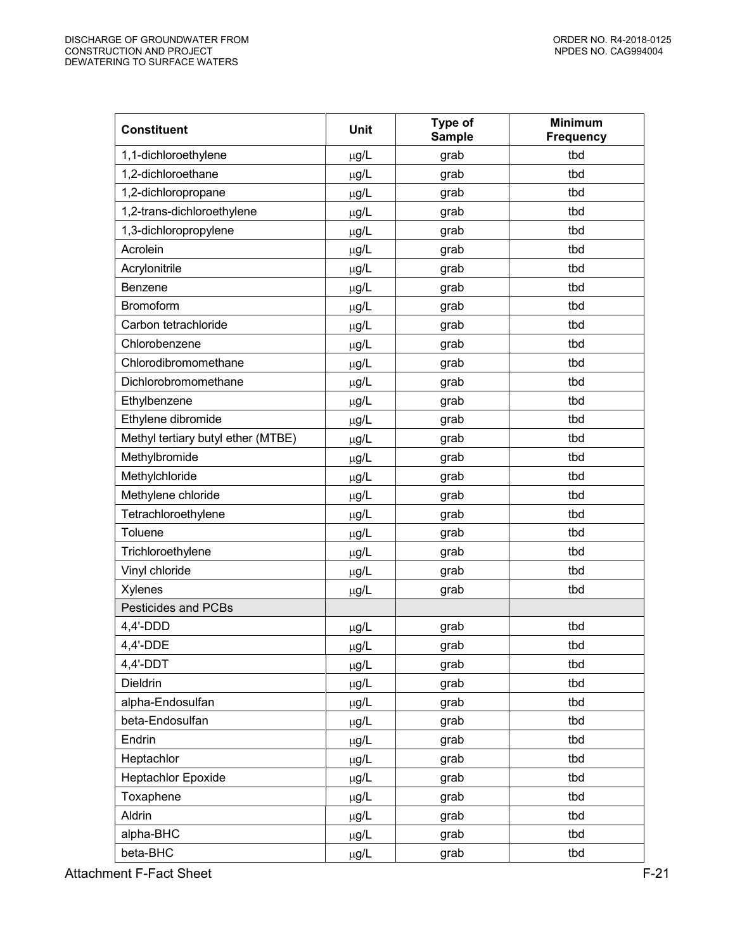| <b>Constituent</b>                 | <b>Unit</b> | Type of<br><b>Sample</b> | <b>Minimum</b><br><b>Frequency</b> |
|------------------------------------|-------------|--------------------------|------------------------------------|
| 1,1-dichloroethylene               | µg/L        | grab                     | tbd                                |
| 1,2-dichloroethane                 | $\mu$ g/L   | grab                     | tbd                                |
| 1,2-dichloropropane                | µg/L        | grab                     | tbd                                |
| 1,2-trans-dichloroethylene         | µg/L        | grab                     | tbd                                |
| 1,3-dichloropropylene              | $\mu$ g/L   | grab                     | tbd                                |
| Acrolein                           | $\mu$ g/L   | grab                     | tbd                                |
| Acrylonitrile                      | $\mu$ g/L   | grab                     | tbd                                |
| <b>Benzene</b>                     | μg/L        | grab                     | tbd                                |
| Bromoform                          | $\mu$ g/L   | grab                     | tbd                                |
| Carbon tetrachloride               | $\mu$ g/L   | grab                     | tbd                                |
| Chlorobenzene                      | $\mu$ g/L   | grab                     | tbd                                |
| Chlorodibromomethane               | µg/L        | grab                     | tbd                                |
| Dichlorobromomethane               | $\mu$ g/L   | grab                     | tbd                                |
| Ethylbenzene                       | $\mu$ g/L   | grab                     | tbd                                |
| Ethylene dibromide                 | $\mu$ g/L   | grab                     | tbd                                |
| Methyl tertiary butyl ether (MTBE) | μg/L        | grab                     | tbd                                |
| Methylbromide                      | µg/L        | grab                     | tbd                                |
| Methylchloride                     | $\mu$ g/L   | grab                     | tbd                                |
| Methylene chloride                 | µg/L        | grab                     | tbd                                |
| Tetrachloroethylene                | µg/L        | grab                     | tbd                                |
| Toluene                            | $\mu$ g/L   | grab                     | tbd                                |
| Trichloroethylene                  | $\mu$ g/L   | grab                     | tbd                                |
| Vinyl chloride                     | $\mu$ g/L   | grab                     | tbd                                |
| Xylenes                            | $\mu$ g/L   | grab                     | tbd                                |
| Pesticides and PCBs                |             |                          |                                    |
| 4,4'-DDD                           | $\mu$ g/L   | grab                     | tbd                                |
| 4,4'-DDE                           | $\mu g/L$   | grab                     | tbd                                |
| $4,4'$ -DDT                        | µg/L        | grab                     | tbd                                |
| Dieldrin                           | µg/L        | grab                     | tbd                                |
| alpha-Endosulfan                   | µg/L        | grab                     | tbd                                |
| beta-Endosulfan                    | $\mu$ g/L   | grab                     | tbd                                |
| Endrin                             | $\mu$ g/L   | grab                     | tbd                                |
| Heptachlor                         | µg/L        | grab                     | tbd                                |
| <b>Heptachlor Epoxide</b>          | $\mu$ g/L   | grab                     | tbd                                |
| Toxaphene                          | $\mu$ g/L   | grab                     | tbd                                |
| Aldrin                             | µg/L        | grab                     | tbd                                |
| alpha-BHC                          | μg/L        | grab                     | tbd                                |
| beta-BHC                           | $\mu$ g/L   | grab                     | tbd                                |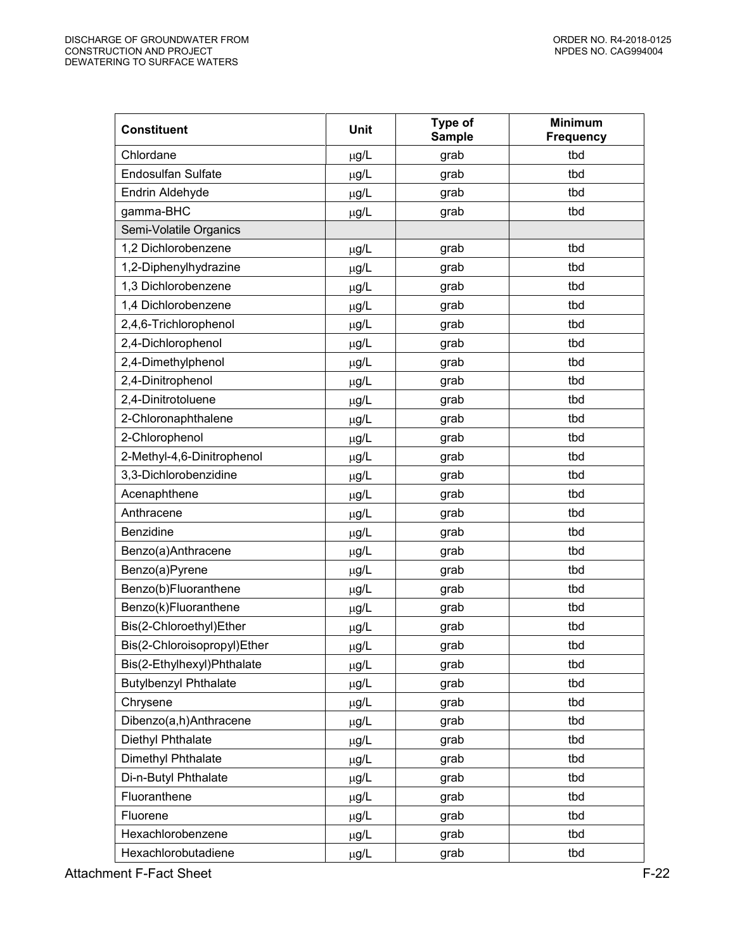| <b>Constituent</b>           | <b>Unit</b> | Type of<br><b>Sample</b> | <b>Minimum</b><br><b>Frequency</b> |
|------------------------------|-------------|--------------------------|------------------------------------|
| Chlordane                    | $\mu$ g/L   | grab                     | tbd                                |
| <b>Endosulfan Sulfate</b>    | µg/L        | grab                     | tbd                                |
| Endrin Aldehyde              | µg/L        | grab                     | tbd                                |
| gamma-BHC                    | $\mu$ g/L   | grab                     | tbd                                |
| Semi-Volatile Organics       |             |                          |                                    |
| 1,2 Dichlorobenzene          | $\mu$ g/L   | grab                     | tbd                                |
| 1,2-Diphenylhydrazine        | µg/L        | grab                     | tbd                                |
| 1,3 Dichlorobenzene          | $\mu$ g/L   | grab                     | tbd                                |
| 1,4 Dichlorobenzene          | $\mu$ g/L   | grab                     | tbd                                |
| 2,4,6-Trichlorophenol        | $\mu$ g/L   | grab                     | tbd                                |
| 2,4-Dichlorophenol           | µg/L        | grab                     | tbd                                |
| 2,4-Dimethylphenol           | $\mu$ g/L   | grab                     | tbd                                |
| 2,4-Dinitrophenol            | $\mu$ g/L   | grab                     | tbd                                |
| 2,4-Dinitrotoluene           | $\mu$ g/L   | grab                     | tbd                                |
| 2-Chloronaphthalene          | µg/L        | grab                     | tbd                                |
| 2-Chlorophenol               | $\mu$ g/L   | grab                     | tbd                                |
| 2-Methyl-4,6-Dinitrophenol   | $\mu$ g/L   | grab                     | tbd                                |
| 3,3-Dichlorobenzidine        | $\mu$ g/L   | grab                     | tbd                                |
| Acenaphthene                 | µg/L        | grab                     | tbd                                |
| Anthracene                   | $\mu$ g/L   | grab                     | tbd                                |
| Benzidine                    | $\mu$ g/L   | grab                     | tbd                                |
| Benzo(a)Anthracene           | $\mu$ g/L   | grab                     | tbd                                |
| Benzo(a)Pyrene               | µg/L        | grab                     | tbd                                |
| Benzo(b)Fluoranthene         | $\mu$ g/L   | grab                     | tbd                                |
| Benzo(k)Fluoranthene         | $\mu$ g/L   | grab                     | tbd                                |
| Bis(2-Chloroethyl)Ether      | $\mu$ g/L   | grab                     | tbd                                |
| Bis(2-Chloroisopropyl)Ether  | $\mu$ g/L   | grab                     | tbd                                |
| Bis(2-Ethylhexyl)Phthalate   | $\mu$ g/L   | grab                     | tbd                                |
| <b>Butylbenzyl Phthalate</b> | µg/L        | grab                     | tbd                                |
| Chrysene                     | µg/L        | grab                     | tbd                                |
| Dibenzo(a,h)Anthracene       | µg/L        | grab                     | tbd                                |
| Diethyl Phthalate            | µg/L        | grab                     | tbd                                |
| Dimethyl Phthalate           | $\mu$ g/L   | grab                     | tbd                                |
| Di-n-Butyl Phthalate         | µg/L        | grab                     | tbd                                |
| Fluoranthene                 | µg/L        | grab                     | tbd                                |
| Fluorene                     | $\mu$ g/L   | grab                     | tbd                                |
| Hexachlorobenzene            | μg/L        | grab                     | tbd                                |
| Hexachlorobutadiene          | µg/L        | grab                     | tbd                                |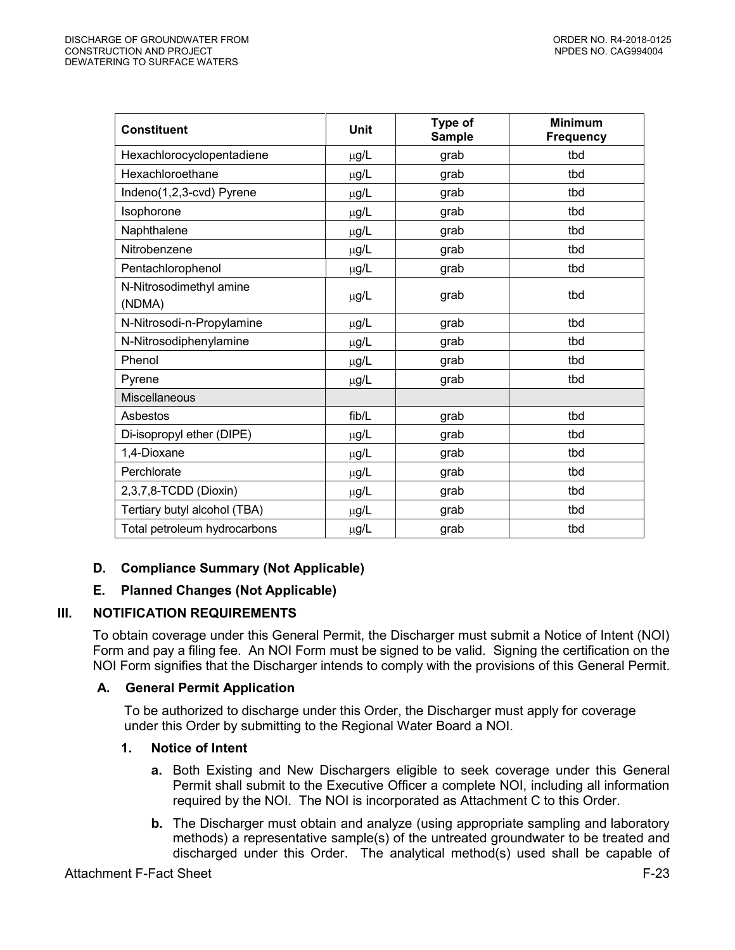| <b>Constituent</b>           | Unit      | Type of<br><b>Sample</b> | <b>Minimum</b><br><b>Frequency</b> |
|------------------------------|-----------|--------------------------|------------------------------------|
| Hexachlorocyclopentadiene    | μg/L      | grab                     | tbd                                |
| Hexachloroethane             | μg/L      | grab                     | tbd                                |
| Indeno(1,2,3-cvd) Pyrene     | µg/L      | grab                     | tbd                                |
| Isophorone                   | $\mu$ g/L | grab                     | tbd                                |
| Naphthalene                  | $\mu$ g/L | grab                     | tbd                                |
| Nitrobenzene                 | μg/L      | grab                     | tbd                                |
| Pentachlorophenol            | $\mu$ g/L | grab                     | tbd                                |
| N-Nitrosodimethyl amine      |           | grab                     | tbd                                |
| (NDMA)                       | μg/L      |                          |                                    |
| N-Nitrosodi-n-Propylamine    | $\mu$ g/L | grab                     | tbd                                |
| N-Nitrosodiphenylamine       | μg/L      | grab                     | tbd                                |
| Phenol                       | µg/L      | grab                     | tbd                                |
| Pyrene                       | $\mu$ g/L | grab                     | tbd                                |
| <b>Miscellaneous</b>         |           |                          |                                    |
| Asbestos                     | fib/L     | grab                     | tbd                                |
| Di-isopropyl ether (DIPE)    | μg/L      | grab                     | tbd                                |
| 1,4-Dioxane                  | µg/L      | grab                     | tbd                                |
| Perchlorate                  | µg/L      | grab                     | tbd                                |
| 2,3,7,8-TCDD (Dioxin)        | μg/L      | grab                     | tbd                                |
| Tertiary butyl alcohol (TBA) | μg/L      | grab                     | tbd                                |
| Total petroleum hydrocarbons | $\mu$ g/L | grab                     | tbd                                |

# <span id="page-22-0"></span>**D. Compliance Summary (Not Applicable)**

# **E. Planned Changes (Not Applicable)**

# <span id="page-22-2"></span><span id="page-22-1"></span>**III. NOTIFICATION REQUIREMENTS**

To obtain coverage under this General Permit, the Discharger must submit a Notice of Intent (NOI) Form and pay a filing fee. An NOI Form must be signed to be valid. Signing the certification on the NOI Form signifies that the Discharger intends to comply with the provisions of this General Permit.

# <span id="page-22-3"></span>**A. General Permit Application**

To be authorized to discharge under this Order, the Discharger must apply for coverage under this Order by submitting to the Regional Water Board a NOI.

# <span id="page-22-4"></span>**1. Notice of Intent**

- **a.** Both Existing and New Dischargers eligible to seek coverage under this General Permit shall submit to the Executive Officer a complete NOI, including all information required by the NOI. The NOI is incorporated as Attachment C to this Order.
- **b.** The Discharger must obtain and analyze (using appropriate sampling and laboratory methods) a representative sample(s) of the untreated groundwater to be treated and discharged under this Order. The analytical method(s) used shall be capable of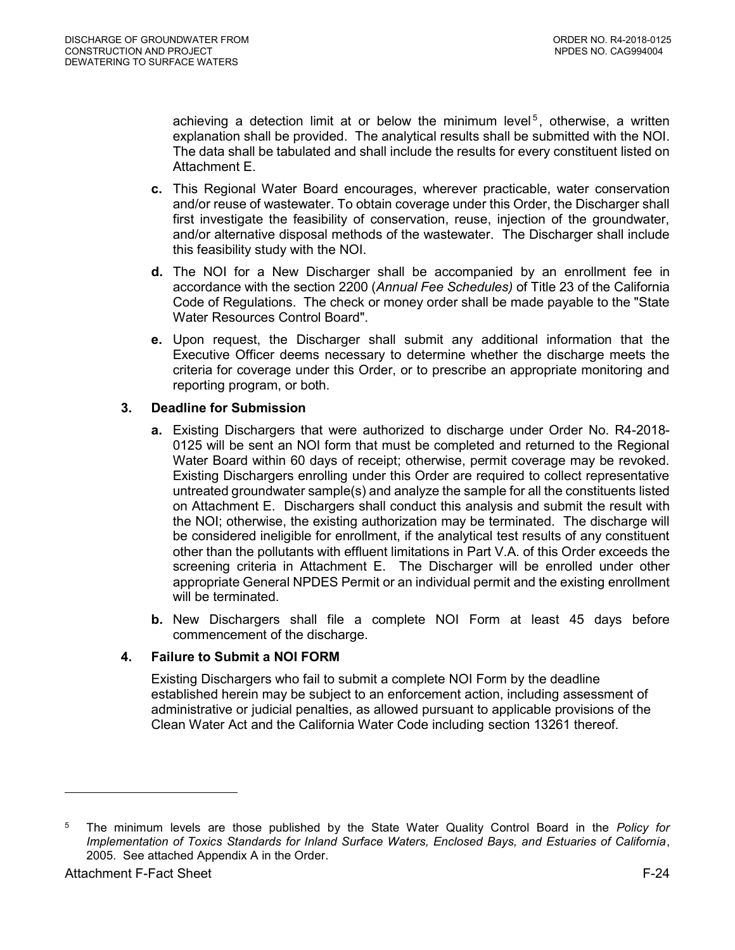achieving a detection limit at or below the minimum level<sup>5</sup>, otherwise, a written explanation shall be provided. The analytical results shall be submitted with the NOI. The data shall be tabulated and shall include the results for every constituent listed on Attachment E.

- **c.** This Regional Water Board encourages, wherever practicable, water conservation and/or reuse of wastewater. To obtain coverage under this Order, the Discharger shall first investigate the feasibility of conservation, reuse, injection of the groundwater, and/or alternative disposal methods of the wastewater. The Discharger shall include this feasibility study with the NOI.
- **d.** The NOI for a New Discharger shall be accompanied by an enrollment fee in accordance with the section 2200 (*Annual Fee Schedules)* of Title 23 of the California Code of Regulations. The check or money order shall be made payable to the "State Water Resources Control Board".
- **e.** Upon request, the Discharger shall submit any additional information that the Executive Officer deems necessary to determine whether the discharge meets the criteria for coverage under this Order, or to prescribe an appropriate monitoring and reporting program, or both.

# <span id="page-23-0"></span>**3. Deadline for Submission**

- **a.** Existing Dischargers that were authorized to discharge under Order No. R4-2018- 0125 will be sent an NOI form that must be completed and returned to the Regional Water Board within 60 days of receipt; otherwise, permit coverage may be revoked. Existing Dischargers enrolling under this Order are required to collect representative untreated groundwater sample(s) and analyze the sample for all the constituents listed on Attachment E. Dischargers shall conduct this analysis and submit the result with the NOI; otherwise, the existing authorization may be terminated. The discharge will be considered ineligible for enrollment, if the analytical test results of any constituent other than the pollutants with effluent limitations in Part V.A. of this Order exceeds the screening criteria in Attachment E. The Discharger will be enrolled under other appropriate General NPDES Permit or an individual permit and the existing enrollment will be terminated.
- **b.** New Dischargers shall file a complete NOI Form at least 45 days before commencement of the discharge.

# <span id="page-23-1"></span>**4. Failure to Submit a NOI FORM**

Existing Dischargers who fail to submit a complete NOI Form by the deadline established herein may be subject to an enforcement action, including assessment of administrative or judicial penalties, as allowed pursuant to applicable provisions of the Clean Water Act and the California Water Code including section 13261 thereof.

 $\overline{a}$ 

<sup>5</sup> The minimum levels are those published by the State Water Quality Control Board in the *Policy for Implementation of Toxics Standards for Inland Surface Waters, Enclosed Bays, and Estuaries of California*, 2005. See attached Appendix A in the Order.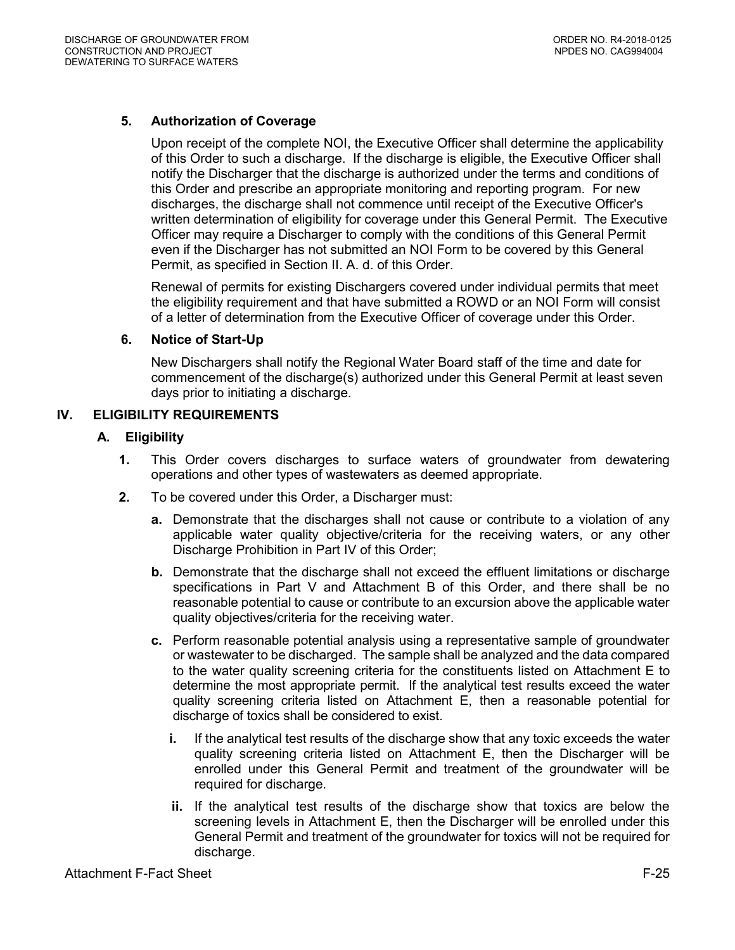# <span id="page-24-0"></span>**5. Authorization of Coverage**

Upon receipt of the complete NOI, the Executive Officer shall determine the applicability of this Order to such a discharge. If the discharge is eligible, the Executive Officer shall notify the Discharger that the discharge is authorized under the terms and conditions of this Order and prescribe an appropriate monitoring and reporting program. For new discharges, the discharge shall not commence until receipt of the Executive Officer's written determination of eligibility for coverage under this General Permit. The Executive Officer may require a Discharger to comply with the conditions of this General Permit even if the Discharger has not submitted an NOI Form to be covered by this General Permit, as specified in Section II. A. d. of this Order.

Renewal of permits for existing Dischargers covered under individual permits that meet the eligibility requirement and that have submitted a ROWD or an NOI Form will consist of a letter of determination from the Executive Officer of coverage under this Order.

### <span id="page-24-1"></span>**6. Notice of Start-Up**

New Dischargers shall notify the Regional Water Board staff of the time and date for commencement of the discharge(s) authorized under this General Permit at least seven days prior to initiating a discharge.

# <span id="page-24-3"></span><span id="page-24-2"></span>**IV. ELIGIBILITY REQUIREMENTS**

# **A. Eligibility**

- **1.** This Order covers discharges to surface waters of groundwater from dewatering operations and other types of wastewaters as deemed appropriate.
- **2.** To be covered under this Order, a Discharger must:
	- **a.** Demonstrate that the discharges shall not cause or contribute to a violation of any applicable water quality objective/criteria for the receiving waters, or any other Discharge Prohibition in Part IV of this Order;
	- **b.** Demonstrate that the discharge shall not exceed the effluent limitations or discharge specifications in Part V and Attachment B of this Order, and there shall be no reasonable potential to cause or contribute to an excursion above the applicable water quality objectives/criteria for the receiving water.
	- **c.** Perform reasonable potential analysis using a representative sample of groundwater or wastewater to be discharged. The sample shall be analyzed and the data compared to the water quality screening criteria for the constituents listed on Attachment E to determine the most appropriate permit. If the analytical test results exceed the water quality screening criteria listed on Attachment E, then a reasonable potential for discharge of toxics shall be considered to exist.
		- **i.** If the analytical test results of the discharge show that any toxic exceeds the water quality screening criteria listed on Attachment E, then the Discharger will be enrolled under this General Permit and treatment of the groundwater will be required for discharge.
		- **ii.** If the analytical test results of the discharge show that toxics are below the screening levels in Attachment E, then the Discharger will be enrolled under this General Permit and treatment of the groundwater for toxics will not be required for discharge.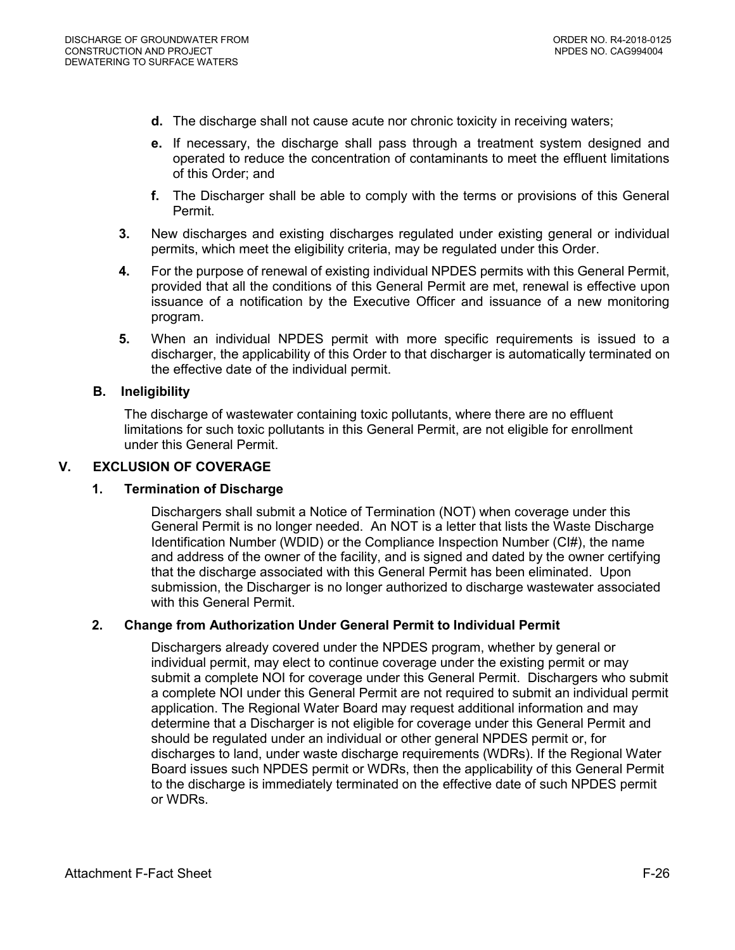- **d.** The discharge shall not cause acute nor chronic toxicity in receiving waters;
- **e.** If necessary, the discharge shall pass through a treatment system designed and operated to reduce the concentration of contaminants to meet the effluent limitations of this Order; and
- **f.** The Discharger shall be able to comply with the terms or provisions of this General Permit.
- **3.** New discharges and existing discharges regulated under existing general or individual permits, which meet the eligibility criteria, may be regulated under this Order.
- **4.** For the purpose of renewal of existing individual NPDES permits with this General Permit, provided that all the conditions of this General Permit are met, renewal is effective upon issuance of a notification by the Executive Officer and issuance of a new monitoring program.
- **5.** When an individual NPDES permit with more specific requirements is issued to a discharger, the applicability of this Order to that discharger is automatically terminated on the effective date of the individual permit.

# <span id="page-25-0"></span>**B. Ineligibility**

The discharge of wastewater containing toxic pollutants, where there are no effluent limitations for such toxic pollutants in this General Permit, are not eligible for enrollment under this General Permit.

### <span id="page-25-2"></span><span id="page-25-1"></span>**V. EXCLUSION OF COVERAGE**

#### **1. Termination of Discharge**

Dischargers shall submit a Notice of Termination (NOT) when coverage under this General Permit is no longer needed. An NOT is a letter that lists the Waste Discharge Identification Number (WDID) or the Compliance Inspection Number (CI#), the name and address of the owner of the facility, and is signed and dated by the owner certifying that the discharge associated with this General Permit has been eliminated. Upon submission, the Discharger is no longer authorized to discharge wastewater associated with this General Permit.

# <span id="page-25-3"></span>**2. Change from Authorization Under General Permit to Individual Permit**

Dischargers already covered under the NPDES program, whether by general or individual permit, may elect to continue coverage under the existing permit or may submit a complete NOI for coverage under this General Permit. Dischargers who submit a complete NOI under this General Permit are not required to submit an individual permit application. The Regional Water Board may request additional information and may determine that a Discharger is not eligible for coverage under this General Permit and should be regulated under an individual or other general NPDES permit or, for discharges to land, under waste discharge requirements (WDRs). If the Regional Water Board issues such NPDES permit or WDRs, then the applicability of this General Permit to the discharge is immediately terminated on the effective date of such NPDES permit or WDRs.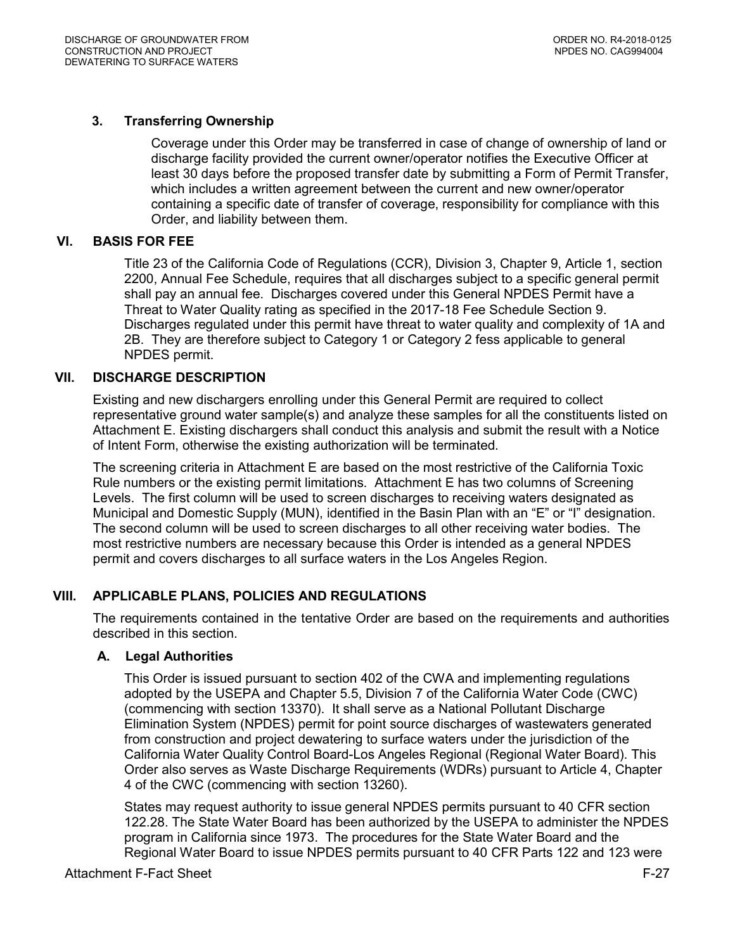# <span id="page-26-0"></span>**3. Transferring Ownership**

Coverage under this Order may be transferred in case of change of ownership of land or discharge facility provided the current owner/operator notifies the Executive Officer at least 30 days before the proposed transfer date by submitting a Form of Permit Transfer, which includes a written agreement between the current and new owner/operator containing a specific date of transfer of coverage, responsibility for compliance with this Order, and liability between them.

### <span id="page-26-2"></span><span id="page-26-1"></span>**VI. BASIS FOR FEE**

Title 23 of the California Code of Regulations (CCR), Division 3, Chapter 9, Article 1, section 2200, Annual Fee Schedule, requires that all discharges subject to a specific general permit shall pay an annual fee. Discharges covered under this General NPDES Permit have a Threat to Water Quality rating as specified in the 2017-18 Fee Schedule Section 9. Discharges regulated under this permit have threat to water quality and complexity of 1A and 2B. They are therefore subject to Category 1 or Category 2 fess applicable to general NPDES permit.

#### **VII. DISCHARGE DESCRIPTION**

Existing and new dischargers enrolling under this General Permit are required to collect representative ground water sample(s) and analyze these samples for all the constituents listed on Attachment E. Existing dischargers shall conduct this analysis and submit the result with a Notice of Intent Form, otherwise the existing authorization will be terminated.

The screening criteria in Attachment E are based on the most restrictive of the California Toxic Rule numbers or the existing permit limitations. Attachment E has two columns of Screening Levels. The first column will be used to screen discharges to receiving waters designated as Municipal and Domestic Supply (MUN), identified in the Basin Plan with an "E" or "I" designation. The second column will be used to screen discharges to all other receiving water bodies. The most restrictive numbers are necessary because this Order is intended as a general NPDES permit and covers discharges to all surface waters in the Los Angeles Region.

# <span id="page-26-3"></span>**VIII. APPLICABLE PLANS, POLICIES AND REGULATIONS**

The requirements contained in the tentative Order are based on the requirements and authorities described in this section.

#### <span id="page-26-4"></span>**A. Legal Authorities**

This Order is issued pursuant to section 402 of the CWA and implementing regulations adopted by the USEPA and Chapter 5.5, Division 7 of the California Water Code (CWC) (commencing with section 13370). It shall serve as a National Pollutant Discharge Elimination System (NPDES) permit for point source discharges of wastewaters generated from construction and project dewatering to surface waters under the jurisdiction of the California Water Quality Control Board-Los Angeles Regional (Regional Water Board). This Order also serves as Waste Discharge Requirements (WDRs) pursuant to Article 4, Chapter 4 of the CWC (commencing with section 13260).

States may request authority to issue general NPDES permits pursuant to 40 CFR section 122.28. The State Water Board has been authorized by the USEPA to administer the NPDES program in California since 1973. The procedures for the State Water Board and the Regional Water Board to issue NPDES permits pursuant to 40 CFR Parts 122 and 123 were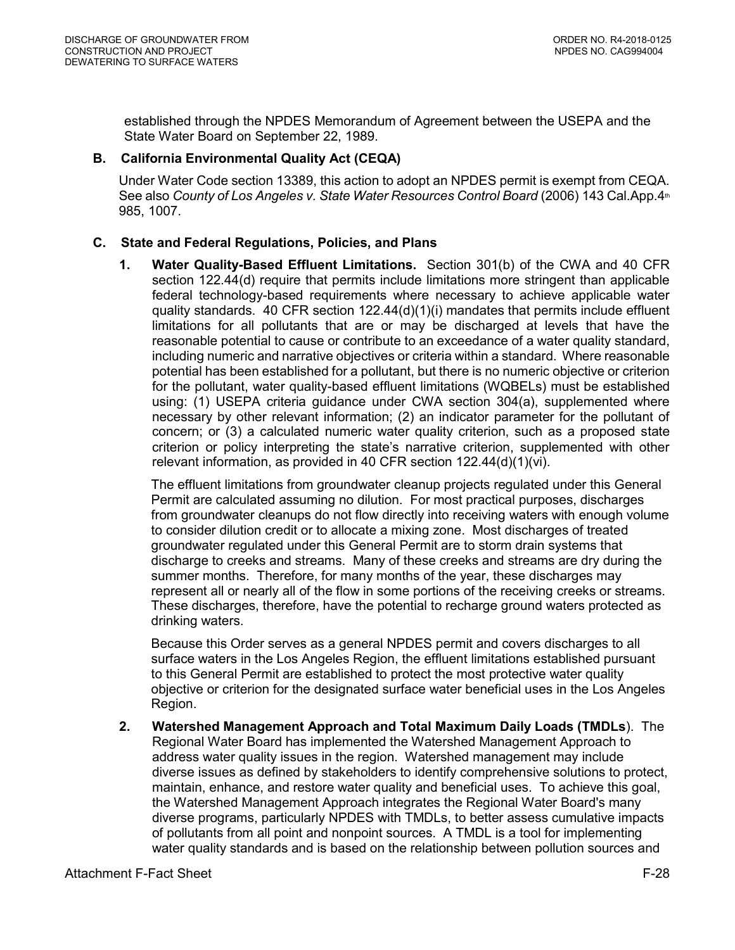established through the NPDES Memorandum of Agreement between the USEPA and the State Water Board on September 22, 1989.

# <span id="page-27-1"></span><span id="page-27-0"></span>**B. California Environmental Quality Act (CEQA)**

Under Water Code section 13389, this action to adopt an NPDES permit is exempt from CEQA. See also *County of Los Angeles v. State Water Resources Control Board* (2006) 143 Cal.App.4<sup>th</sup> 985, 1007.

# **C. State and Federal Regulations, Policies, and Plans**

**1. Water Quality-Based Effluent Limitations.** Section 301(b) of the CWA and 40 CFR section 122.44(d) require that permits include limitations more stringent than applicable federal technology-based requirements where necessary to achieve applicable water quality standards. 40 CFR section 122.44(d)(1)(i) mandates that permits include effluent limitations for all pollutants that are or may be discharged at levels that have the reasonable potential to cause or contribute to an exceedance of a water quality standard, including numeric and narrative objectives or criteria within a standard. Where reasonable potential has been established for a pollutant, but there is no numeric objective or criterion for the pollutant, water quality-based effluent limitations (WQBELs) must be established using: (1) USEPA criteria guidance under CWA section 304(a), supplemented where necessary by other relevant information; (2) an indicator parameter for the pollutant of concern; or (3) a calculated numeric water quality criterion, such as a proposed state criterion or policy interpreting the state's narrative criterion, supplemented with other relevant information, as provided in 40 CFR section 122.44(d)(1)(vi).

The effluent limitations from groundwater cleanup projects regulated under this General Permit are calculated assuming no dilution. For most practical purposes, discharges from groundwater cleanups do not flow directly into receiving waters with enough volume to consider dilution credit or to allocate a mixing zone. Most discharges of treated groundwater regulated under this General Permit are to storm drain systems that discharge to creeks and streams. Many of these creeks and streams are dry during the summer months. Therefore, for many months of the year, these discharges may represent all or nearly all of the flow in some portions of the receiving creeks or streams. These discharges, therefore, have the potential to recharge ground waters protected as drinking waters.

Because this Order serves as a general NPDES permit and covers discharges to all surface waters in the Los Angeles Region, the effluent limitations established pursuant to this General Permit are established to protect the most protective water quality objective or criterion for the designated surface water beneficial uses in the Los Angeles Region.

**2. Watershed Management Approach and Total Maximum Daily Loads (TMDLs**). The Regional Water Board has implemented the Watershed Management Approach to address water quality issues in the region. Watershed management may include diverse issues as defined by stakeholders to identify comprehensive solutions to protect, maintain, enhance, and restore water quality and beneficial uses. To achieve this goal, the Watershed Management Approach integrates the Regional Water Board's many diverse programs, particularly NPDES with TMDLs, to better assess cumulative impacts of pollutants from all point and nonpoint sources. A TMDL is a tool for implementing water quality standards and is based on the relationship between pollution sources and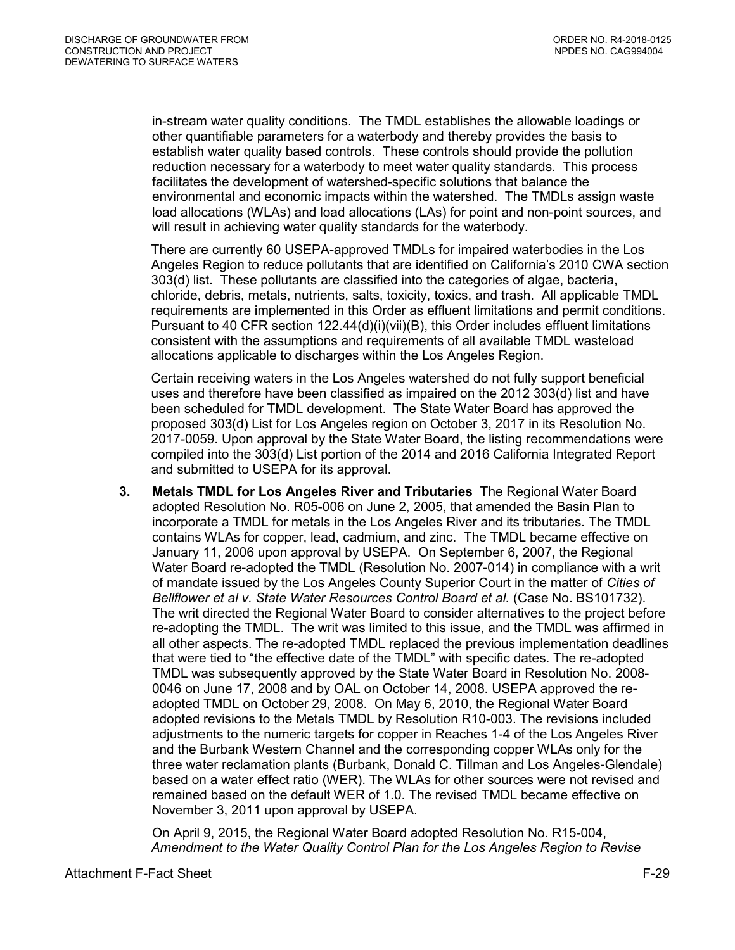in-stream water quality conditions. The TMDL establishes the allowable loadings or other quantifiable parameters for a waterbody and thereby provides the basis to establish water quality based controls. These controls should provide the pollution reduction necessary for a waterbody to meet water quality standards. This process facilitates the development of watershed-specific solutions that balance the environmental and economic impacts within the watershed. The TMDLs assign waste load allocations (WLAs) and load allocations (LAs) for point and non-point sources, and will result in achieving water quality standards for the waterbody.

There are currently 60 USEPA-approved TMDLs for impaired waterbodies in the Los Angeles Region to reduce pollutants that are identified on California's 2010 CWA section 303(d) list. These pollutants are classified into the categories of algae, bacteria, chloride, debris, metals, nutrients, salts, toxicity, toxics, and trash. All applicable TMDL requirements are implemented in this Order as effluent limitations and permit conditions. Pursuant to 40 CFR section 122.44(d)(i)(vii)(B), this Order includes effluent limitations consistent with the assumptions and requirements of all available TMDL wasteload allocations applicable to discharges within the Los Angeles Region.

Certain receiving waters in the Los Angeles watershed do not fully support beneficial uses and therefore have been classified as impaired on the 2012 303(d) list and have been scheduled for TMDL development. The State Water Board has approved the proposed 303(d) List for Los Angeles region on October 3, 2017 in its Resolution No. 2017-0059. Upon approval by the State Water Board, the listing recommendations were compiled into the 303(d) List portion of the 2014 and 2016 California Integrated Report and submitted to USEPA for its approval.

**3. Metals TMDL for Los Angeles River and Tributaries** The Regional Water Board adopted Resolution No. R05-006 on June 2, 2005, that amended the Basin Plan to incorporate a TMDL for metals in the Los Angeles River and its tributaries. The TMDL contains WLAs for copper, lead, cadmium, and zinc. The TMDL became effective on January 11, 2006 upon approval by USEPA. On September 6, 2007, the Regional Water Board re-adopted the TMDL (Resolution No. 2007-014) in compliance with a writ of mandate issued by the Los Angeles County Superior Court in the matter of *Cities of Bellflower et al v. State Water Resources Control Board et al.* (Case No. BS101732). The writ directed the Regional Water Board to consider alternatives to the project before re-adopting the TMDL. The writ was limited to this issue, and the TMDL was affirmed in all other aspects. The re-adopted TMDL replaced the previous implementation deadlines that were tied to "the effective date of the TMDL" with specific dates. The re-adopted TMDL was subsequently approved by the State Water Board in Resolution No. 2008- 0046 on June 17, 2008 and by OAL on October 14, 2008. USEPA approved the readopted TMDL on October 29, 2008. On May 6, 2010, the Regional Water Board adopted revisions to the Metals TMDL by Resolution R10-003. The revisions included adjustments to the numeric targets for copper in Reaches 1-4 of the Los Angeles River and the Burbank Western Channel and the corresponding copper WLAs only for the three water reclamation plants (Burbank, Donald C. Tillman and Los Angeles-Glendale) based on a water effect ratio (WER). The WLAs for other sources were not revised and remained based on the default WER of 1.0. The revised TMDL became effective on November 3, 2011 upon approval by USEPA.

On April 9, 2015, the Regional Water Board adopted Resolution No. R15-004, *Amendment to the Water Quality Control Plan for the Los Angeles Region to Revise*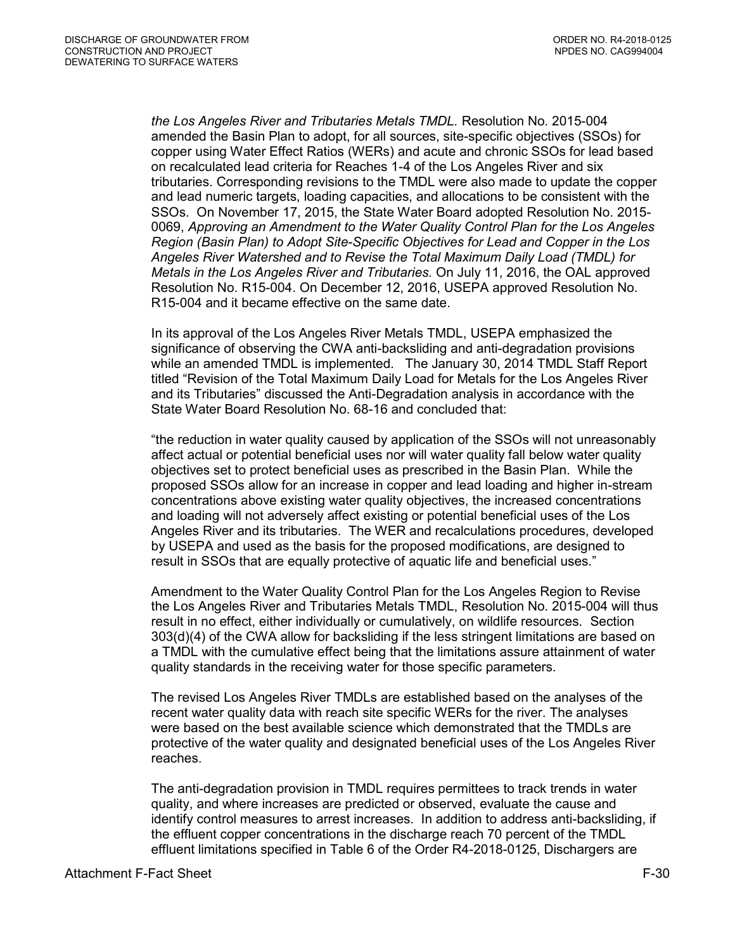*the Los Angeles River and Tributaries Metals TMDL.* Resolution No. 2015-004 amended the Basin Plan to adopt, for all sources, site-specific objectives (SSOs) for copper using Water Effect Ratios (WERs) and acute and chronic SSOs for lead based on recalculated lead criteria for Reaches 1-4 of the Los Angeles River and six tributaries. Corresponding revisions to the TMDL were also made to update the copper and lead numeric targets, loading capacities, and allocations to be consistent with the SSOs. On November 17, 2015, the State Water Board adopted Resolution No. 2015- 0069, *Approving an Amendment to the Water Quality Control Plan for the Los Angeles Region (Basin Plan) to Adopt Site-Specific Objectives for Lead and Copper in the Los Angeles River Watershed and to Revise the Total Maximum Daily Load (TMDL) for Metals in the Los Angeles River and Tributaries.* On July 11, 2016, the OAL approved Resolution No. R15-004. On December 12, 2016, USEPA approved Resolution No. R15-004 and it became effective on the same date.

In its approval of the Los Angeles River Metals TMDL, USEPA emphasized the significance of observing the CWA anti-backsliding and anti-degradation provisions while an amended TMDL is implemented. The January 30, 2014 TMDL Staff Report titled "Revision of the Total Maximum Daily Load for Metals for the Los Angeles River and its Tributaries" discussed the Anti-Degradation analysis in accordance with the State Water Board Resolution No. 68-16 and concluded that:

"the reduction in water quality caused by application of the SSOs will not unreasonably affect actual or potential beneficial uses nor will water quality fall below water quality objectives set to protect beneficial uses as prescribed in the Basin Plan. While the proposed SSOs allow for an increase in copper and lead loading and higher in-stream concentrations above existing water quality objectives, the increased concentrations and loading will not adversely affect existing or potential beneficial uses of the Los Angeles River and its tributaries. The WER and recalculations procedures, developed by USEPA and used as the basis for the proposed modifications, are designed to result in SSOs that are equally protective of aquatic life and beneficial uses."

Amendment to the Water Quality Control Plan for the Los Angeles Region to Revise the Los Angeles River and Tributaries Metals TMDL, Resolution No. 2015-004 will thus result in no effect, either individually or cumulatively, on wildlife resources. Section 303(d)(4) of the CWA allow for backsliding if the less stringent limitations are based on a TMDL with the cumulative effect being that the limitations assure attainment of water quality standards in the receiving water for those specific parameters.

The revised Los Angeles River TMDLs are established based on the analyses of the recent water quality data with reach site specific WERs for the river. The analyses were based on the best available science which demonstrated that the TMDLs are protective of the water quality and designated beneficial uses of the Los Angeles River reaches.

The anti-degradation provision in TMDL requires permittees to track trends in water quality, and where increases are predicted or observed, evaluate the cause and identify control measures to arrest increases. In addition to address anti-backsliding, if the effluent copper concentrations in the discharge reach 70 percent of the TMDL effluent limitations specified in Table 6 of the Order R4-2018-0125, Dischargers are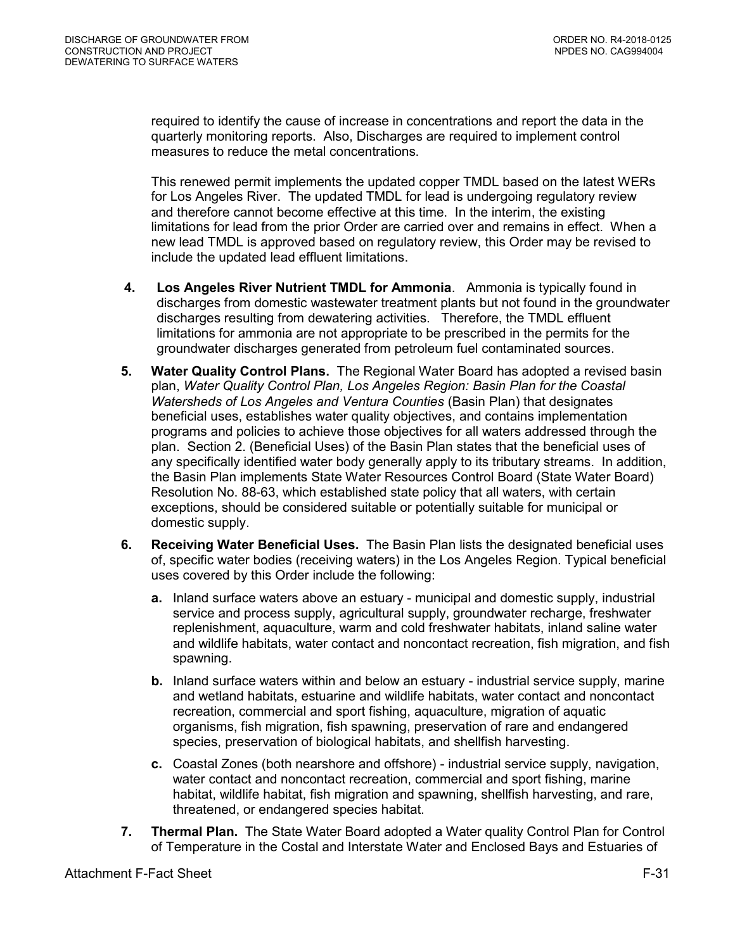required to identify the cause of increase in concentrations and report the data in the quarterly monitoring reports. Also, Discharges are required to implement control measures to reduce the metal concentrations.

This renewed permit implements the updated copper TMDL based on the latest WERs for Los Angeles River. The updated TMDL for lead is undergoing regulatory review and therefore cannot become effective at this time. In the interim, the existing limitations for lead from the prior Order are carried over and remains in effect. When a new lead TMDL is approved based on regulatory review, this Order may be revised to include the updated lead effluent limitations.

- **4. Los Angeles River Nutrient TMDL for Ammonia**. Ammonia is typically found in discharges from domestic wastewater treatment plants but not found in the groundwater discharges resulting from dewatering activities. Therefore, the TMDL effluent limitations for ammonia are not appropriate to be prescribed in the permits for the groundwater discharges generated from petroleum fuel contaminated sources.
- **5. Water Quality Control Plans.** The Regional Water Board has adopted a revised basin plan, *Water Quality Control Plan, Los Angeles Region: Basin Plan for the Coastal Watersheds of Los Angeles and Ventura Counties* (Basin Plan) that designates beneficial uses, establishes water quality objectives, and contains implementation programs and policies to achieve those objectives for all waters addressed through the plan. Section 2. (Beneficial Uses) of the Basin Plan states that the beneficial uses of any specifically identified water body generally apply to its tributary streams. In addition, the Basin Plan implements State Water Resources Control Board (State Water Board) Resolution No. 88-63, which established state policy that all waters, with certain exceptions, should be considered suitable or potentially suitable for municipal or domestic supply.
- **6. Receiving Water Beneficial Uses.** The Basin Plan lists the designated beneficial uses of, specific water bodies (receiving waters) in the Los Angeles Region. Typical beneficial uses covered by this Order include the following:
	- **a.** Inland surface waters above an estuary municipal and domestic supply, industrial service and process supply, agricultural supply, groundwater recharge, freshwater replenishment, aquaculture, warm and cold freshwater habitats, inland saline water and wildlife habitats, water contact and noncontact recreation, fish migration, and fish spawning.
	- **b.** Inland surface waters within and below an estuary industrial service supply, marine and wetland habitats, estuarine and wildlife habitats, water contact and noncontact recreation, commercial and sport fishing, aquaculture, migration of aquatic organisms, fish migration, fish spawning, preservation of rare and endangered species, preservation of biological habitats, and shellfish harvesting.
	- **c.** Coastal Zones (both nearshore and offshore) industrial service supply, navigation, water contact and noncontact recreation, commercial and sport fishing, marine habitat, wildlife habitat, fish migration and spawning, shellfish harvesting, and rare, threatened, or endangered species habitat.
- **7. Thermal Plan.** The State Water Board adopted a Water quality Control Plan for Control of Temperature in the Costal and Interstate Water and Enclosed Bays and Estuaries of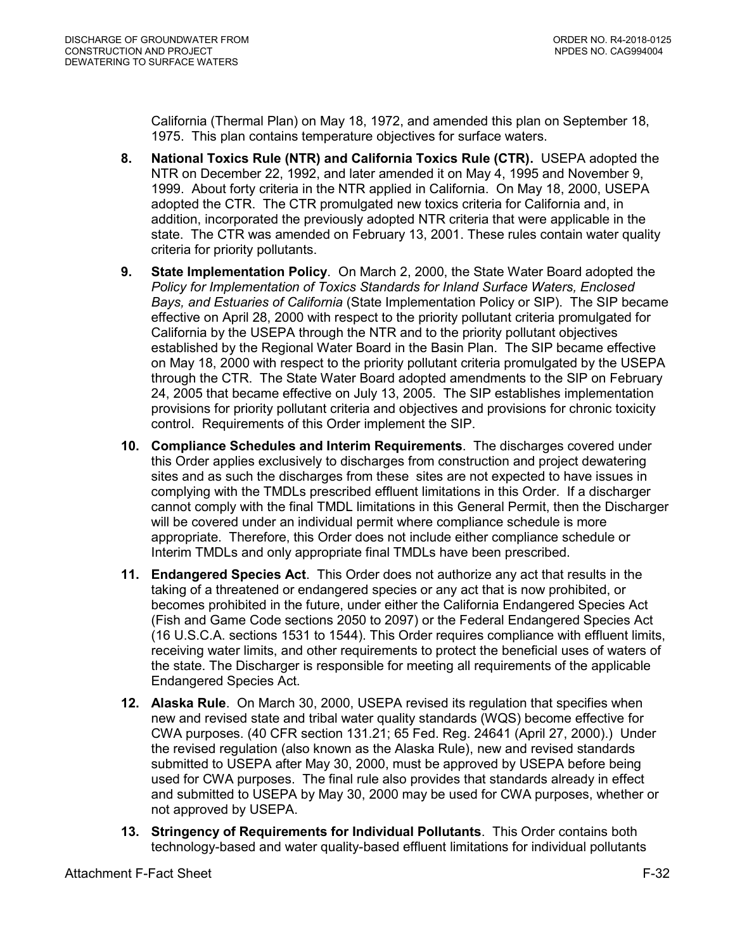California (Thermal Plan) on May 18, 1972, and amended this plan on September 18, 1975. This plan contains temperature objectives for surface waters.

- **8. National Toxics Rule (NTR) and California Toxics Rule (CTR).** USEPA adopted the NTR on December 22, 1992, and later amended it on May 4, 1995 and November 9, 1999. About forty criteria in the NTR applied in California. On May 18, 2000, USEPA adopted the CTR. The CTR promulgated new toxics criteria for California and, in addition, incorporated the previously adopted NTR criteria that were applicable in the state. The CTR was amended on February 13, 2001. These rules contain water quality criteria for priority pollutants.
- **9. State Implementation Policy**. On March 2, 2000, the State Water Board adopted the *Policy for Implementation of Toxics Standards for Inland Surface Waters, Enclosed Bays, and Estuaries of California* (State Implementation Policy or SIP). The SIP became effective on April 28, 2000 with respect to the priority pollutant criteria promulgated for California by the USEPA through the NTR and to the priority pollutant objectives established by the Regional Water Board in the Basin Plan. The SIP became effective on May 18, 2000 with respect to the priority pollutant criteria promulgated by the USEPA through the CTR. The State Water Board adopted amendments to the SIP on February 24, 2005 that became effective on July 13, 2005. The SIP establishes implementation provisions for priority pollutant criteria and objectives and provisions for chronic toxicity control. Requirements of this Order implement the SIP.
- **10. Compliance Schedules and Interim Requirements**. The discharges covered under this Order applies exclusively to discharges from construction and project dewatering sites and as such the discharges from these sites are not expected to have issues in complying with the TMDLs prescribed effluent limitations in this Order. If a discharger cannot comply with the final TMDL limitations in this General Permit, then the Discharger will be covered under an individual permit where compliance schedule is more appropriate. Therefore, this Order does not include either compliance schedule or Interim TMDLs and only appropriate final TMDLs have been prescribed.
- **11. Endangered Species Act**. This Order does not authorize any act that results in the taking of a threatened or endangered species or any act that is now prohibited, or becomes prohibited in the future, under either the California Endangered Species Act (Fish and Game Code sections 2050 to 2097) or the Federal Endangered Species Act (16 U.S.C.A. sections 1531 to 1544). This Order requires compliance with effluent limits, receiving water limits, and other requirements to protect the beneficial uses of waters of the state. The Discharger is responsible for meeting all requirements of the applicable Endangered Species Act.
- **12. Alaska Rule**. On March 30, 2000, USEPA revised its regulation that specifies when new and revised state and tribal water quality standards (WQS) become effective for CWA purposes. (40 CFR section 131.21; 65 Fed. Reg. 24641 (April 27, 2000).) Under the revised regulation (also known as the Alaska Rule), new and revised standards submitted to USEPA after May 30, 2000, must be approved by USEPA before being used for CWA purposes. The final rule also provides that standards already in effect and submitted to USEPA by May 30, 2000 may be used for CWA purposes, whether or not approved by USEPA.
- **13. Stringency of Requirements for Individual Pollutants**. This Order contains both technology-based and water quality-based effluent limitations for individual pollutants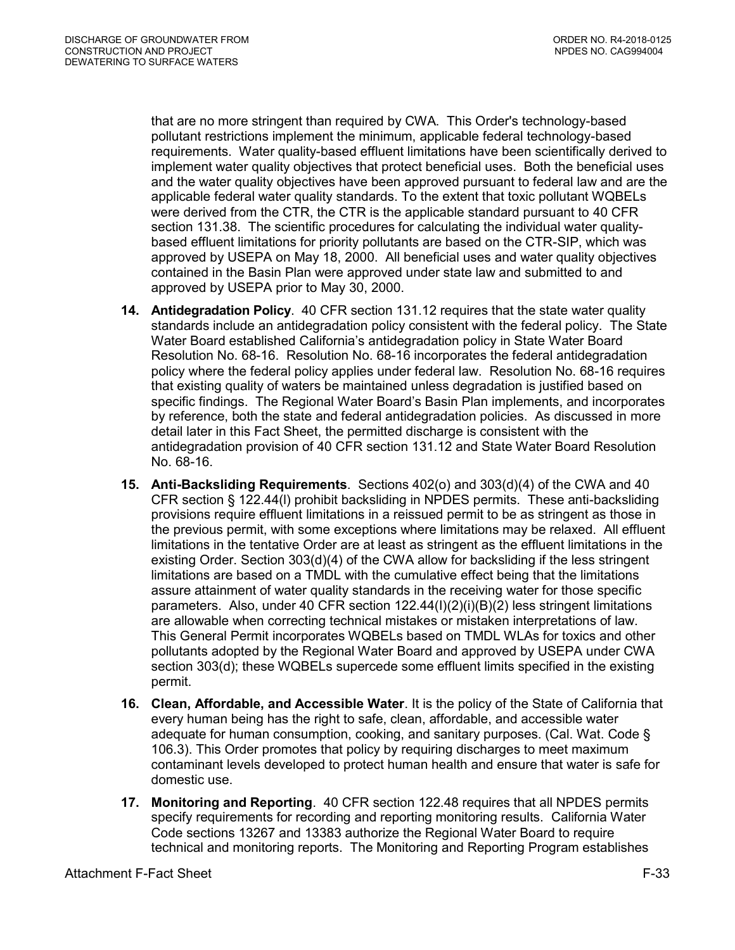that are no more stringent than required by CWA. This Order's technology-based pollutant restrictions implement the minimum, applicable federal technology-based requirements. Water quality-based effluent limitations have been scientifically derived to implement water quality objectives that protect beneficial uses. Both the beneficial uses and the water quality objectives have been approved pursuant to federal law and are the applicable federal water quality standards. To the extent that toxic pollutant WQBELs were derived from the CTR, the CTR is the applicable standard pursuant to 40 CFR section 131.38. The scientific procedures for calculating the individual water qualitybased effluent limitations for priority pollutants are based on the CTR-SIP, which was approved by USEPA on May 18, 2000. All beneficial uses and water quality objectives contained in the Basin Plan were approved under state law and submitted to and approved by USEPA prior to May 30, 2000.

- **14. Antidegradation Policy**. 40 CFR section 131.12 requires that the state water quality standards include an antidegradation policy consistent with the federal policy. The State Water Board established California's antidegradation policy in State Water Board Resolution No. 68-16. Resolution No. 68-16 incorporates the federal antidegradation policy where the federal policy applies under federal law. Resolution No. 68-16 requires that existing quality of waters be maintained unless degradation is justified based on specific findings. The Regional Water Board's Basin Plan implements, and incorporates by reference, both the state and federal antidegradation policies. As discussed in more detail later in this Fact Sheet, the permitted discharge is consistent with the antidegradation provision of 40 CFR section 131.12 and State Water Board Resolution No. 68-16.
- **15. Anti-Backsliding Requirements**. Sections 402(o) and 303(d)(4) of the CWA and 40 CFR section § 122.44(l) prohibit backsliding in NPDES permits. These anti-backsliding provisions require effluent limitations in a reissued permit to be as stringent as those in the previous permit, with some exceptions where limitations may be relaxed. All effluent limitations in the tentative Order are at least as stringent as the effluent limitations in the existing Order. Section 303(d)(4) of the CWA allow for backsliding if the less stringent limitations are based on a TMDL with the cumulative effect being that the limitations assure attainment of water quality standards in the receiving water for those specific parameters. Also, under 40 CFR section 122.44(I)(2)(i)(B)(2) less stringent limitations are allowable when correcting technical mistakes or mistaken interpretations of law. This General Permit incorporates WQBELs based on TMDL WLAs for toxics and other pollutants adopted by the Regional Water Board and approved by USEPA under CWA section 303(d); these WQBELs supercede some effluent limits specified in the existing permit.
- **16. Clean, Affordable, and Accessible Water**. It is the policy of the State of California that every human being has the right to safe, clean, affordable, and accessible water adequate for human consumption, cooking, and sanitary purposes. (Cal. Wat. Code § 106.3). This Order promotes that policy by requiring discharges to meet maximum contaminant levels developed to protect human health and ensure that water is safe for domestic use.
- **17. Monitoring and Reporting**. 40 CFR section 122.48 requires that all NPDES permits specify requirements for recording and reporting monitoring results. California Water Code sections 13267 and 13383 authorize the Regional Water Board to require technical and monitoring reports. The Monitoring and Reporting Program establishes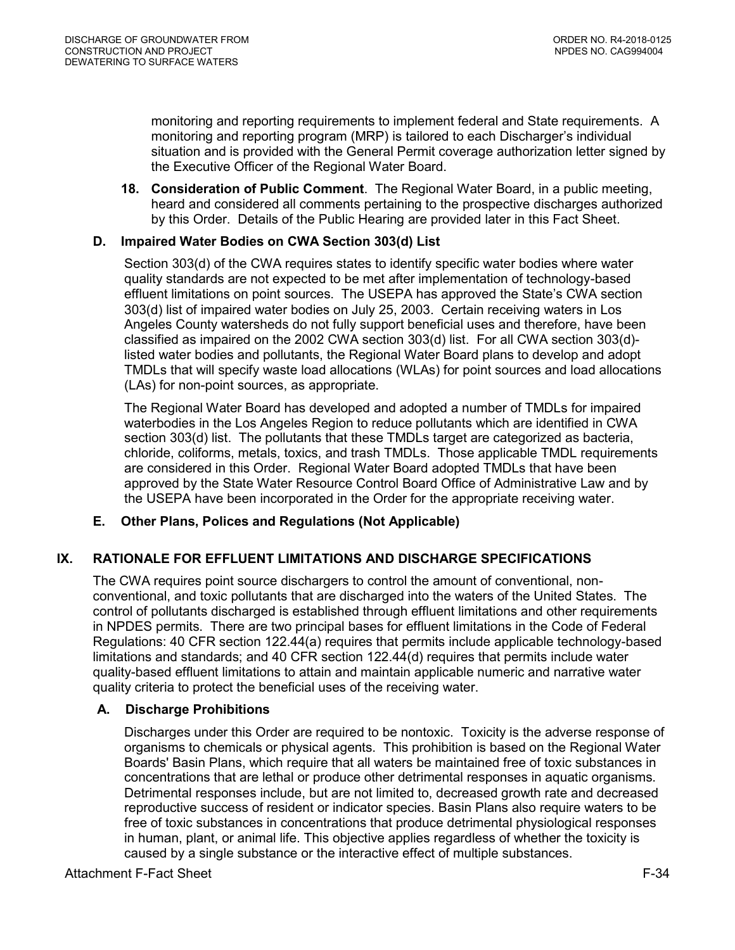monitoring and reporting requirements to implement federal and State requirements. A monitoring and reporting program (MRP) is tailored to each Discharger's individual situation and is provided with the General Permit coverage authorization letter signed by the Executive Officer of the Regional Water Board.

**18. Consideration of Public Comment**. The Regional Water Board, in a public meeting, heard and considered all comments pertaining to the prospective discharges authorized by this Order. Details of the Public Hearing are provided later in this Fact Sheet.

# <span id="page-33-0"></span>**D. Impaired Water Bodies on CWA Section 303(d) List**

Section 303(d) of the CWA requires states to identify specific water bodies where water quality standards are not expected to be met after implementation of technology-based effluent limitations on point sources. The USEPA has approved the State's CWA section 303(d) list of impaired water bodies on July 25, 2003. Certain receiving waters in Los Angeles County watersheds do not fully support beneficial uses and therefore, have been classified as impaired on the 2002 CWA section 303(d) list. For all CWA section 303(d) listed water bodies and pollutants, the Regional Water Board plans to develop and adopt TMDLs that will specify waste load allocations (WLAs) for point sources and load allocations (LAs) for non-point sources, as appropriate.

The Regional Water Board has developed and adopted a number of TMDLs for impaired waterbodies in the Los Angeles Region to reduce pollutants which are identified in CWA section 303(d) list. The pollutants that these TMDLs target are categorized as bacteria, chloride, coliforms, metals, toxics, and trash TMDLs. Those applicable TMDL requirements are considered in this Order. Regional Water Board adopted TMDLs that have been approved by the State Water Resource Control Board Office of Administrative Law and by the USEPA have been incorporated in the Order for the appropriate receiving water.

# <span id="page-33-1"></span>**E. Other Plans, Polices and Regulations (Not Applicable)**

# <span id="page-33-2"></span>**IX. RATIONALE FOR EFFLUENT LIMITATIONS AND DISCHARGE SPECIFICATIONS**

The CWA requires point source dischargers to control the amount of conventional, nonconventional, and toxic pollutants that are discharged into the waters of the United States. The control of pollutants discharged is established through effluent limitations and other requirements in NPDES permits. There are two principal bases for effluent limitations in the Code of Federal Regulations: 40 CFR section 122.44(a) requires that permits include applicable technology-based limitations and standards; and 40 CFR section 122.44(d) requires that permits include water quality-based effluent limitations to attain and maintain applicable numeric and narrative water quality criteria to protect the beneficial uses of the receiving water.

# <span id="page-33-3"></span>**A. Discharge Prohibitions**

Discharges under this Order are required to be nontoxic. Toxicity is the adverse response of organisms to chemicals or physical agents. This prohibition is based on the Regional Water Boards' Basin Plans, which require that all waters be maintained free of toxic substances in concentrations that are lethal or produce other detrimental responses in aquatic organisms. Detrimental responses include, but are not limited to, decreased growth rate and decreased reproductive success of resident or indicator species. Basin Plans also require waters to be free of toxic substances in concentrations that produce detrimental physiological responses in human, plant, or animal life. This objective applies regardless of whether the toxicity is caused by a single substance or the interactive effect of multiple substances.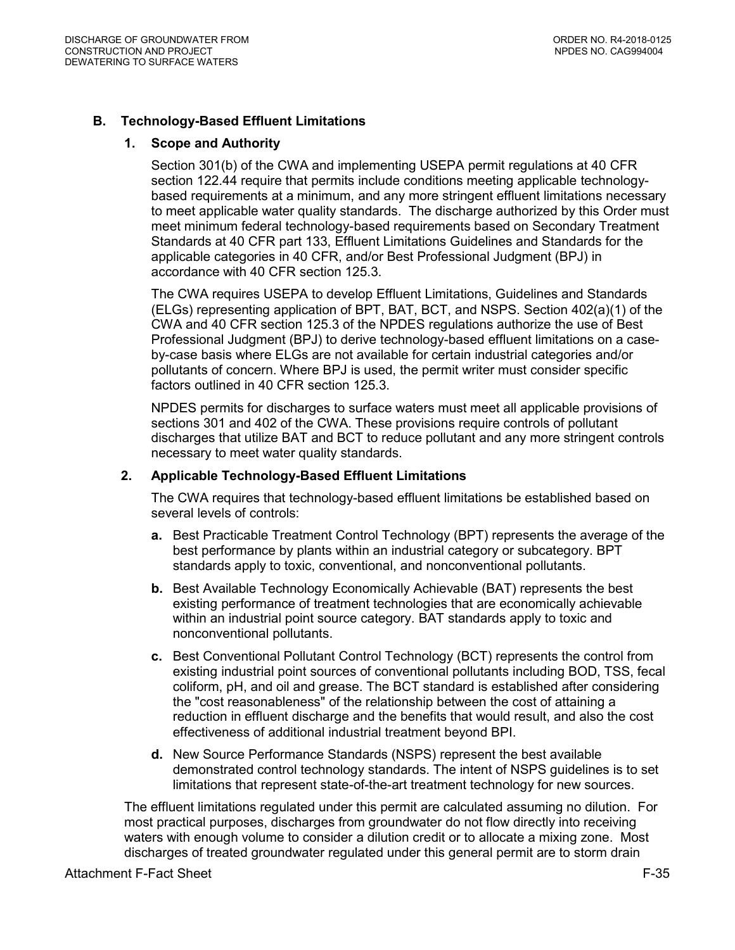# <span id="page-34-1"></span><span id="page-34-0"></span>**B. Technology-Based Effluent Limitations**

#### **1. Scope and Authority**

Section 301(b) of the CWA and implementing USEPA permit regulations at 40 CFR section 122.44 require that permits include conditions meeting applicable technologybased requirements at a minimum, and any more stringent effluent limitations necessary to meet applicable water quality standards. The discharge authorized by this Order must meet minimum federal technology-based requirements based on Secondary Treatment Standards at 40 CFR part 133, Effluent Limitations Guidelines and Standards for the applicable categories in 40 CFR, and/or Best Professional Judgment (BPJ) in accordance with 40 CFR section 125.3.

The CWA requires USEPA to develop Effluent Limitations, Guidelines and Standards (ELGs) representing application of BPT, BAT, BCT, and NSPS. Section 402(a)(1) of the CWA and 40 CFR section 125.3 of the NPDES regulations authorize the use of Best Professional Judgment (BPJ) to derive technology-based effluent limitations on a caseby-case basis where ELGs are not available for certain industrial categories and/or pollutants of concern. Where BPJ is used, the permit writer must consider specific factors outlined in 40 CFR section 125.3.

NPDES permits for discharges to surface waters must meet all applicable provisions of sections 301 and 402 of the CWA. These provisions require controls of pollutant discharges that utilize BAT and BCT to reduce pollutant and any more stringent controls necessary to meet water quality standards.

#### <span id="page-34-2"></span>**2. Applicable Technology-Based Effluent Limitations**

The CWA requires that technology-based effluent limitations be established based on several levels of controls:

- **a.** Best Practicable Treatment Control Technology (BPT) represents the average of the best performance by plants within an industrial category or subcategory. BPT standards apply to toxic, conventional, and nonconventional pollutants.
- **b.** Best Available Technology Economically Achievable (BAT) represents the best existing performance of treatment technologies that are economically achievable within an industrial point source category. BAT standards apply to toxic and nonconventional pollutants.
- **c.** Best Conventional Pollutant Control Technology (BCT) represents the control from existing industrial point sources of conventional pollutants including BOD, TSS, fecal coliform, pH, and oil and grease. The BCT standard is established after considering the "cost reasonableness" of the relationship between the cost of attaining a reduction in effluent discharge and the benefits that would result, and also the cost effectiveness of additional industrial treatment beyond BPI.
- **d.** New Source Performance Standards (NSPS) represent the best available demonstrated control technology standards. The intent of NSPS guidelines is to set limitations that represent state-of-the-art treatment technology for new sources.

The effluent limitations regulated under this permit are calculated assuming no dilution. For most practical purposes, discharges from groundwater do not flow directly into receiving waters with enough volume to consider a dilution credit or to allocate a mixing zone. Most discharges of treated groundwater regulated under this general permit are to storm drain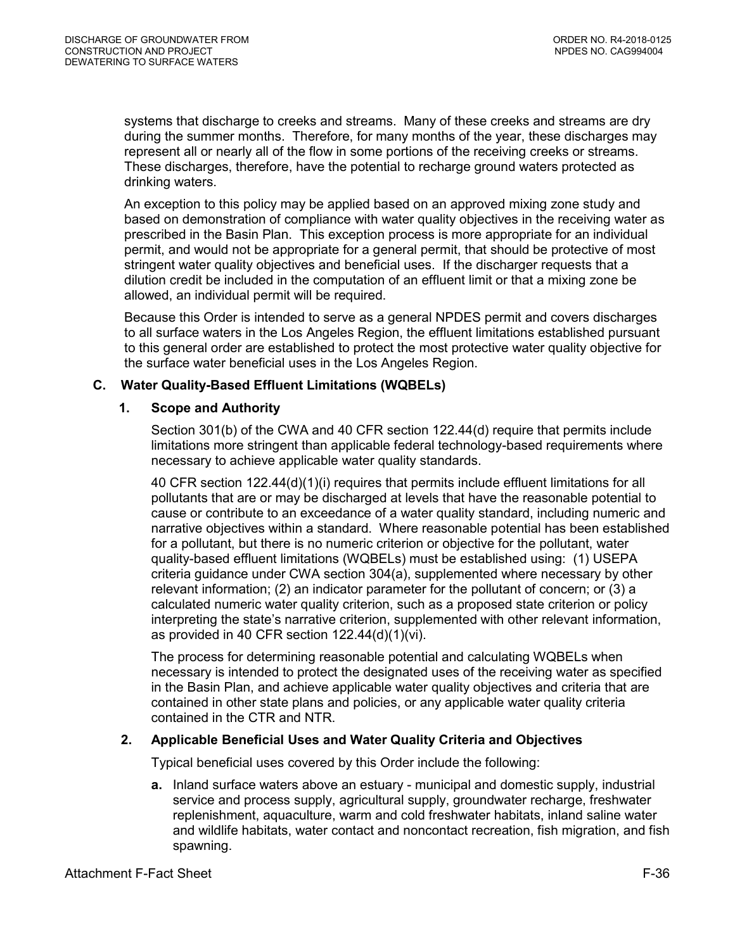systems that discharge to creeks and streams. Many of these creeks and streams are dry during the summer months. Therefore, for many months of the year, these discharges may represent all or nearly all of the flow in some portions of the receiving creeks or streams. These discharges, therefore, have the potential to recharge ground waters protected as drinking waters.

An exception to this policy may be applied based on an approved mixing zone study and based on demonstration of compliance with water quality objectives in the receiving water as prescribed in the Basin Plan. This exception process is more appropriate for an individual permit, and would not be appropriate for a general permit, that should be protective of most stringent water quality objectives and beneficial uses. If the discharger requests that a dilution credit be included in the computation of an effluent limit or that a mixing zone be allowed, an individual permit will be required.

Because this Order is intended to serve as a general NPDES permit and covers discharges to all surface waters in the Los Angeles Region, the effluent limitations established pursuant to this general order are established to protect the most protective water quality objective for the surface water beneficial uses in the Los Angeles Region.

# <span id="page-35-1"></span><span id="page-35-0"></span>**C. Water Quality-Based Effluent Limitations (WQBELs)**

#### **1. Scope and Authority**

Section 301(b) of the CWA and 40 CFR section 122.44(d) require that permits include limitations more stringent than applicable federal technology-based requirements where necessary to achieve applicable water quality standards.

40 CFR section 122.44(d)(1)(i) requires that permits include effluent limitations for all pollutants that are or may be discharged at levels that have the reasonable potential to cause or contribute to an exceedance of a water quality standard, including numeric and narrative objectives within a standard. Where reasonable potential has been established for a pollutant, but there is no numeric criterion or objective for the pollutant, water quality-based effluent limitations (WQBELs) must be established using: (1) USEPA criteria guidance under CWA section 304(a), supplemented where necessary by other relevant information; (2) an indicator parameter for the pollutant of concern; or (3) a calculated numeric water quality criterion, such as a proposed state criterion or policy interpreting the state's narrative criterion, supplemented with other relevant information, as provided in 40 CFR section 122.44(d)(1)(vi).

The process for determining reasonable potential and calculating WQBELs when necessary is intended to protect the designated uses of the receiving water as specified in the Basin Plan, and achieve applicable water quality objectives and criteria that are contained in other state plans and policies, or any applicable water quality criteria contained in the CTR and NTR.

# <span id="page-35-2"></span>**2. Applicable Beneficial Uses and Water Quality Criteria and Objectives**

Typical beneficial uses covered by this Order include the following:

**a.** Inland surface waters above an estuary - municipal and domestic supply, industrial service and process supply, agricultural supply, groundwater recharge, freshwater replenishment, aquaculture, warm and cold freshwater habitats, inland saline water and wildlife habitats, water contact and noncontact recreation, fish migration, and fish spawning.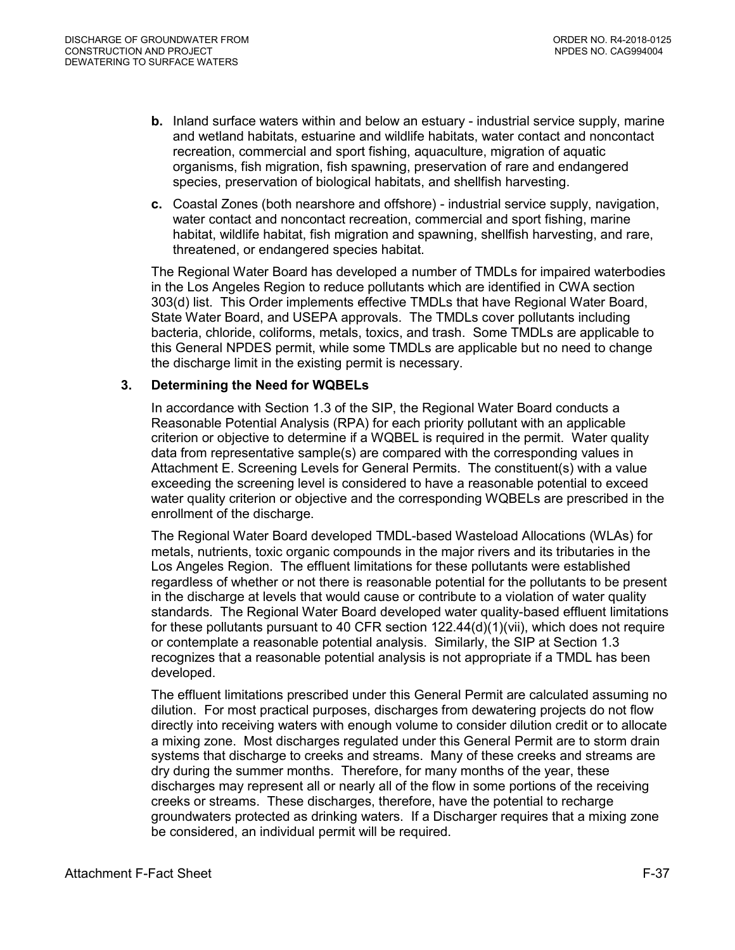- **b.** Inland surface waters within and below an estuary industrial service supply, marine and wetland habitats, estuarine and wildlife habitats, water contact and noncontact recreation, commercial and sport fishing, aquaculture, migration of aquatic organisms, fish migration, fish spawning, preservation of rare and endangered species, preservation of biological habitats, and shellfish harvesting.
- **c.** Coastal Zones (both nearshore and offshore) industrial service supply, navigation, water contact and noncontact recreation, commercial and sport fishing, marine habitat, wildlife habitat, fish migration and spawning, shellfish harvesting, and rare, threatened, or endangered species habitat.

The Regional Water Board has developed a number of TMDLs for impaired waterbodies in the Los Angeles Region to reduce pollutants which are identified in CWA section 303(d) list. This Order implements effective TMDLs that have Regional Water Board, State Water Board, and USEPA approvals. The TMDLs cover pollutants including bacteria, chloride, coliforms, metals, toxics, and trash. Some TMDLs are applicable to this General NPDES permit, while some TMDLs are applicable but no need to change the discharge limit in the existing permit is necessary.

### <span id="page-36-0"></span>**3. Determining the Need for WQBELs**

In accordance with Section 1.3 of the SIP, the Regional Water Board conducts a Reasonable Potential Analysis (RPA) for each priority pollutant with an applicable criterion or objective to determine if a WQBEL is required in the permit. Water quality data from representative sample(s) are compared with the corresponding values in Attachment E. Screening Levels for General Permits. The constituent(s) with a value exceeding the screening level is considered to have a reasonable potential to exceed water quality criterion or objective and the corresponding WQBELs are prescribed in the enrollment of the discharge.

The Regional Water Board developed TMDL-based Wasteload Allocations (WLAs) for metals, nutrients, toxic organic compounds in the major rivers and its tributaries in the Los Angeles Region. The effluent limitations for these pollutants were established regardless of whether or not there is reasonable potential for the pollutants to be present in the discharge at levels that would cause or contribute to a violation of water quality standards. The Regional Water Board developed water quality-based effluent limitations for these pollutants pursuant to 40 CFR section  $122.44(d)(1)(vii)$ , which does not require or contemplate a reasonable potential analysis. Similarly, the SIP at Section 1.3 recognizes that a reasonable potential analysis is not appropriate if a TMDL has been developed.

The effluent limitations prescribed under this General Permit are calculated assuming no dilution. For most practical purposes, discharges from dewatering projects do not flow directly into receiving waters with enough volume to consider dilution credit or to allocate a mixing zone. Most discharges regulated under this General Permit are to storm drain systems that discharge to creeks and streams. Many of these creeks and streams are dry during the summer months. Therefore, for many months of the year, these discharges may represent all or nearly all of the flow in some portions of the receiving creeks or streams. These discharges, therefore, have the potential to recharge groundwaters protected as drinking waters. If a Discharger requires that a mixing zone be considered, an individual permit will be required.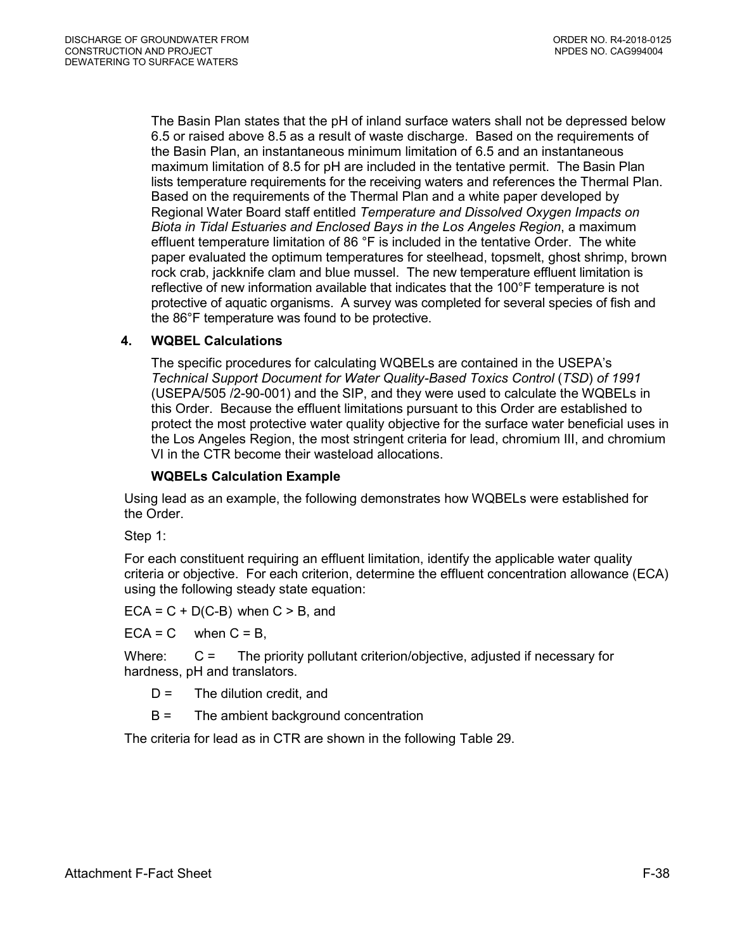The Basin Plan states that the pH of inland surface waters shall not be depressed below 6.5 or raised above 8.5 as a result of waste discharge. Based on the requirements of the Basin Plan, an instantaneous minimum limitation of 6.5 and an instantaneous maximum limitation of 8.5 for pH are included in the tentative permit. The Basin Plan lists temperature requirements for the receiving waters and references the Thermal Plan. Based on the requirements of the Thermal Plan and a white paper developed by Regional Water Board staff entitled *Temperature and Dissolved Oxygen Impacts on Biota in Tidal Estuaries and Enclosed Bays in the Los Angeles Region*, a maximum effluent temperature limitation of 86 °F is included in the tentative Order. The white paper evaluated the optimum temperatures for steelhead, topsmelt, ghost shrimp, brown rock crab, jackknife clam and blue mussel. The new temperature effluent limitation is reflective of new information available that indicates that the 100°F temperature is not protective of aquatic organisms. A survey was completed for several species of fish and the 86°F temperature was found to be protective.

# <span id="page-37-0"></span>**4. WQBEL Calculations**

The specific procedures for calculating WQBELs are contained in the USEPA's *Technical Support Document for Water Quality-Based Toxics Control* (*TSD*) *of 1991*  (USEPA/505 /2-90-001) and the SIP, and they were used to calculate the WQBELs in this Order. Because the effluent limitations pursuant to this Order are established to protect the most protective water quality objective for the surface water beneficial uses in the Los Angeles Region, the most stringent criteria for lead, chromium III, and chromium VI in the CTR become their wasteload allocations.

#### **WQBELs Calculation Example**

Using lead as an example, the following demonstrates how WQBELs were established for the Order.

Step 1:

For each constituent requiring an effluent limitation, identify the applicable water quality criteria or objective. For each criterion, determine the effluent concentration allowance (ECA) using the following steady state equation:

 $ECA = C + D(C-B)$  when  $C > B$ , and

 $ECA = C$  when  $C = B$ ,

Where: C = The priority pollutant criterion/objective, adjusted if necessary for hardness, pH and translators.

- $D =$  The dilution credit, and
- B = The ambient background concentration

The criteria for lead as in CTR are shown in the following Table 29.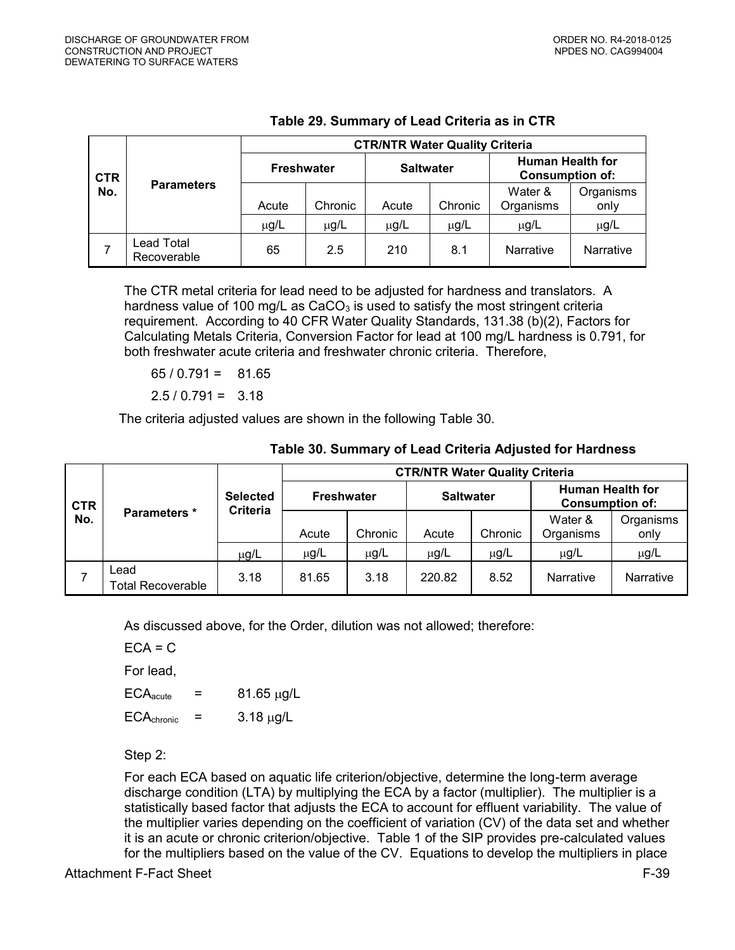<span id="page-38-0"></span>

|            |                          | <b>CTR/NTR Water Quality Criteria</b> |           |                  |           |                                                   |                   |  |  |
|------------|--------------------------|---------------------------------------|-----------|------------------|-----------|---------------------------------------------------|-------------------|--|--|
| <b>CTR</b> |                          | <b>Freshwater</b>                     |           | <b>Saltwater</b> |           | <b>Human Health for</b><br><b>Consumption of:</b> |                   |  |  |
| No.        | <b>Parameters</b>        | Acute                                 | Chronic   | Acute            | Chronic   | Water &<br>Organisms                              | Organisms<br>only |  |  |
|            |                          | $\mu$ g/L                             | $\mu$ g/L | µg/L             | $\mu$ g/L | $\mu$ g/L                                         | $\mu$ g/L         |  |  |
|            | ead Total<br>Recoverable | 65                                    | 2.5       | 210              | 8.1       | Narrative                                         | Narrative         |  |  |

# **Table 29. Summary of Lead Criteria as in CTR**

The CTR metal criteria for lead need to be adjusted for hardness and translators. A hardness value of 100 mg/L as  $CaCO<sub>3</sub>$  is used to satisfy the most stringent criteria requirement. According to 40 CFR Water Quality Standards, 131.38 (b)(2), Factors for Calculating Metals Criteria, Conversion Factor for lead at 100 mg/L hardness is 0.791, for both freshwater acute criteria and freshwater chronic criteria. Therefore,

 $65 / 0.791 = 81.65$ 

 $2.5 / 0.791 = 3.18$ 

The criteria adjusted values are shown in the following Table 30.

|            |                                  |                                                  | <b>CTR/NTR Water Quality Criteria</b> |           |                  |                      |                                                   |                  |  |  |
|------------|----------------------------------|--------------------------------------------------|---------------------------------------|-----------|------------------|----------------------|---------------------------------------------------|------------------|--|--|
| <b>CTR</b> |                                  | <b>Selected</b><br><b>Freshwater</b><br>Criteria |                                       |           | <b>Saltwater</b> |                      | <b>Human Health for</b><br><b>Consumption of:</b> |                  |  |  |
| No.        | Parameters *                     | Acute                                            | Chronic                               | Acute     | Chronic          | Water &<br>Organisms | Organisms<br>only                                 |                  |  |  |
|            |                                  | $\mu$ g/L                                        | $\mu$ g/L                             | $\mu$ g/L | $\mu$ g/L        | $\mu$ g/L            | $\mu$ g/L                                         | µg/L             |  |  |
|            | Lead<br><b>Total Recoverable</b> | 3.18                                             | 81.65                                 | 3.18      | 220.82           | 8.52                 | Narrative                                         | <b>Narrative</b> |  |  |

### **Table 30. Summary of Lead Criteria Adjusted for Hardness**

As discussed above, for the Order, dilution was not allowed; therefore:

 $ECA = C$ 

For lead,

 $ECA<sub>acute</sub>$  = 81.65  $\mu$ q/L

 $ECA_{\text{chronic}} = 3.18 \mu g/L$ 

Step 2:

For each ECA based on aquatic life criterion/objective, determine the long-term average discharge condition (LTA) by multiplying the ECA by a factor (multiplier). The multiplier is a statistically based factor that adjusts the ECA to account for effluent variability. The value of the multiplier varies depending on the coefficient of variation (CV) of the data set and whether it is an acute or chronic criterion/objective. Table 1 of the SIP provides pre-calculated values for the multipliers based on the value of the CV. Equations to develop the multipliers in place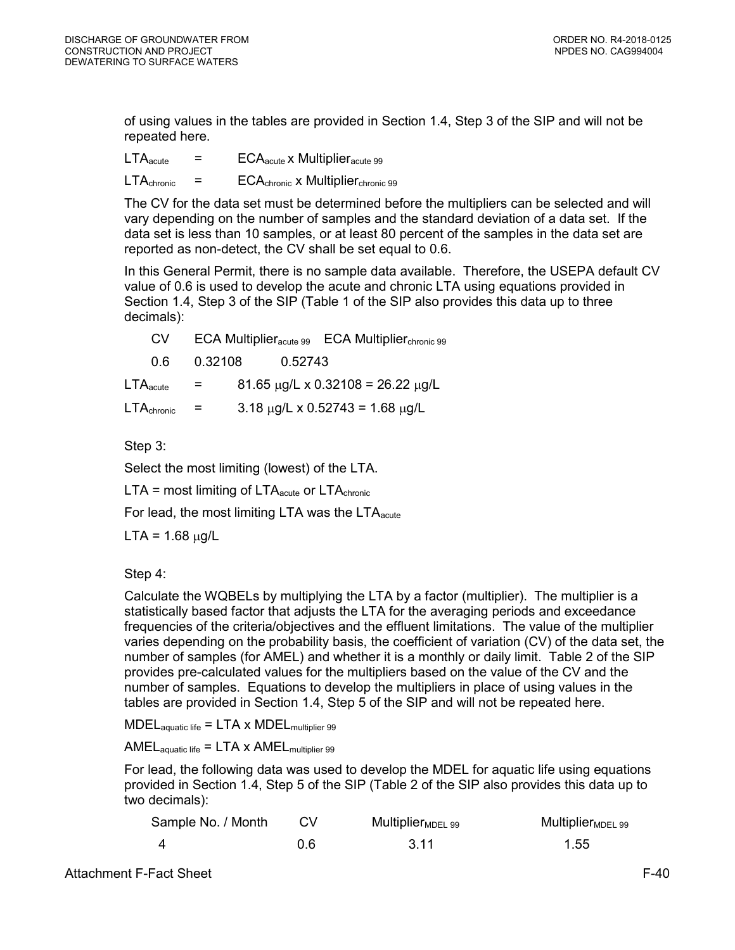of using values in the tables are provided in Section 1.4, Step 3 of the SIP and will not be repeated here.

 $LTA<sub>acute</sub>$  =  $ECA<sub>acute</sub>$  x Multiplier<sub>acute</sub> 99

 $LTA_{\text{chronic}}$  =  $ECA_{\text{chronic}}$  x Multiplier<sub>chronic</sub> 99

The CV for the data set must be determined before the multipliers can be selected and will vary depending on the number of samples and the standard deviation of a data set. If the data set is less than 10 samples, or at least 80 percent of the samples in the data set are reported as non-detect, the CV shall be set equal to 0.6.

In this General Permit, there is no sample data available. Therefore, the USEPA default CV value of 0.6 is used to develop the acute and chronic LTA using equations provided in Section 1.4, Step 3 of the SIP (Table 1 of the SIP also provides this data up to three decimals):

| CV.                           |                   | $ECA$ Multiplier $_{\text{acute 99}}$ |         | <b>ECA Multiplier</b> <sub>chronic</sub> 99    |
|-------------------------------|-------------------|---------------------------------------|---------|------------------------------------------------|
| 0 6 I                         | 0.32108           |                                       | 0.52743 |                                                |
| $\mathsf{LTA}_\mathsf{acute}$ | $\equiv$ $\equiv$ |                                       |         | $81.65 \mu g/L \times 0.32108 = 26.22 \mu g/L$ |
| LTA <sub>chronic</sub>        | $=$               |                                       |         | $3.18 \mu g/L \times 0.52743 = 1.68 \mu g/L$   |

Step 3:

Select the most limiting (lowest) of the LTA.

 $LTA =$  most limiting of  $LTA<sub>acute</sub>$  or  $LTA<sub>chronic</sub>$ 

For lead, the most limiting LTA was the  $LTA<sub>acute</sub>$ 

 $LTA = 1.68 \mu g/L$ 

Step 4:

Calculate the WQBELs by multiplying the LTA by a factor (multiplier). The multiplier is a statistically based factor that adjusts the LTA for the averaging periods and exceedance frequencies of the criteria/objectives and the effluent limitations. The value of the multiplier varies depending on the probability basis, the coefficient of variation (CV) of the data set, the number of samples (for AMEL) and whether it is a monthly or daily limit. Table 2 of the SIP provides pre-calculated values for the multipliers based on the value of the CV and the number of samples. Equations to develop the multipliers in place of using values in the tables are provided in Section 1.4, Step 5 of the SIP and will not be repeated here.

 $\text{MDEL}_{\text{aquatic life}} = \text{LTA} \times \text{MDEL}_{\text{multiplier 99}}$ 

 $AMEL_{aquatic life} = LTA \times AMEL_{multiplier 99}$ 

For lead, the following data was used to develop the MDEL for aquatic life using equations provided in Section 1.4, Step 5 of the SIP (Table 2 of the SIP also provides this data up to two decimals):

| Sample No. / Month | CV. | Multiplier $_{\text{MDEL}}$ 99 | $MultiplierMDEL$ 99 |
|--------------------|-----|--------------------------------|---------------------|
|                    | 0.6 | -3.11                          | 1.55                |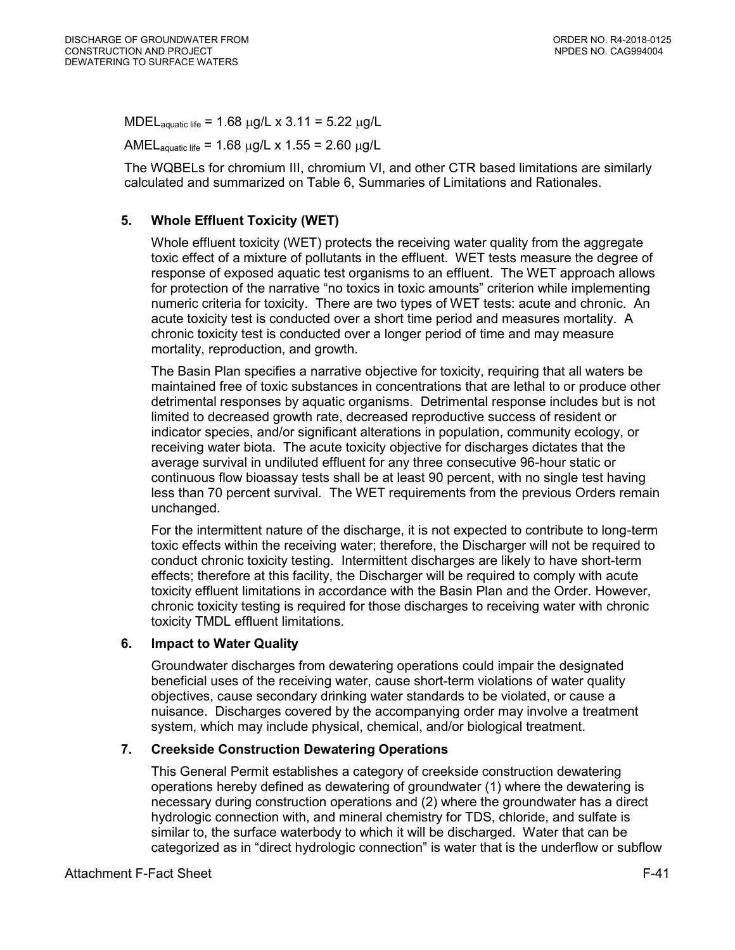MDEL<sub>aquatic life</sub> = 1.68  $\mu$ g/L x 3.11 = 5.22  $\mu$ g/L

AMEL<sub>aquatic life</sub> = 1.68  $\mu$ g/L x 1.55 = 2.60  $\mu$ g/L

The WQBELs for chromium III, chromium VI, and other CTR based limitations are similarly calculated and summarized on Table 6, Summaries of Limitations and Rationales.

# <span id="page-40-0"></span>**5. Whole Effluent Toxicity (WET)**

Whole effluent toxicity (WET) protects the receiving water quality from the aggregate toxic effect of a mixture of pollutants in the effluent. WET tests measure the degree of response of exposed aquatic test organisms to an effluent. The WET approach allows for protection of the narrative "no toxics in toxic amounts" criterion while implementing numeric criteria for toxicity. There are two types of WET tests: acute and chronic. An acute toxicity test is conducted over a short time period and measures mortality. A chronic toxicity test is conducted over a longer period of time and may measure mortality, reproduction, and growth.

The Basin Plan specifies a narrative objective for toxicity, requiring that all waters be maintained free of toxic substances in concentrations that are lethal to or produce other detrimental responses by aquatic organisms. Detrimental response includes but is not limited to decreased growth rate, decreased reproductive success of resident or indicator species, and/or significant alterations in population, community ecology, or receiving water biota. The acute toxicity objective for discharges dictates that the average survival in undiluted effluent for any three consecutive 96-hour static or continuous flow bioassay tests shall be at least 90 percent, with no single test having less than 70 percent survival. The WET requirements from the previous Orders remain unchanged.

For the intermittent nature of the discharge, it is not expected to contribute to long-term toxic effects within the receiving water; therefore, the Discharger will not be required to conduct chronic toxicity testing. Intermittent discharges are likely to have short-term effects; therefore at this facility, the Discharger will be required to comply with acute toxicity effluent limitations in accordance with the Basin Plan and the Order. However, chronic toxicity testing is required for those discharges to receiving water with chronic toxicity TMDL effluent limitations.

# <span id="page-40-1"></span>**6. Impact to Water Quality**

Groundwater discharges from dewatering operations could impair the designated beneficial uses of the receiving water, cause short-term violations of water quality objectives, cause secondary drinking water standards to be violated, or cause a nuisance. Discharges covered by the accompanying order may involve a treatment system, which may include physical, chemical, and/or biological treatment.

# <span id="page-40-2"></span>**7. Creekside Construction Dewatering Operations**

This General Permit establishes a category of creekside construction dewatering operations hereby defined as dewatering of groundwater (1) where the dewatering is necessary during construction operations and (2) where the groundwater has a direct hydrologic connection with, and mineral chemistry for TDS, chloride, and sulfate is similar to, the surface waterbody to which it will be discharged. Water that can be categorized as in "direct hydrologic connection" is water that is the underflow or subflow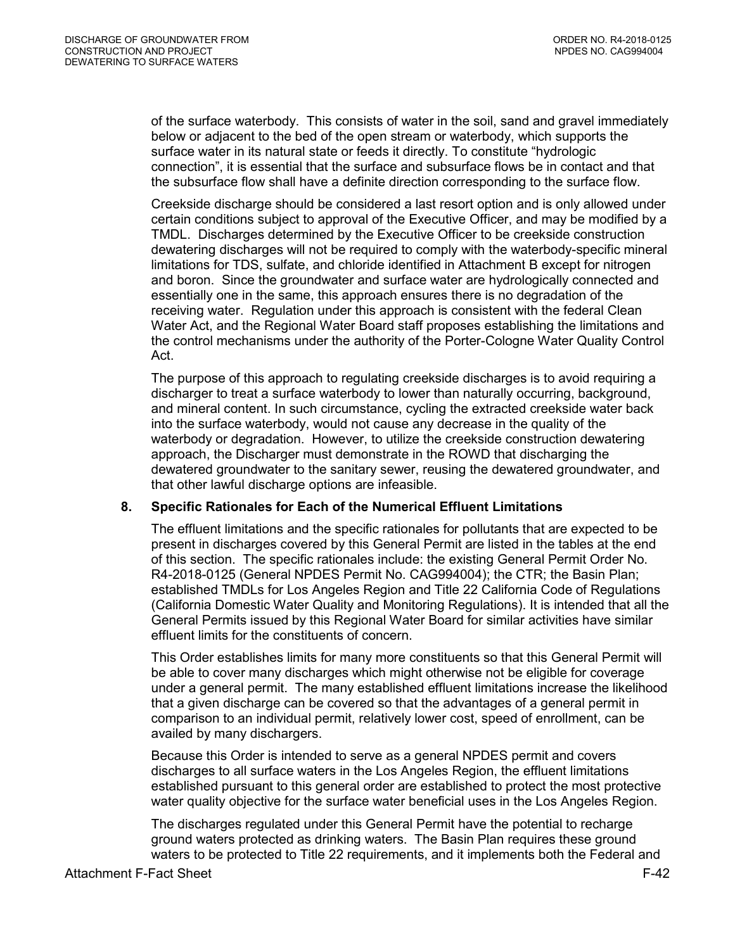of the surface waterbody. This consists of water in the soil, sand and gravel immediately below or adjacent to the bed of the open stream or waterbody, which supports the surface water in its natural state or feeds it directly. To constitute "hydrologic connection", it is essential that the surface and subsurface flows be in contact and that the subsurface flow shall have a definite direction corresponding to the surface flow.

Creekside discharge should be considered a last resort option and is only allowed under certain conditions subject to approval of the Executive Officer, and may be modified by a TMDL. Discharges determined by the Executive Officer to be creekside construction dewatering discharges will not be required to comply with the waterbody-specific mineral limitations for TDS, sulfate, and chloride identified in Attachment B except for nitrogen and boron. Since the groundwater and surface water are hydrologically connected and essentially one in the same, this approach ensures there is no degradation of the receiving water. Regulation under this approach is consistent with the federal Clean Water Act, and the Regional Water Board staff proposes establishing the limitations and the control mechanisms under the authority of the Porter-Cologne Water Quality Control Act.

The purpose of this approach to regulating creekside discharges is to avoid requiring a discharger to treat a surface waterbody to lower than naturally occurring, background, and mineral content. In such circumstance, cycling the extracted creekside water back into the surface waterbody, would not cause any decrease in the quality of the waterbody or degradation. However, to utilize the creekside construction dewatering approach, the Discharger must demonstrate in the ROWD that discharging the dewatered groundwater to the sanitary sewer, reusing the dewatered groundwater, and that other lawful discharge options are infeasible.

#### <span id="page-41-0"></span>**8. Specific Rationales for Each of the Numerical Effluent Limitations**

The effluent limitations and the specific rationales for pollutants that are expected to be present in discharges covered by this General Permit are listed in the tables at the end of this section. The specific rationales include: the existing General Permit Order No. R4-2018-0125 (General NPDES Permit No. CAG994004); the CTR; the Basin Plan; established TMDLs for Los Angeles Region and Title 22 California Code of Regulations (California Domestic Water Quality and Monitoring Regulations). It is intended that all the General Permits issued by this Regional Water Board for similar activities have similar effluent limits for the constituents of concern.

This Order establishes limits for many more constituents so that this General Permit will be able to cover many discharges which might otherwise not be eligible for coverage under a general permit. The many established effluent limitations increase the likelihood that a given discharge can be covered so that the advantages of a general permit in comparison to an individual permit, relatively lower cost, speed of enrollment, can be availed by many dischargers.

Because this Order is intended to serve as a general NPDES permit and covers discharges to all surface waters in the Los Angeles Region, the effluent limitations established pursuant to this general order are established to protect the most protective water quality objective for the surface water beneficial uses in the Los Angeles Region.

The discharges regulated under this General Permit have the potential to recharge ground waters protected as drinking waters. The Basin Plan requires these ground waters to be protected to Title 22 requirements, and it implements both the Federal and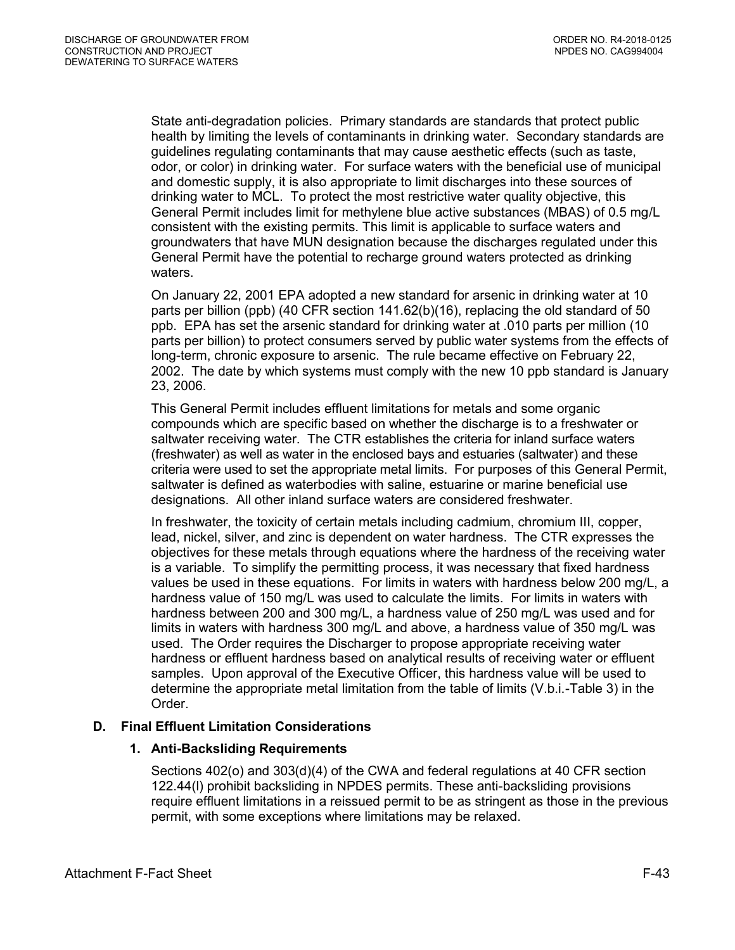State anti-degradation policies. Primary standards are standards that protect public health by limiting the levels of contaminants in drinking water. Secondary standards are guidelines regulating contaminants that may cause aesthetic effects (such as taste, odor, or color) in drinking water. For surface waters with the beneficial use of municipal and domestic supply, it is also appropriate to limit discharges into these sources of drinking water to MCL. To protect the most restrictive water quality objective, this General Permit includes limit for methylene blue active substances (MBAS) of 0.5 mg/L consistent with the existing permits. This limit is applicable to surface waters and groundwaters that have MUN designation because the discharges regulated under this General Permit have the potential to recharge ground waters protected as drinking waters.

On January 22, 2001 EPA adopted a new standard for arsenic in drinking water at 10 parts per billion (ppb) (40 CFR section 141.62(b)(16), replacing the old standard of 50 ppb. EPA has set the arsenic standard for drinking water at .010 parts per million (10 parts per billion) to protect consumers served by public water systems from the effects of long-term, chronic exposure to arsenic. The rule became effective on February 22, 2002. The date by which systems must comply with the new 10 ppb standard is January 23, 2006.

This General Permit includes effluent limitations for metals and some organic compounds which are specific based on whether the discharge is to a freshwater or saltwater receiving water. The CTR establishes the criteria for inland surface waters (freshwater) as well as water in the enclosed bays and estuaries (saltwater) and these criteria were used to set the appropriate metal limits. For purposes of this General Permit, saltwater is defined as waterbodies with saline, estuarine or marine beneficial use designations. All other inland surface waters are considered freshwater.

In freshwater, the toxicity of certain metals including cadmium, chromium III, copper, lead, nickel, silver, and zinc is dependent on water hardness. The CTR expresses the objectives for these metals through equations where the hardness of the receiving water is a variable. To simplify the permitting process, it was necessary that fixed hardness values be used in these equations. For limits in waters with hardness below 200 mg/L, a hardness value of 150 mg/L was used to calculate the limits. For limits in waters with hardness between 200 and 300 mg/L, a hardness value of 250 mg/L was used and for limits in waters with hardness 300 mg/L and above, a hardness value of 350 mg/L was used. The Order requires the Discharger to propose appropriate receiving water hardness or effluent hardness based on analytical results of receiving water or effluent samples. Upon approval of the Executive Officer, this hardness value will be used to determine the appropriate metal limitation from the table of limits (V.b.i.-Table 3) in the Order.

# <span id="page-42-1"></span><span id="page-42-0"></span>**D. Final Effluent Limitation Considerations**

# **1. Anti-Backsliding Requirements**

Sections 402(o) and 303(d)(4) of the CWA and federal regulations at 40 CFR section 122.44(l) prohibit backsliding in NPDES permits. These anti-backsliding provisions require effluent limitations in a reissued permit to be as stringent as those in the previous permit, with some exceptions where limitations may be relaxed.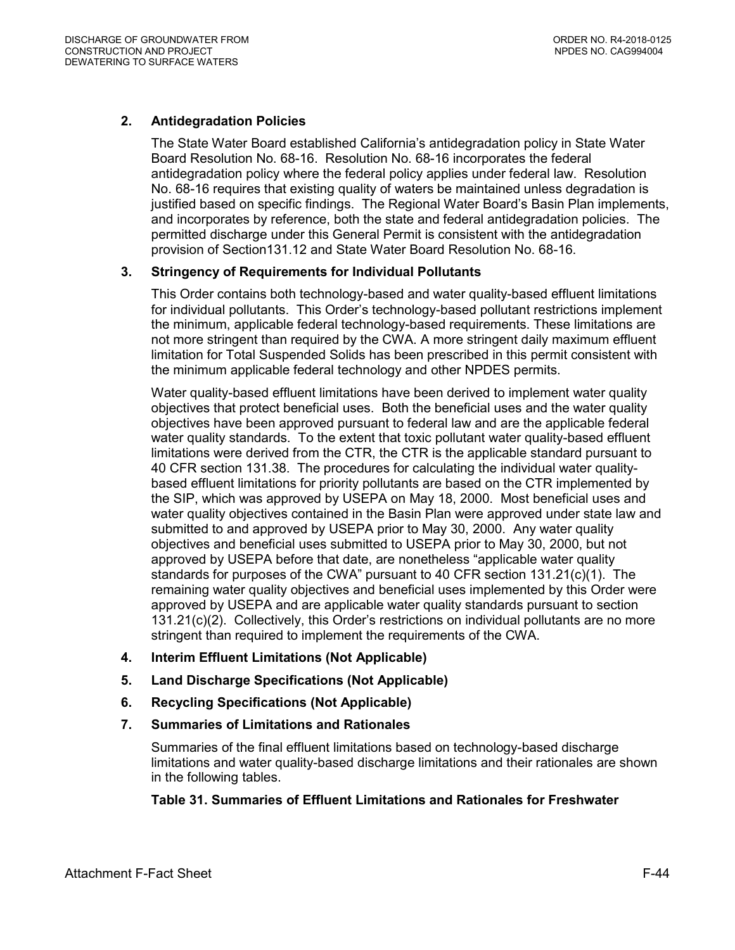# <span id="page-43-6"></span><span id="page-43-0"></span>**2. Antidegradation Policies**

The State Water Board established California's antidegradation policy in State Water Board Resolution No. 68-16. Resolution No. 68-16 incorporates the federal antidegradation policy where the federal policy applies under federal law. Resolution No. 68-16 requires that existing quality of waters be maintained unless degradation is justified based on specific findings. The Regional Water Board's Basin Plan implements, and incorporates by reference, both the state and federal antidegradation policies. The permitted discharge under this General Permit is consistent with the antidegradation provision of Section131.12 and State Water Board Resolution No. 68-16.

### <span id="page-43-1"></span>**3. Stringency of Requirements for Individual Pollutants**

This Order contains both technology-based and water quality-based effluent limitations for individual pollutants. This Order's technology-based pollutant restrictions implement the minimum, applicable federal technology-based requirements. These limitations are not more stringent than required by the CWA. A more stringent daily maximum effluent limitation for Total Suspended Solids has been prescribed in this permit consistent with the minimum applicable federal technology and other NPDES permits.

Water quality-based effluent limitations have been derived to implement water quality objectives that protect beneficial uses. Both the beneficial uses and the water quality objectives have been approved pursuant to federal law and are the applicable federal water quality standards. To the extent that toxic pollutant water quality-based effluent limitations were derived from the CTR, the CTR is the applicable standard pursuant to 40 CFR section 131.38. The procedures for calculating the individual water qualitybased effluent limitations for priority pollutants are based on the CTR implemented by the SIP, which was approved by USEPA on May 18, 2000. Most beneficial uses and water quality objectives contained in the Basin Plan were approved under state law and submitted to and approved by USEPA prior to May 30, 2000. Any water quality objectives and beneficial uses submitted to USEPA prior to May 30, 2000, but not approved by USEPA before that date, are nonetheless "applicable water quality standards for purposes of the CWA" pursuant to 40 CFR section 131.21(c)(1). The remaining water quality objectives and beneficial uses implemented by this Order were approved by USEPA and are applicable water quality standards pursuant to section 131.21(c)(2). Collectively, this Order's restrictions on individual pollutants are no more stringent than required to implement the requirements of the CWA.

- <span id="page-43-2"></span>**4. Interim Effluent Limitations (Not Applicable)**
- <span id="page-43-3"></span>**5. Land Discharge Specifications (Not Applicable)**
- <span id="page-43-4"></span>**6. Recycling Specifications (Not Applicable)**
- <span id="page-43-5"></span>**7. Summaries of Limitations and Rationales**

Summaries of the final effluent limitations based on technology-based discharge limitations and water quality-based discharge limitations and their rationales are shown in the following tables.

### **Table 31. Summaries of Effluent Limitations and Rationales for Freshwater**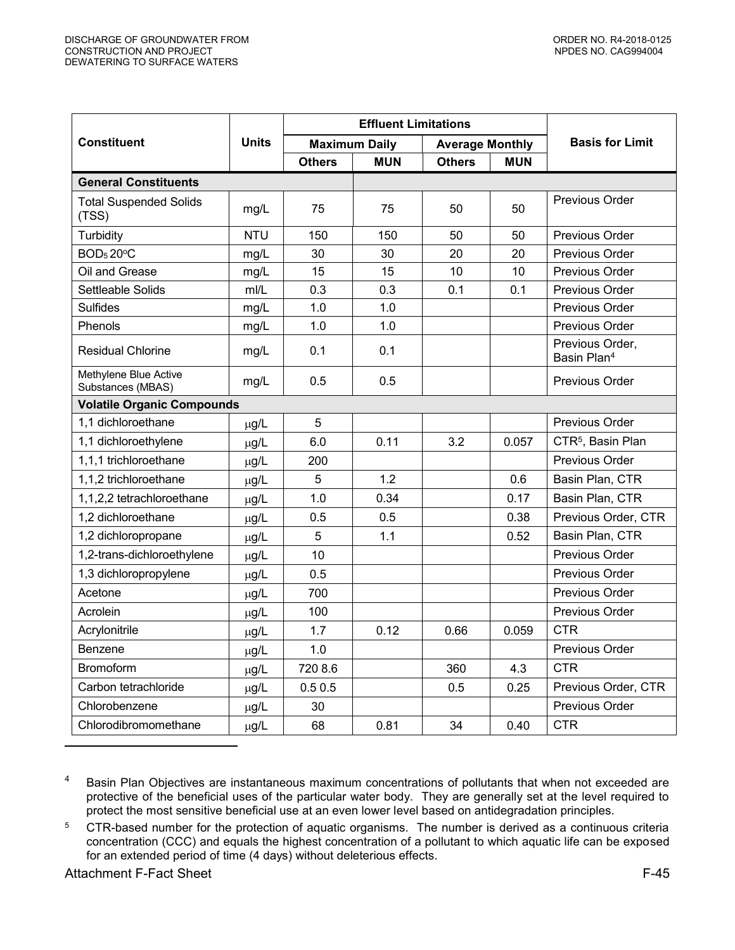|                                            |              |               | <b>Effluent Limitations</b> |                        |            |                                            |
|--------------------------------------------|--------------|---------------|-----------------------------|------------------------|------------|--------------------------------------------|
| <b>Constituent</b>                         | <b>Units</b> |               | <b>Maximum Daily</b>        | <b>Average Monthly</b> |            | <b>Basis for Limit</b>                     |
|                                            |              | <b>Others</b> | <b>MUN</b>                  | <b>Others</b>          | <b>MUN</b> |                                            |
| <b>General Constituents</b>                |              |               |                             |                        |            |                                            |
| <b>Total Suspended Solids</b><br>(TSS)     | mg/L         | 75            | 75                          | 50                     | 50         | <b>Previous Order</b>                      |
| Turbidity                                  | <b>NTU</b>   | 150           | 150                         | 50                     | 50         | <b>Previous Order</b>                      |
| <b>BOD<sub>5</sub>20°C</b>                 | mg/L         | 30            | 30                          | 20                     | 20         | <b>Previous Order</b>                      |
| Oil and Grease                             | mg/L         | 15            | 15                          | 10                     | 10         | Previous Order                             |
| Settleable Solids                          | m/L          | 0.3           | 0.3                         | 0.1                    | 0.1        | <b>Previous Order</b>                      |
| <b>Sulfides</b>                            | mg/L         | 1.0           | 1.0                         |                        |            | Previous Order                             |
| Phenols                                    | mg/L         | 1.0           | 1.0                         |                        |            | Previous Order                             |
| <b>Residual Chlorine</b>                   | mg/L         | 0.1           | 0.1                         |                        |            | Previous Order,<br>Basin Plan <sup>4</sup> |
| Methylene Blue Active<br>Substances (MBAS) | mg/L         | 0.5           | 0.5                         |                        |            | <b>Previous Order</b>                      |
| <b>Volatile Organic Compounds</b>          |              |               |                             |                        |            |                                            |
| 1,1 dichloroethane                         | µg/L         | 5             |                             |                        |            | Previous Order                             |
| 1,1 dichloroethylene                       | $\mu$ g/L    | 6.0           | 0.11                        | 3.2                    | 0.057      | CTR <sup>5</sup> , Basin Plan              |
| 1,1,1 trichloroethane                      | µg/L         | 200           |                             |                        |            | <b>Previous Order</b>                      |
| 1,1,2 trichloroethane                      | µg/L         | 5             | 1.2                         |                        | 0.6        | Basin Plan, CTR                            |
| 1,1,2,2 tetrachloroethane                  | $\mu$ g/L    | 1.0           | 0.34                        |                        | 0.17       | Basin Plan, CTR                            |
| 1,2 dichloroethane                         | µg/L         | 0.5           | 0.5                         |                        | 0.38       | Previous Order, CTR                        |
| 1,2 dichloropropane                        | µg/L         | 5             | 1.1                         |                        | 0.52       | Basin Plan, CTR                            |
| 1,2-trans-dichloroethylene                 | $\mu$ g/L    | 10            |                             |                        |            | <b>Previous Order</b>                      |
| 1,3 dichloropropylene                      | µg/L         | 0.5           |                             |                        |            | <b>Previous Order</b>                      |
| Acetone                                    | µg/L         | 700           |                             |                        |            | Previous Order                             |
| Acrolein                                   | µg/L         | 100           |                             |                        |            | <b>Previous Order</b>                      |
| Acrylonitrile                              | $\mu$ g/L    | 1.7           | 0.12                        | 0.66                   | 0.059      | CTR                                        |
| Benzene                                    | µg/L         | 1.0           |                             |                        |            | Previous Order                             |
| <b>Bromoform</b>                           | µg/L         | 720 8.6       |                             | 360                    | 4.3        | <b>CTR</b>                                 |
| Carbon tetrachloride                       | $\mu$ g/L    | 0.50.5        |                             | 0.5                    | 0.25       | Previous Order, CTR                        |
| Chlorobenzene                              | µg/L         | 30            |                             |                        |            | <b>Previous Order</b>                      |
| Chlorodibromomethane                       | µg/L         | 68            | 0.81                        | 34                     | 0.40       | <b>CTR</b>                                 |

4 Basin Plan Objectives are instantaneous maximum concentrations of pollutants that when not exceeded are protective of the beneficial uses of the particular water body. They are generally set at the level required to protect the most sensitive beneficial use at an even lower level based on antidegradation principles.

5 CTR-based number for the protection of aquatic organisms. The number is derived as a continuous criteria concentration (CCC) and equals the highest concentration of a pollutant to which aquatic life can be exposed for an extended period of time (4 days) without deleterious effects.

Attachment F-Fact Sheet F-45

 $\overline{a}$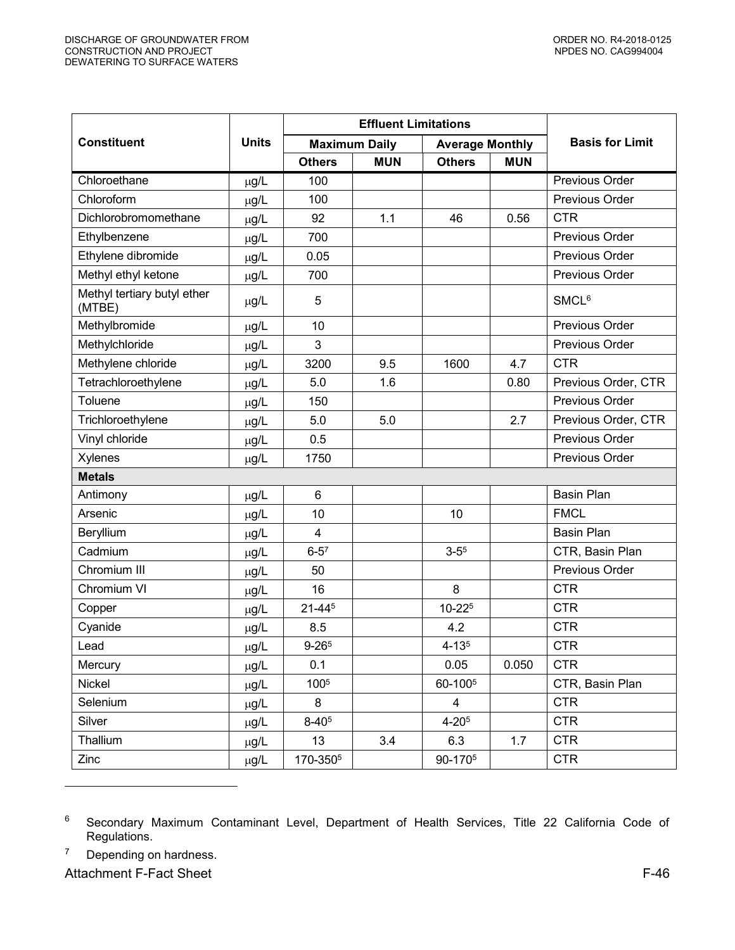|                                       |              |                      | <b>Effluent Limitations</b> |                        |            |                        |
|---------------------------------------|--------------|----------------------|-----------------------------|------------------------|------------|------------------------|
| <b>Constituent</b>                    | <b>Units</b> |                      | <b>Maximum Daily</b>        | <b>Average Monthly</b> |            | <b>Basis for Limit</b> |
|                                       |              | <b>Others</b>        | <b>MUN</b>                  | <b>Others</b>          | <b>MUN</b> |                        |
| Chloroethane                          | $\mu$ g/L    | 100                  |                             |                        |            | Previous Order         |
| Chloroform                            | $\mu$ g/L    | 100                  |                             |                        |            | Previous Order         |
| Dichlorobromomethane                  | $\mu$ g/L    | 92                   | 1.1                         | 46                     | 0.56       | <b>CTR</b>             |
| Ethylbenzene                          | $\mu$ g/L    | 700                  |                             |                        |            | Previous Order         |
| Ethylene dibromide                    | µg/L         | 0.05                 |                             |                        |            | Previous Order         |
| Methyl ethyl ketone                   | $\mu$ g/L    | 700                  |                             |                        |            | Previous Order         |
| Methyl tertiary butyl ether<br>(MTBE) | µg/L         | 5                    |                             |                        |            | SMCL <sup>6</sup>      |
| Methylbromide                         | µg/L         | 10                   |                             |                        |            | Previous Order         |
| Methylchloride                        | µg/L         | 3                    |                             |                        |            | Previous Order         |
| Methylene chloride                    | µg/L         | 3200                 | 9.5                         | 1600                   | 4.7        | <b>CTR</b>             |
| Tetrachloroethylene                   | µg/L         | 5.0                  | 1.6                         |                        | 0.80       | Previous Order, CTR    |
| Toluene                               | µg/L         | 150                  |                             |                        |            | Previous Order         |
| Trichloroethylene                     | µg/L         | 5.0                  | 5.0                         |                        | 2.7        | Previous Order, CTR    |
| Vinyl chloride                        | µg/L         | 0.5                  |                             |                        |            | Previous Order         |
| Xylenes                               | $\mu$ g/L    | 1750                 |                             |                        |            | Previous Order         |
| <b>Metals</b>                         |              |                      |                             |                        |            |                        |
| Antimony                              | µg/L         | $6\phantom{1}6$      |                             |                        |            | <b>Basin Plan</b>      |
| Arsenic                               | µg/L         | 10                   |                             | 10                     |            | <b>FMCL</b>            |
| Beryllium                             | µg/L         | $\overline{4}$       |                             |                        |            | <b>Basin Plan</b>      |
| Cadmium                               | µg/L         | $6 - 5^7$            |                             | $3 - 5^5$              |            | CTR, Basin Plan        |
| Chromium III                          | µg/L         | 50                   |                             |                        |            | Previous Order         |
| Chromium VI                           | µg/L         | 16                   |                             | 8                      |            | <b>CTR</b>             |
| Copper                                | $\mu$ g/L    | 21-445               |                             | 10-225                 |            | <b>CTR</b>             |
| Cyanide                               | $\mu$ g/L    | 8.5                  |                             | 4.2                    |            | <b>CTR</b>             |
| Lead                                  | µg/L         | $9 - 265$            |                             | $4 - 135$              |            | <b>CTR</b>             |
| Mercury                               | μg/L         | 0.1                  |                             | 0.05                   | 0.050      | <b>CTR</b>             |
| Nickel                                | µg/L         | 1005                 |                             | 60-100 <sup>5</sup>    |            | CTR, Basin Plan        |
| Selenium                              | μg/L         | 8                    |                             | $\overline{4}$         |            | <b>CTR</b>             |
| Silver                                | $\mu$ g/L    | $8 - 40^{5}$         |                             | $4 - 205$              |            | <b>CTR</b>             |
| Thallium                              | $\mu$ g/L    | 13                   | 3.4                         | 6.3                    | 1.7        | <b>CTR</b>             |
| Zinc                                  | µg/L         | 170-350 <sup>5</sup> |                             | 90-170 <sup>5</sup>    |            | <b>CTR</b>             |

<sup>6</sup> Secondary Maximum Contaminant Level, Department of Health Services, Title 22 California Code of Regulations.

 $\overline{a}$ 

<sup>7</sup> Depending on hardness.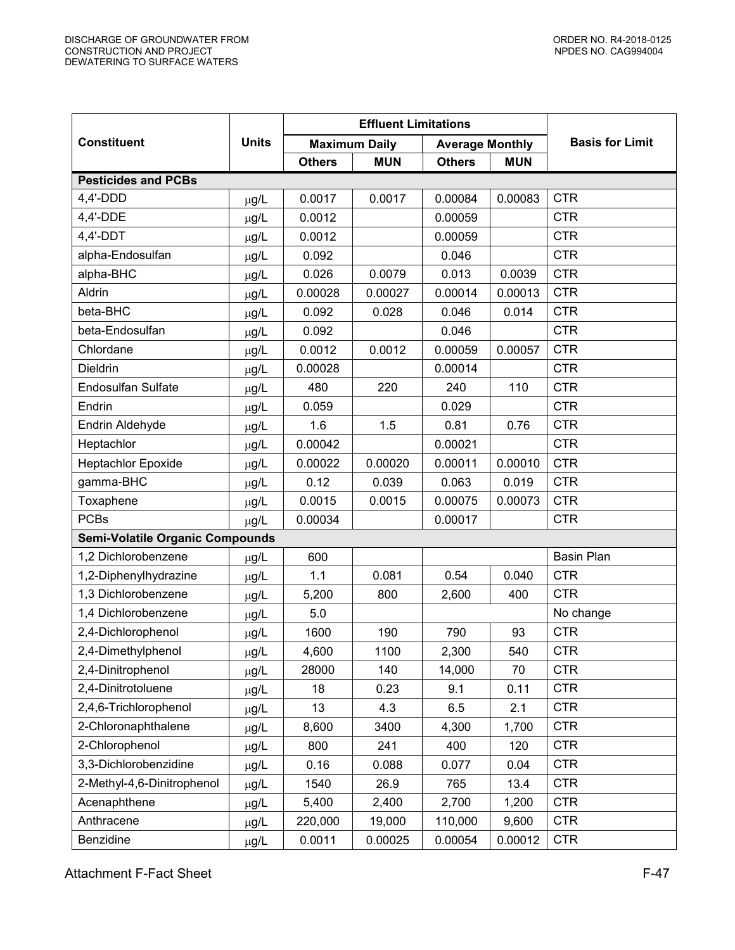|                                        |              |               | <b>Effluent Limitations</b> |                        |            |                        |  |  |
|----------------------------------------|--------------|---------------|-----------------------------|------------------------|------------|------------------------|--|--|
| <b>Constituent</b>                     | <b>Units</b> |               | <b>Maximum Daily</b>        | <b>Average Monthly</b> |            | <b>Basis for Limit</b> |  |  |
|                                        |              | <b>Others</b> | <b>MUN</b>                  | <b>Others</b>          | <b>MUN</b> |                        |  |  |
| <b>Pesticides and PCBs</b>             |              |               |                             |                        |            |                        |  |  |
| $4,4'-DDD$                             | µg/L         | 0.0017        | 0.0017                      | 0.00084                | 0.00083    | <b>CTR</b>             |  |  |
| 4,4'-DDE                               | µg/L         | 0.0012        |                             | 0.00059                |            | <b>CTR</b>             |  |  |
| 4,4'-DDT                               | µg/L         | 0.0012        |                             | 0.00059                |            | <b>CTR</b>             |  |  |
| alpha-Endosulfan                       | µg/L         | 0.092         |                             | 0.046                  |            | <b>CTR</b>             |  |  |
| alpha-BHC                              | µg/L         | 0.026         | 0.0079                      | 0.013                  | 0.0039     | <b>CTR</b>             |  |  |
| Aldrin                                 | µg/L         | 0.00028       | 0.00027                     | 0.00014                | 0.00013    | <b>CTR</b>             |  |  |
| beta-BHC                               | µg/L         | 0.092         | 0.028                       | 0.046                  | 0.014      | <b>CTR</b>             |  |  |
| beta-Endosulfan                        | µg/L         | 0.092         |                             | 0.046                  |            | <b>CTR</b>             |  |  |
| Chlordane                              | µg/L         | 0.0012        | 0.0012                      | 0.00059                | 0.00057    | <b>CTR</b>             |  |  |
| <b>Dieldrin</b>                        | µg/L         | 0.00028       |                             | 0.00014                |            | <b>CTR</b>             |  |  |
| <b>Endosulfan Sulfate</b>              | µg/L         | 480           | 220                         | 240                    | 110        | <b>CTR</b>             |  |  |
| Endrin                                 | µg/L         | 0.059         |                             | 0.029                  |            | <b>CTR</b>             |  |  |
| Endrin Aldehyde                        | µg/L         | 1.6           | 1.5                         | 0.81                   | 0.76       | <b>CTR</b>             |  |  |
| Heptachlor                             | µg/L         | 0.00042       |                             | 0.00021                |            | <b>CTR</b>             |  |  |
| Heptachlor Epoxide                     | µg/L         | 0.00022       | 0.00020                     | 0.00011                | 0.00010    | <b>CTR</b>             |  |  |
| gamma-BHC                              | µg/L         | 0.12          | 0.039                       | 0.063                  | 0.019      | <b>CTR</b>             |  |  |
| Toxaphene                              | µg/L         | 0.0015        | 0.0015                      | 0.00075                | 0.00073    | <b>CTR</b>             |  |  |
| <b>PCBs</b>                            | $\mu$ g/L    | 0.00034       |                             | 0.00017                |            | <b>CTR</b>             |  |  |
| <b>Semi-Volatile Organic Compounds</b> |              |               |                             |                        |            |                        |  |  |
| 1,2 Dichlorobenzene                    | µg/L         | 600           |                             |                        |            | <b>Basin Plan</b>      |  |  |
| 1,2-Diphenylhydrazine                  | µg/L         | 1.1           | 0.081                       | 0.54                   | 0.040      | <b>CTR</b>             |  |  |
| 1,3 Dichlorobenzene                    | µg/L         | 5,200         | 800                         | 2,600                  | 400        | <b>CTR</b>             |  |  |
| 1,4 Dichlorobenzene                    | µg/L         | 5.0           |                             |                        |            | No change              |  |  |
| 2,4-Dichlorophenol                     | μg/L         | 1600          | 190                         | 790                    | 93         | <b>CTR</b>             |  |  |
| 2,4-Dimethylphenol                     | μg/L         | 4,600         | 1100                        | 2,300                  | 540        | <b>CTR</b>             |  |  |
| 2,4-Dinitrophenol                      | μg/L         | 28000         | 140                         | 14,000                 | 70         | <b>CTR</b>             |  |  |
| 2,4-Dinitrotoluene                     | μg/L         | 18            | 0.23                        | 9.1                    | 0.11       | <b>CTR</b>             |  |  |
| 2,4,6-Trichlorophenol                  | μg/L         | 13            | 4.3                         | 6.5                    | 2.1        | <b>CTR</b>             |  |  |
| 2-Chloronaphthalene                    | µg/L         | 8,600         | 3400                        | 4,300                  | 1,700      | <b>CTR</b>             |  |  |
| 2-Chlorophenol                         | μg/L         | 800           | 241                         | 400                    | 120        | <b>CTR</b>             |  |  |
| 3,3-Dichlorobenzidine                  | μg/L         | 0.16          | 0.088                       | 0.077                  | 0.04       | <b>CTR</b>             |  |  |
| 2-Methyl-4,6-Dinitrophenol             | µg/L         | 1540          | 26.9                        | 765                    | 13.4       | <b>CTR</b>             |  |  |
| Acenaphthene                           | μg/L         | 5,400         | 2,400                       | 2,700                  | 1,200      | <b>CTR</b>             |  |  |
| Anthracene                             | μg/L         | 220,000       | 19,000                      | 110,000                | 9,600      | <b>CTR</b>             |  |  |
| Benzidine                              | μg/L         | 0.0011        | 0.00025                     | 0.00054                | 0.00012    | <b>CTR</b>             |  |  |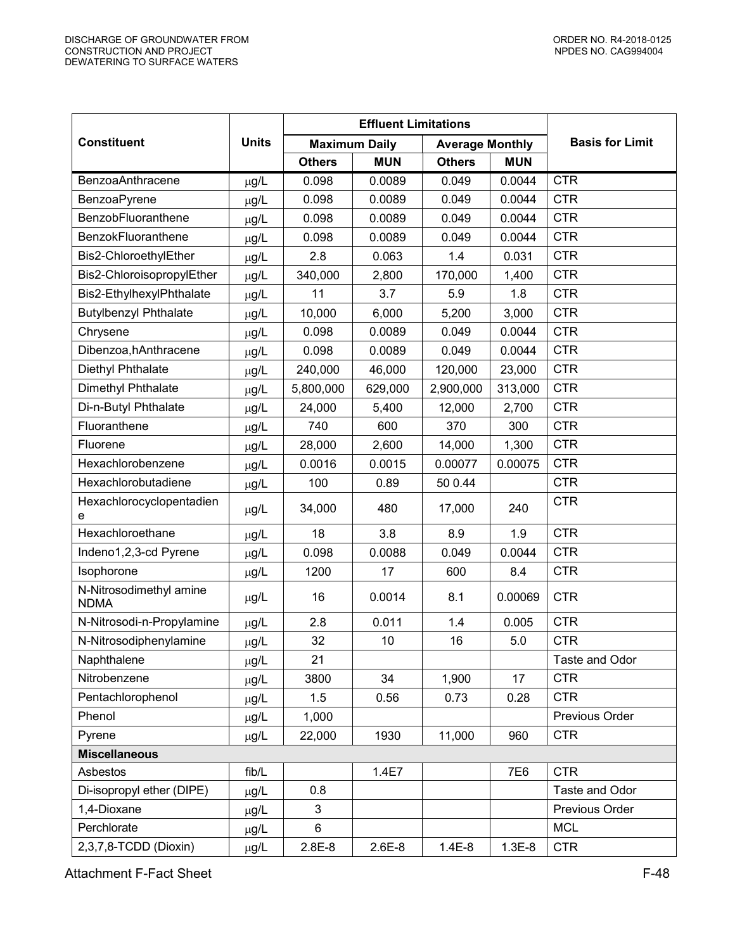|                                        | <b>Effluent Limitations</b> |                      |            |                        |            |                        |
|----------------------------------------|-----------------------------|----------------------|------------|------------------------|------------|------------------------|
| <b>Constituent</b>                     | <b>Units</b>                | <b>Maximum Daily</b> |            | <b>Average Monthly</b> |            | <b>Basis for Limit</b> |
|                                        |                             | <b>Others</b>        | <b>MUN</b> | <b>Others</b>          | <b>MUN</b> |                        |
| <b>BenzoaAnthracene</b>                | µg/L                        | 0.098                | 0.0089     | 0.049                  | 0.0044     | <b>CTR</b>             |
| BenzoaPyrene                           | µg/L                        | 0.098                | 0.0089     | 0.049                  | 0.0044     | <b>CTR</b>             |
| BenzobFluoranthene                     | µg/L                        | 0.098                | 0.0089     | 0.049                  | 0.0044     | <b>CTR</b>             |
| <b>BenzokFluoranthene</b>              | µg/L                        | 0.098                | 0.0089     | 0.049                  | 0.0044     | <b>CTR</b>             |
| Bis2-ChloroethylEther                  | $\mu$ g/L                   | 2.8                  | 0.063      | 1.4                    | 0.031      | <b>CTR</b>             |
| Bis2-ChloroisopropylEther              | μg/L                        | 340,000              | 2,800      | 170,000                | 1,400      | <b>CTR</b>             |
| Bis2-EthylhexylPhthalate               | µg/L                        | 11                   | 3.7        | 5.9                    | 1.8        | <b>CTR</b>             |
| <b>Butylbenzyl Phthalate</b>           | $\mu g/L$                   | 10,000               | 6,000      | 5,200                  | 3,000      | <b>CTR</b>             |
| Chrysene                               | µg/L                        | 0.098                | 0.0089     | 0.049                  | 0.0044     | <b>CTR</b>             |
| Dibenzoa, hAnthracene                  | µg/L                        | 0.098                | 0.0089     | 0.049                  | 0.0044     | <b>CTR</b>             |
| Diethyl Phthalate                      | µg/L                        | 240,000              | 46,000     | 120,000                | 23,000     | <b>CTR</b>             |
| Dimethyl Phthalate                     | µg/L                        | 5,800,000            | 629,000    | 2,900,000              | 313,000    | <b>CTR</b>             |
| Di-n-Butyl Phthalate                   | µg/L                        | 24,000               | 5,400      | 12,000                 | 2,700      | <b>CTR</b>             |
| Fluoranthene                           | µg/L                        | 740                  | 600        | 370                    | 300        | <b>CTR</b>             |
| Fluorene                               | µg/L                        | 28,000               | 2,600      | 14,000                 | 1,300      | <b>CTR</b>             |
| Hexachlorobenzene                      | $\mu g/L$                   | 0.0016               | 0.0015     | 0.00077                | 0.00075    | <b>CTR</b>             |
| Hexachlorobutadiene                    | µg/L                        | 100                  | 0.89       | 50 0.44                |            | <b>CTR</b>             |
| Hexachlorocyclopentadien<br>e          | µg/L                        | 34,000               | 480        | 17,000                 | 240        | <b>CTR</b>             |
| Hexachloroethane                       | μg/L                        | 18                   | 3.8        | 8.9                    | 1.9        | <b>CTR</b>             |
| Indeno1,2,3-cd Pyrene                  | µg/L                        | 0.098                | 0.0088     | 0.049                  | 0.0044     | <b>CTR</b>             |
| Isophorone                             | µg/L                        | 1200                 | 17         | 600                    | 8.4        | <b>CTR</b>             |
| N-Nitrosodimethyl amine<br><b>NDMA</b> | µg/L                        | 16                   | 0.0014     | 8.1                    | 0.00069    | <b>CTR</b>             |
| N-Nitrosodi-n-Propylamine              | µg/L                        | 2.8                  | 0.011      | 1.4                    | 0.005      | <b>CTR</b>             |
| N-Nitrosodiphenylamine                 | µg/L                        | 32                   | 10         | 16                     | 5.0        | <b>CTR</b>             |
| Naphthalene                            | µg/L                        | 21                   |            |                        |            | Taste and Odor         |
| Nitrobenzene                           | µg/L                        | 3800                 | 34         | 1,900                  | 17         | <b>CTR</b>             |
| Pentachlorophenol                      | µg/L                        | 1.5                  | 0.56       | 0.73                   | 0.28       | <b>CTR</b>             |
| Phenol                                 | µg/L                        | 1,000                |            |                        |            | Previous Order         |
| Pyrene                                 | µg/L                        | 22,000               | 1930       | 11,000                 | 960        | <b>CTR</b>             |
| <b>Miscellaneous</b>                   |                             |                      |            |                        |            |                        |
| Asbestos                               | fib/L                       |                      | 1.4E7      |                        | 7E6        | <b>CTR</b>             |
| Di-isopropyl ether (DIPE)              | µg/L                        | 0.8                  |            |                        |            | Taste and Odor         |
| 1,4-Dioxane                            | μg/L                        | 3                    |            |                        |            | Previous Order         |
| Perchlorate                            | µg/L                        | 6                    |            |                        |            | <b>MCL</b>             |
| 2,3,7,8-TCDD (Dioxin)                  | μg/L                        | $2.8E-8$             | $2.6E-8$   | $1.4E-8$               | $1.3E-8$   | <b>CTR</b>             |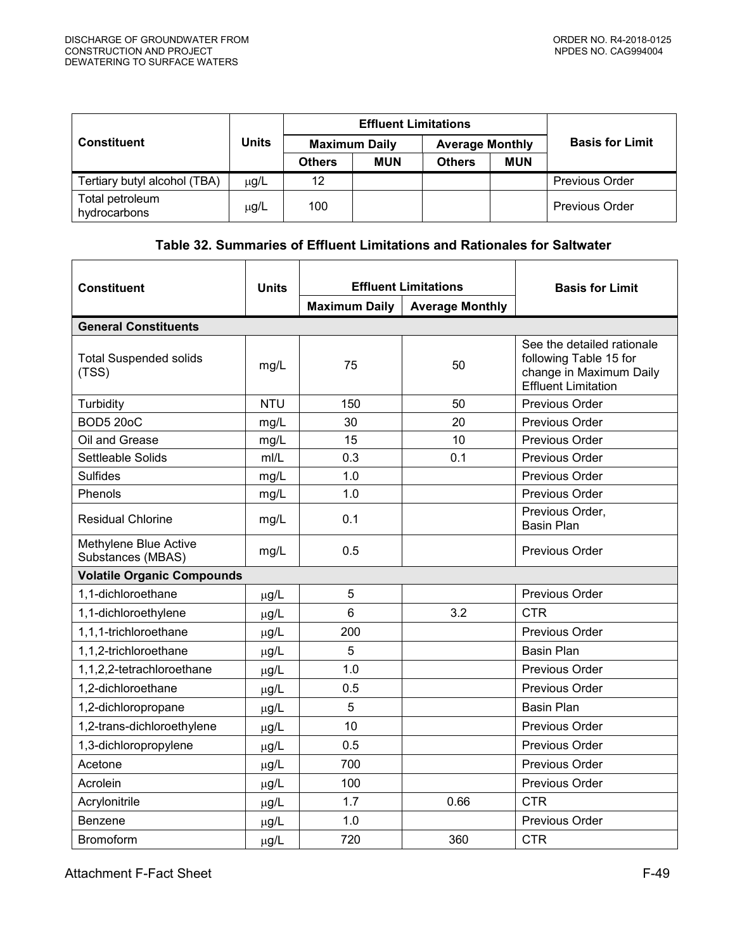<span id="page-48-0"></span>

|                                 |              |                      | <b>Effluent Limitations</b> | <b>Basis for Limit</b> |                        |                       |
|---------------------------------|--------------|----------------------|-----------------------------|------------------------|------------------------|-----------------------|
| <b>Constituent</b>              | <b>Units</b> | <b>Maximum Daily</b> |                             |                        | <b>Average Monthly</b> |                       |
|                                 |              | <b>Others</b>        | <b>MUN</b>                  | <b>Others</b>          | <b>MUN</b>             |                       |
| Tertiary butyl alcohol (TBA)    | $\mu$ g/L    | 12                   |                             |                        |                        | <b>Previous Order</b> |
| Total petroleum<br>hydrocarbons | μg/L         | 100                  |                             |                        |                        | <b>Previous Order</b> |

# **Table 32. Summaries of Effluent Limitations and Rationales for Saltwater**

| <b>Constituent</b>                         | <b>Units</b> | <b>Effluent Limitations</b> |                        | <b>Basis for Limit</b>                                                                                        |  |  |  |  |  |
|--------------------------------------------|--------------|-----------------------------|------------------------|---------------------------------------------------------------------------------------------------------------|--|--|--|--|--|
|                                            |              | <b>Maximum Daily</b>        | <b>Average Monthly</b> |                                                                                                               |  |  |  |  |  |
| <b>General Constituents</b>                |              |                             |                        |                                                                                                               |  |  |  |  |  |
| <b>Total Suspended solids</b><br>(TSS)     | mg/L         | 75                          | 50                     | See the detailed rationale<br>following Table 15 for<br>change in Maximum Daily<br><b>Effluent Limitation</b> |  |  |  |  |  |
| Turbidity                                  | <b>NTU</b>   | 150                         | 50                     | Previous Order                                                                                                |  |  |  |  |  |
| <b>BOD5 20oC</b>                           | mg/L         | 30                          | 20                     | Previous Order                                                                                                |  |  |  |  |  |
| Oil and Grease                             | mg/L         | 15                          | 10                     | Previous Order                                                                                                |  |  |  |  |  |
| Settleable Solids                          | mI/L         | 0.3                         | 0.1                    | Previous Order                                                                                                |  |  |  |  |  |
| <b>Sulfides</b>                            | mg/L         | 1.0                         |                        | Previous Order                                                                                                |  |  |  |  |  |
| Phenols                                    | mg/L         | 1.0                         |                        | Previous Order                                                                                                |  |  |  |  |  |
| <b>Residual Chlorine</b>                   | mg/L         | 0.1                         |                        | Previous Order,<br><b>Basin Plan</b>                                                                          |  |  |  |  |  |
| Methylene Blue Active<br>Substances (MBAS) | mg/L         | 0.5                         |                        | <b>Previous Order</b>                                                                                         |  |  |  |  |  |
| <b>Volatile Organic Compounds</b>          |              |                             |                        |                                                                                                               |  |  |  |  |  |
| 1,1-dichloroethane                         | $\mu$ g/L    | 5                           |                        | Previous Order                                                                                                |  |  |  |  |  |
| 1,1-dichloroethylene                       | $\mu$ g/L    | 6                           | 3.2                    | <b>CTR</b>                                                                                                    |  |  |  |  |  |
| 1,1,1-trichloroethane                      | $\mu$ g/L    | 200                         |                        | Previous Order                                                                                                |  |  |  |  |  |
| 1,1,2-trichloroethane                      | $\mu$ g/L    | 5                           |                        | <b>Basin Plan</b>                                                                                             |  |  |  |  |  |
| 1,1,2,2-tetrachloroethane                  | $\mu$ g/L    | 1.0                         |                        | <b>Previous Order</b>                                                                                         |  |  |  |  |  |
| 1,2-dichloroethane                         | $\mu$ g/L    | 0.5                         |                        | Previous Order                                                                                                |  |  |  |  |  |
| 1,2-dichloropropane                        | $\mu$ g/L    | 5                           |                        | <b>Basin Plan</b>                                                                                             |  |  |  |  |  |
| 1,2-trans-dichloroethylene                 | $\mu$ g/L    | 10                          |                        | <b>Previous Order</b>                                                                                         |  |  |  |  |  |
| 1,3-dichloropropylene                      | $\mu$ g/L    | 0.5                         |                        | Previous Order                                                                                                |  |  |  |  |  |
| Acetone                                    | $\mu$ g/L    | 700                         |                        | Previous Order                                                                                                |  |  |  |  |  |
| Acrolein                                   | $\mu$ g/L    | 100                         |                        | Previous Order                                                                                                |  |  |  |  |  |
| Acrylonitrile                              | $\mu$ g/L    | 1.7                         | 0.66                   | <b>CTR</b>                                                                                                    |  |  |  |  |  |
| Benzene                                    | $\mu$ g/L    | 1.0                         |                        | Previous Order                                                                                                |  |  |  |  |  |
| <b>Bromoform</b>                           | $\mu$ g/L    | 720                         | 360                    | <b>CTR</b>                                                                                                    |  |  |  |  |  |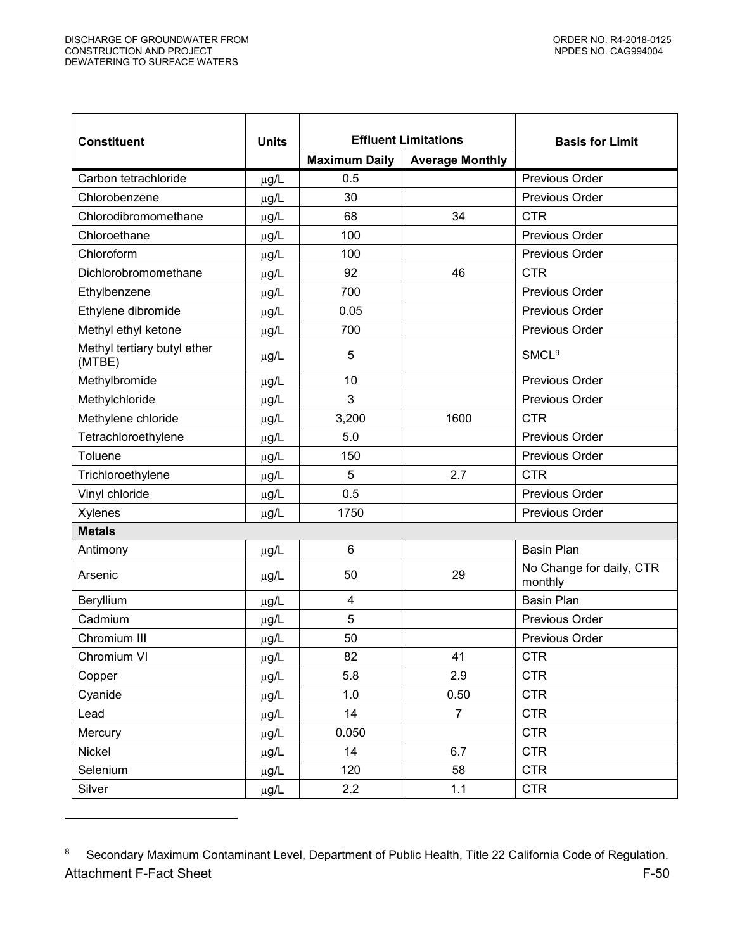$\overline{a}$ 

| <b>Constituent</b>                    | <b>Units</b> | <b>Effluent Limitations</b> |                        | <b>Basis for Limit</b>              |
|---------------------------------------|--------------|-----------------------------|------------------------|-------------------------------------|
|                                       |              | <b>Maximum Daily</b>        | <b>Average Monthly</b> |                                     |
| Carbon tetrachloride                  | µg/L         | 0.5                         |                        | Previous Order                      |
| Chlorobenzene                         | µg/L         | 30                          |                        | Previous Order                      |
| Chlorodibromomethane                  | $\mu$ g/L    | 68                          | 34                     | <b>CTR</b>                          |
| Chloroethane                          | µg/L         | 100                         |                        | Previous Order                      |
| Chloroform                            | µg/L         | 100                         |                        | Previous Order                      |
| Dichlorobromomethane                  | µg/L         | 92                          | 46                     | <b>CTR</b>                          |
| Ethylbenzene                          | $\mu$ g/L    | 700                         |                        | Previous Order                      |
| Ethylene dibromide                    | µg/L         | 0.05                        |                        | <b>Previous Order</b>               |
| Methyl ethyl ketone                   | $\mu$ g/L    | 700                         |                        | Previous Order                      |
| Methyl tertiary butyl ether<br>(MTBE) | μg/L         | 5                           |                        | <b>SMCL<sup>9</sup></b>             |
| Methylbromide                         | µg/L         | 10                          |                        | Previous Order                      |
| Methylchloride                        | $\mu$ g/L    | 3                           |                        | <b>Previous Order</b>               |
| Methylene chloride                    | $\mu$ g/L    | 3,200                       | 1600                   | <b>CTR</b>                          |
| Tetrachloroethylene                   | $\mu$ g/L    | 5.0                         |                        | Previous Order                      |
| Toluene                               | µg/L         | 150                         |                        | Previous Order                      |
| Trichloroethylene                     | $\mu$ g/L    | 5                           | 2.7                    | <b>CTR</b>                          |
| Vinyl chloride                        | $\mu$ g/L    | 0.5                         |                        | Previous Order                      |
| Xylenes                               | $\mu$ g/L    | 1750                        |                        | Previous Order                      |
| <b>Metals</b>                         |              |                             |                        |                                     |
| Antimony                              | $\mu g/L$    | 6                           |                        | <b>Basin Plan</b>                   |
| Arsenic                               | $\mu$ g/L    | 50                          | 29                     | No Change for daily, CTR<br>monthly |
| Beryllium                             | µg/L         | $\overline{4}$              |                        | <b>Basin Plan</b>                   |
| Cadmium                               | µg/L         | 5                           |                        | Previous Order                      |
| Chromium III                          | $\mu$ g/L    | 50                          |                        | Previous Order                      |
| Chromium VI                           | $\mu g/L$    | 82                          | 41                     | <b>CTR</b>                          |
| Copper                                | μg/L         | 5.8                         | 2.9                    | <b>CTR</b>                          |
| Cyanide                               | μg/L         | 1.0                         | 0.50                   | <b>CTR</b>                          |
| Lead                                  | μg/L         | 14                          | $\overline{7}$         | <b>CTR</b>                          |
| Mercury                               | μg/L         | 0.050                       |                        | <b>CTR</b>                          |
| Nickel                                | µg/L         | 14                          | 6.7                    | <b>CTR</b>                          |
| Selenium                              | μg/L         | 120                         | 58                     | <b>CTR</b>                          |
| Silver                                | μg/L         | 2.2                         | 1.1                    | <b>CTR</b>                          |

Attachment F-Fact Sheet F-50 8 Secondary Maximum Contaminant Level, Department of Public Health, Title 22 California Code of Regulation.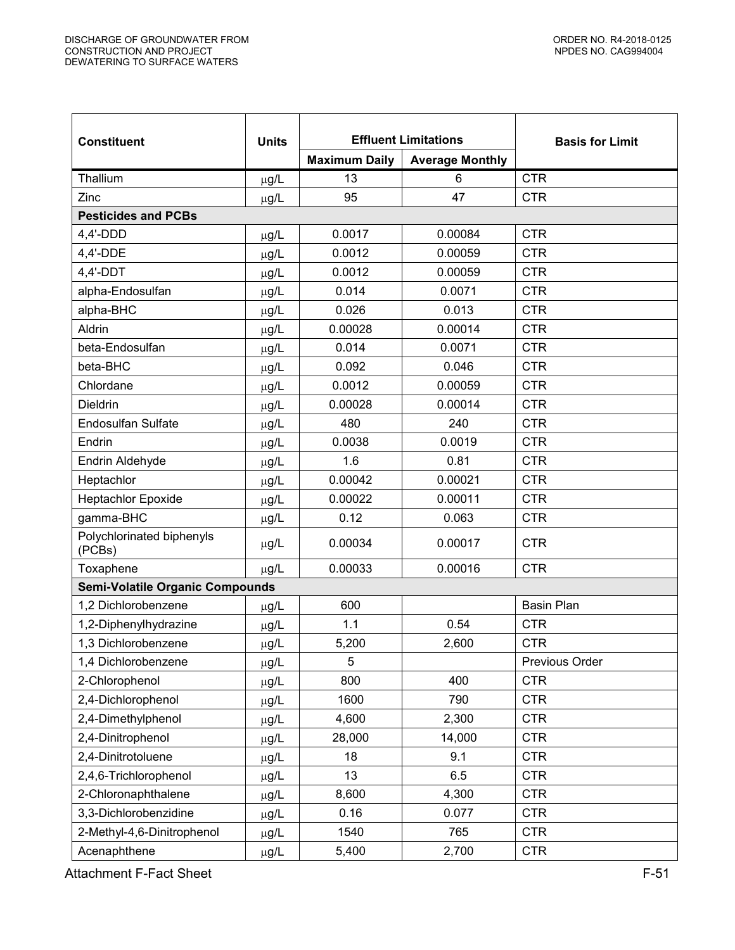| <b>Constituent</b>                     | <b>Effluent Limitations</b><br><b>Units</b> |                      | <b>Basis for Limit</b> |                   |
|----------------------------------------|---------------------------------------------|----------------------|------------------------|-------------------|
|                                        |                                             | <b>Maximum Daily</b> | <b>Average Monthly</b> |                   |
| Thallium                               | $\mu$ g/L                                   | 13                   | 6                      | <b>CTR</b>        |
| Zinc                                   | $\mu$ g/L                                   | 95                   | 47                     | <b>CTR</b>        |
| <b>Pesticides and PCBs</b>             |                                             |                      |                        |                   |
| $4,4'$ -DDD                            | $\mu$ g/L                                   | 0.0017               | 0.00084                | <b>CTR</b>        |
| 4,4'-DDE                               | $\mu$ g/L                                   | 0.0012               | 0.00059                | <b>CTR</b>        |
| $4,4'-DDT$                             | $\mu$ g/L                                   | 0.0012               | 0.00059                | <b>CTR</b>        |
| alpha-Endosulfan                       | $\mu$ g/L                                   | 0.014                | 0.0071                 | <b>CTR</b>        |
| alpha-BHC                              | $\mu$ g/L                                   | 0.026                | 0.013                  | <b>CTR</b>        |
| Aldrin                                 | $\mu$ g/L                                   | 0.00028              | 0.00014                | <b>CTR</b>        |
| beta-Endosulfan                        | $\mu$ g/L                                   | 0.014                | 0.0071                 | <b>CTR</b>        |
| beta-BHC                               | µg/L                                        | 0.092                | 0.046                  | <b>CTR</b>        |
| Chlordane                              | $\mu$ g/L                                   | 0.0012               | 0.00059                | <b>CTR</b>        |
| <b>Dieldrin</b>                        | $\mu$ g/L                                   | 0.00028              | 0.00014                | <b>CTR</b>        |
| <b>Endosulfan Sulfate</b>              | $\mu$ g/L                                   | 480                  | 240                    | <b>CTR</b>        |
| Endrin                                 | $\mu$ g/L                                   | 0.0038               | 0.0019                 | <b>CTR</b>        |
| Endrin Aldehyde                        | $\mu$ g/L                                   | 1.6                  | 0.81                   | <b>CTR</b>        |
| Heptachlor                             | $\mu$ g/L                                   | 0.00042              | 0.00021                | <b>CTR</b>        |
| <b>Heptachlor Epoxide</b>              | $\mu$ g/L                                   | 0.00022              | 0.00011                | <b>CTR</b>        |
| gamma-BHC                              | $\mu$ g/L                                   | 0.12                 | 0.063                  | <b>CTR</b>        |
| Polychlorinated biphenyls<br>(PCBs)    | $\mu$ g/L                                   | 0.00034              | 0.00017                | <b>CTR</b>        |
| Toxaphene                              | $\mu$ g/L                                   | 0.00033              | 0.00016                | <b>CTR</b>        |
| <b>Semi-Volatile Organic Compounds</b> |                                             |                      |                        |                   |
| 1,2 Dichlorobenzene                    | $\mu$ g/L                                   | 600                  |                        | <b>Basin Plan</b> |
| 1,2-Diphenylhydrazine                  | $\mu$ g/L                                   | 1.1                  | 0.54                   | <b>CTR</b>        |
| 1,3 Dichlorobenzene                    | $\mu$ g/L                                   | 5,200                | 2,600                  | <b>CTR</b>        |
| 1,4 Dichlorobenzene                    | µg/L                                        | 5                    |                        | Previous Order    |
| 2-Chlorophenol                         | $\mu$ g/L                                   | 800                  | 400                    | <b>CTR</b>        |
| 2,4-Dichlorophenol                     | µg/L                                        | 1600                 | 790                    | <b>CTR</b>        |
| 2,4-Dimethylphenol                     | $\mu$ g/L                                   | 4,600                | 2,300                  | <b>CTR</b>        |
| 2,4-Dinitrophenol                      | $\mu$ g/L                                   | 28,000               | 14,000                 | <b>CTR</b>        |
| 2,4-Dinitrotoluene                     | $\mu$ g/L                                   | 18                   | 9.1                    | <b>CTR</b>        |
| 2,4,6-Trichlorophenol                  | µg/L                                        | 13                   | 6.5                    | <b>CTR</b>        |
| 2-Chloronaphthalene                    | µg/L                                        | 8,600                | 4,300                  | <b>CTR</b>        |
| 3,3-Dichlorobenzidine                  | $\mu$ g/L                                   | 0.16                 | 0.077                  | <b>CTR</b>        |
| 2-Methyl-4,6-Dinitrophenol             | $\mu$ g/L                                   | 1540                 | 765                    | <b>CTR</b>        |
| Acenaphthene                           | $\mu$ g/L                                   | 5,400                | 2,700                  | <b>CTR</b>        |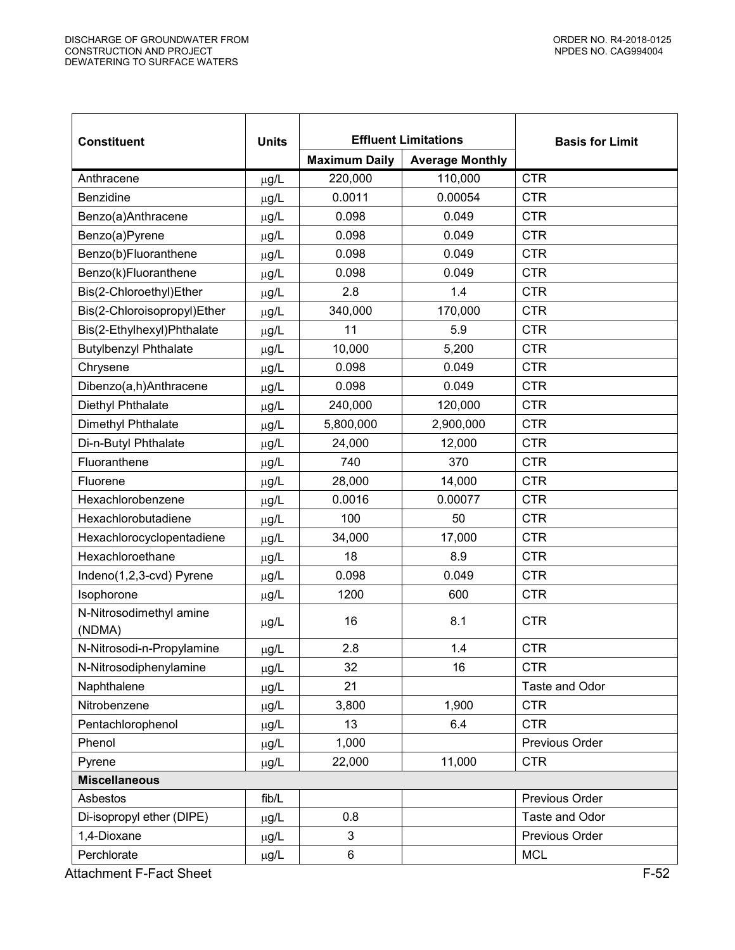| <b>Constituent</b>                | <b>Units</b> | <b>Effluent Limitations</b> |                        | <b>Basis for Limit</b> |
|-----------------------------------|--------------|-----------------------------|------------------------|------------------------|
|                                   |              | <b>Maximum Daily</b>        | <b>Average Monthly</b> |                        |
| Anthracene                        | µg/L         | 220,000                     | 110,000                | <b>CTR</b>             |
| Benzidine                         | µg/L         | 0.0011                      | 0.00054                | <b>CTR</b>             |
| Benzo(a)Anthracene                | $\mu$ g/L    | 0.098                       | 0.049                  | <b>CTR</b>             |
| Benzo(a)Pyrene                    | µg/L         | 0.098                       | 0.049                  | <b>CTR</b>             |
| Benzo(b)Fluoranthene              | µg/L         | 0.098                       | 0.049                  | <b>CTR</b>             |
| Benzo(k)Fluoranthene              | µg/L         | 0.098                       | 0.049                  | <b>CTR</b>             |
| Bis(2-Chloroethyl)Ether           | µg/L         | 2.8                         | 1.4                    | <b>CTR</b>             |
| Bis(2-Chloroisopropyl)Ether       | µg/L         | 340,000                     | 170,000                | <b>CTR</b>             |
| Bis(2-Ethylhexyl)Phthalate        | $\mu$ g/L    | 11                          | 5.9                    | <b>CTR</b>             |
| <b>Butylbenzyl Phthalate</b>      | µg/L         | 10,000                      | 5,200                  | <b>CTR</b>             |
| Chrysene                          | µg/L         | 0.098                       | 0.049                  | <b>CTR</b>             |
| Dibenzo(a,h)Anthracene            | µg/L         | 0.098                       | 0.049                  | <b>CTR</b>             |
| Diethyl Phthalate                 | $\mu$ g/L    | 240,000                     | 120,000                | <b>CTR</b>             |
| Dimethyl Phthalate                | µg/L         | 5,800,000                   | 2,900,000              | <b>CTR</b>             |
| Di-n-Butyl Phthalate              | µg/L         | 24,000                      | 12,000                 | <b>CTR</b>             |
| Fluoranthene                      | µg/L         | 740                         | 370                    | <b>CTR</b>             |
| Fluorene                          | $\mu$ g/L    | 28,000                      | 14,000                 | <b>CTR</b>             |
| Hexachlorobenzene                 | µg/L         | 0.0016                      | 0.00077                | <b>CTR</b>             |
| Hexachlorobutadiene               | $\mu$ g/L    | 100                         | 50                     | <b>CTR</b>             |
| Hexachlorocyclopentadiene         | µg/L         | 34,000                      | 17,000                 | <b>CTR</b>             |
| Hexachloroethane                  | µg/L         | 18                          | 8.9                    | <b>CTR</b>             |
| Indeno(1,2,3-cvd) Pyrene          | $\mu$ g/L    | 0.098                       | 0.049                  | <b>CTR</b>             |
| Isophorone                        | $\mu$ g/L    | 1200                        | 600                    | <b>CTR</b>             |
| N-Nitrosodimethyl amine<br>(NDMA) | $\mu$ g/L    | 16                          | 8.1                    | <b>CTR</b>             |
| N-Nitrosodi-n-Propylamine         | µg/L         | 2.8                         | 1.4                    | <b>CTR</b>             |
| N-Nitrosodiphenylamine            | $\mu$ g/L    | 32                          | 16                     | <b>CTR</b>             |
| Naphthalene                       | µg/L         | 21                          |                        | Taste and Odor         |
| Nitrobenzene                      | μg/L         | 3,800                       | 1,900                  | <b>CTR</b>             |
| Pentachlorophenol                 | µg/L         | 13                          | 6.4                    | <b>CTR</b>             |
| Phenol                            | $\mu$ g/L    | 1,000                       |                        | Previous Order         |
| Pyrene                            | µg/L         | 22,000                      | 11,000                 | <b>CTR</b>             |
| <b>Miscellaneous</b>              |              |                             |                        |                        |
| Asbestos                          | fib/L        |                             |                        | Previous Order         |
| Di-isopropyl ether (DIPE)         | µg/L         | 0.8                         |                        | Taste and Odor         |
| 1,4-Dioxane                       | µg/L         | 3                           |                        | Previous Order         |
| Perchlorate                       | $\mu$ g/L    | $\,6$                       |                        | <b>MCL</b>             |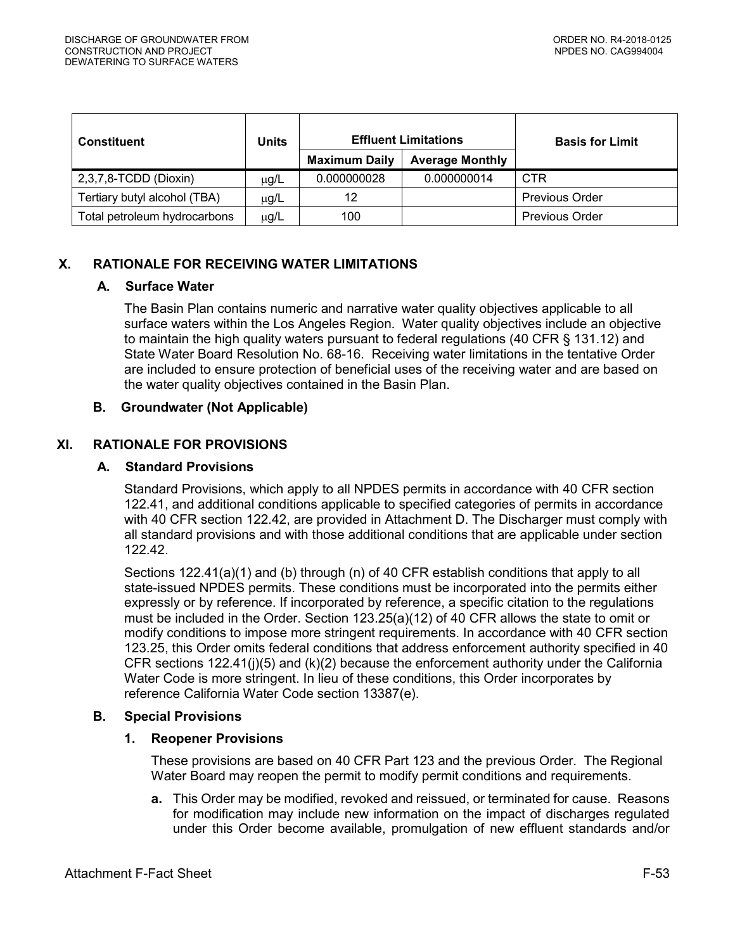| <b>Constituent</b>           | <b>Units</b> | <b>Effluent Limitations</b> |                        | <b>Basis for Limit</b> |
|------------------------------|--------------|-----------------------------|------------------------|------------------------|
|                              |              | <b>Maximum Daily</b>        | <b>Average Monthly</b> |                        |
| 2,3,7,8-TCDD (Dioxin)        | $\mu$ g/L    | 0.000000028                 | 0.000000014            | <b>CTR</b>             |
| Tertiary butyl alcohol (TBA) | $\mu$ g/L    | 12                          |                        | <b>Previous Order</b>  |
| Total petroleum hydrocarbons | μg/L         | 100                         |                        | <b>Previous Order</b>  |

# <span id="page-52-1"></span><span id="page-52-0"></span>**X. RATIONALE FOR RECEIVING WATER LIMITATIONS**

#### **A. Surface Water**

The Basin Plan contains numeric and narrative water quality objectives applicable to all surface waters within the Los Angeles Region. Water quality objectives include an objective to maintain the high quality waters pursuant to federal regulations (40 CFR § 131.12) and State Water Board Resolution No. 68-16. Receiving water limitations in the tentative Order are included to ensure protection of beneficial uses of the receiving water and are based on the water quality objectives contained in the Basin Plan.

### <span id="page-52-2"></span>**B. Groundwater (Not Applicable)**

# <span id="page-52-4"></span><span id="page-52-3"></span>**XI. RATIONALE FOR PROVISIONS**

#### **A. Standard Provisions**

Standard Provisions, which apply to all NPDES permits in accordance with 40 CFR section 122.41, and additional conditions applicable to specified categories of permits in accordance with 40 CFR section 122.42, are provided in Attachment D. The Discharger must comply with all standard provisions and with those additional conditions that are applicable under section 122.42.

Sections 122.41(a)(1) and (b) through (n) of 40 CFR establish conditions that apply to all state-issued NPDES permits. These conditions must be incorporated into the permits either expressly or by reference. If incorporated by reference, a specific citation to the regulations must be included in the Order. Section 123.25(a)(12) of 40 CFR allows the state to omit or modify conditions to impose more stringent requirements. In accordance with 40 CFR section 123.25, this Order omits federal conditions that address enforcement authority specified in 40 CFR sections 122.41(j)(5) and (k)(2) because the enforcement authority under the California Water Code is more stringent. In lieu of these conditions, this Order incorporates by reference California Water Code section 13387(e).

#### <span id="page-52-6"></span><span id="page-52-5"></span>**B. Special Provisions**

# **1. Reopener Provisions**

These provisions are based on 40 CFR Part 123 and the previous Order. The Regional Water Board may reopen the permit to modify permit conditions and requirements.

**a.** This Order may be modified, revoked and reissued, or terminated for cause. Reasons for modification may include new information on the impact of discharges regulated under this Order become available, promulgation of new effluent standards and/or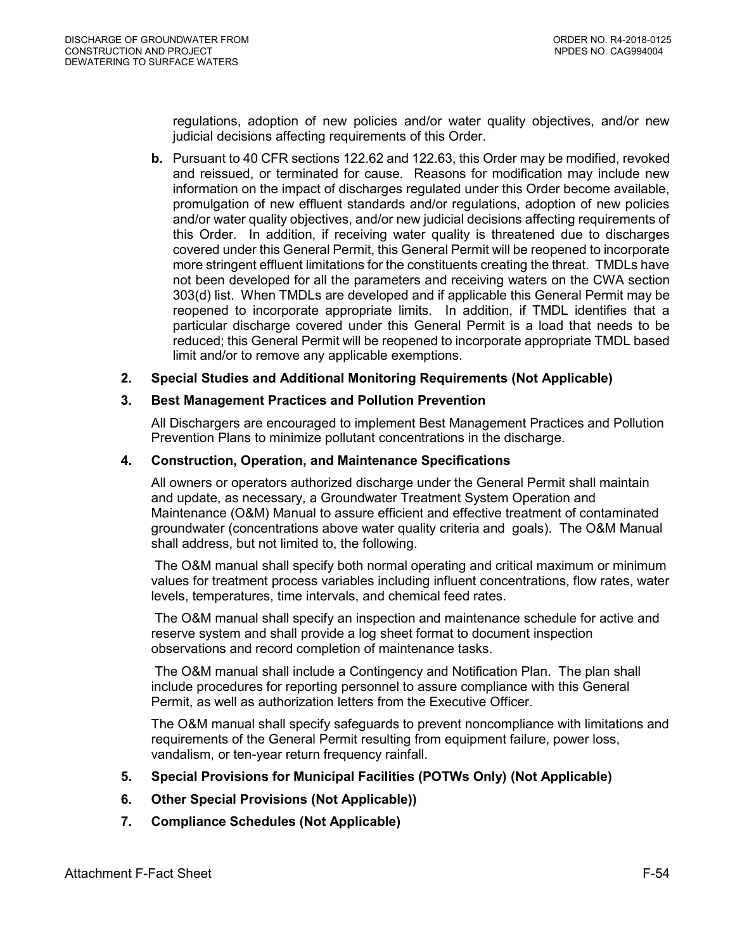regulations, adoption of new policies and/or water quality objectives, and/or new judicial decisions affecting requirements of this Order.

**b.** Pursuant to 40 CFR sections 122.62 and 122.63, this Order may be modified, revoked and reissued, or terminated for cause. Reasons for modification may include new information on the impact of discharges regulated under this Order become available, promulgation of new effluent standards and/or regulations, adoption of new policies and/or water quality objectives, and/or new judicial decisions affecting requirements of this Order. In addition, if receiving water quality is threatened due to discharges covered under this General Permit, this General Permit will be reopened to incorporate more stringent effluent limitations for the constituents creating the threat. TMDLs have not been developed for all the parameters and receiving waters on the CWA section 303(d) list. When TMDLs are developed and if applicable this General Permit may be reopened to incorporate appropriate limits. In addition, if TMDL identifies that a particular discharge covered under this General Permit is a load that needs to be reduced; this General Permit will be reopened to incorporate appropriate TMDL based limit and/or to remove any applicable exemptions.

### <span id="page-53-0"></span>**2. Special Studies and Additional Monitoring Requirements (Not Applicable)**

### <span id="page-53-1"></span>**3. Best Management Practices and Pollution Prevention**

All Dischargers are encouraged to implement Best Management Practices and Pollution Prevention Plans to minimize pollutant concentrations in the discharge.

#### <span id="page-53-2"></span>**4. Construction, Operation, and Maintenance Specifications**

All owners or operators authorized discharge under the General Permit shall maintain and update, as necessary, a Groundwater Treatment System Operation and Maintenance (O&M) Manual to assure efficient and effective treatment of contaminated groundwater (concentrations above water quality criteria and goals). The O&M Manual shall address, but not limited to, the following.

The O&M manual shall specify both normal operating and critical maximum or minimum values for treatment process variables including influent concentrations, flow rates, water levels, temperatures, time intervals, and chemical feed rates.

The O&M manual shall specify an inspection and maintenance schedule for active and reserve system and shall provide a log sheet format to document inspection observations and record completion of maintenance tasks.

The O&M manual shall include a Contingency and Notification Plan. The plan shall include procedures for reporting personnel to assure compliance with this General Permit, as well as authorization letters from the Executive Officer.

The O&M manual shall specify safeguards to prevent noncompliance with limitations and requirements of the General Permit resulting from equipment failure, power loss, vandalism, or ten-year return frequency rainfall.

- <span id="page-53-3"></span>**5. Special Provisions for Municipal Facilities (POTWs Only) (Not Applicable)**
- <span id="page-53-4"></span>**6. Other Special Provisions (Not Applicable))**
- <span id="page-53-5"></span>**7. Compliance Schedules (Not Applicable)**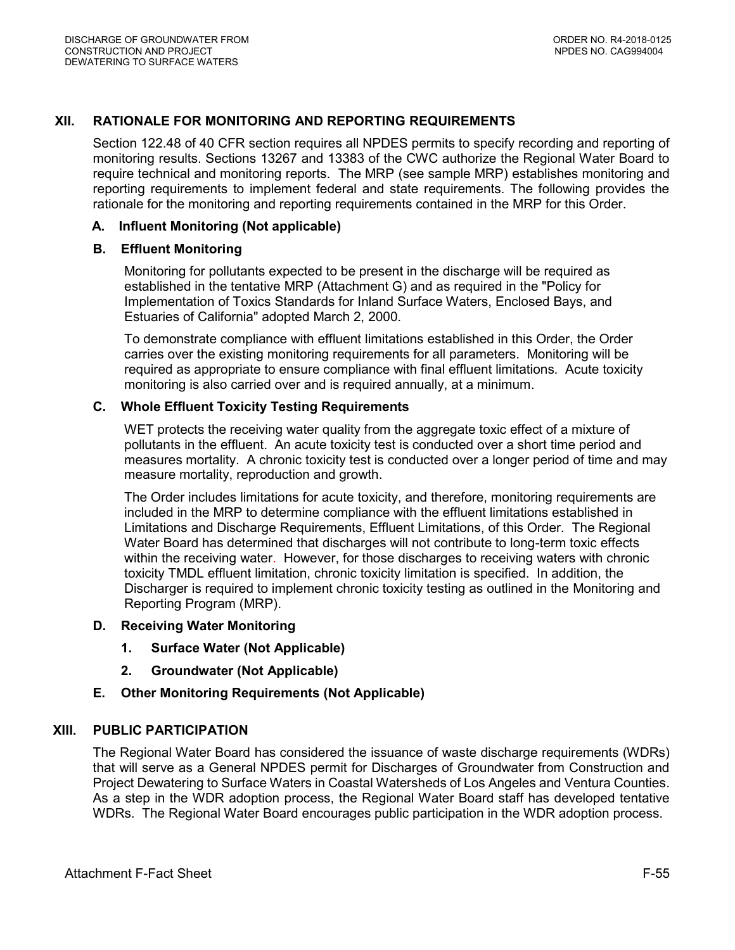# <span id="page-54-0"></span>**XII. RATIONALE FOR MONITORING AND REPORTING REQUIREMENTS**

Section 122.48 of 40 CFR section requires all NPDES permits to specify recording and reporting of monitoring results. Sections 13267 and 13383 of the CWC authorize the Regional Water Board to require technical and monitoring reports. The MRP (see sample MRP) establishes monitoring and reporting requirements to implement federal and state requirements. The following provides the rationale for the monitoring and reporting requirements contained in the MRP for this Order.

### <span id="page-54-1"></span>**A. Influent Monitoring (Not applicable)**

#### <span id="page-54-2"></span>**B. Effluent Monitoring**

Monitoring for pollutants expected to be present in the discharge will be required as established in the tentative MRP (Attachment G) and as required in the "Policy for Implementation of Toxics Standards for Inland Surface Waters, Enclosed Bays, and Estuaries of California" adopted March 2, 2000.

To demonstrate compliance with effluent limitations established in this Order, the Order carries over the existing monitoring requirements for all parameters. Monitoring will be required as appropriate to ensure compliance with final effluent limitations. Acute toxicity monitoring is also carried over and is required annually, at a minimum.

### <span id="page-54-3"></span>**C. Whole Effluent Toxicity Testing Requirements**

WET protects the receiving water quality from the aggregate toxic effect of a mixture of pollutants in the effluent. An acute toxicity test is conducted over a short time period and measures mortality. A chronic toxicity test is conducted over a longer period of time and may measure mortality, reproduction and growth.

The Order includes limitations for acute toxicity, and therefore, monitoring requirements are included in the MRP to determine compliance with the effluent limitations established in Limitations and Discharge Requirements, Effluent Limitations, of this Order. The Regional Water Board has determined that discharges will not contribute to long-term toxic effects within the receiving water. However, for those discharges to receiving waters with chronic toxicity TMDL effluent limitation, chronic toxicity limitation is specified. In addition, the Discharger is required to implement chronic toxicity testing as outlined in the Monitoring and Reporting Program (MRP).

#### <span id="page-54-5"></span><span id="page-54-4"></span>**D. Receiving Water Monitoring**

- **1. Surface Water (Not Applicable)**
- **2. Groundwater (Not Applicable)**

# <span id="page-54-7"></span><span id="page-54-6"></span>**E. Other Monitoring Requirements (Not Applicable)**

#### <span id="page-54-8"></span>**XIII. PUBLIC PARTICIPATION**

The Regional Water Board has considered the issuance of waste discharge requirements (WDRs) that will serve as a General NPDES permit for Discharges of Groundwater from Construction and Project Dewatering to Surface Waters in Coastal Watersheds of Los Angeles and Ventura Counties. As a step in the WDR adoption process, the Regional Water Board staff has developed tentative WDRs. The Regional Water Board encourages public participation in the WDR adoption process.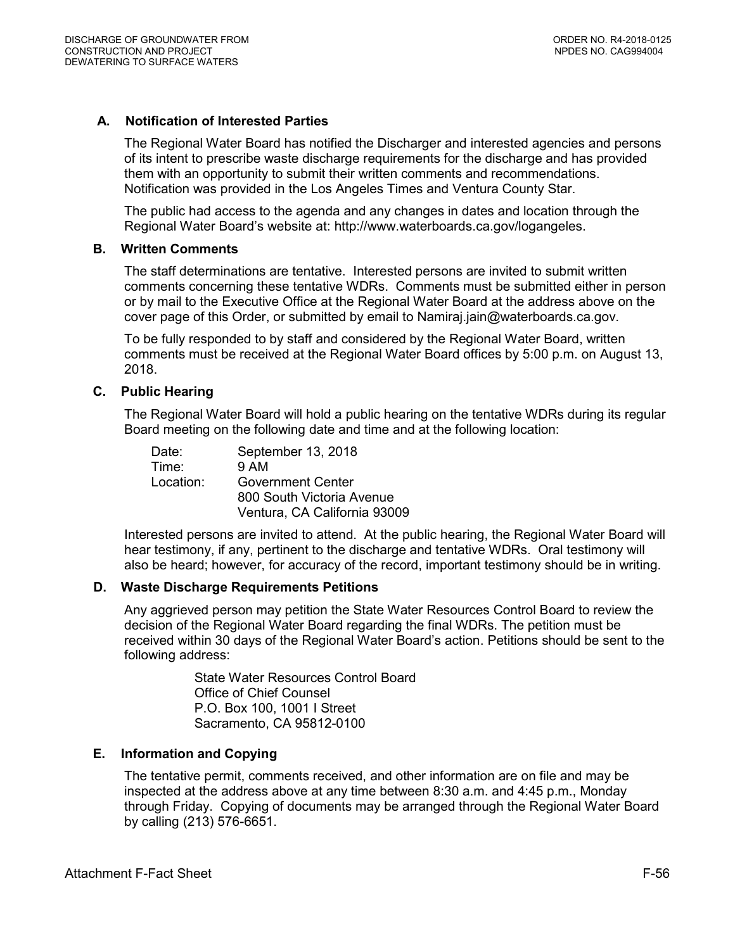### <span id="page-55-0"></span>**A. Notification of Interested Parties**

The Regional Water Board has notified the Discharger and interested agencies and persons of its intent to prescribe waste discharge requirements for the discharge and has provided them with an opportunity to submit their written comments and recommendations. Notification was provided in the Los Angeles Times and Ventura County Star.

The public had access to the agenda and any changes in dates and location through the Regional Water Board's website at: <http://www.waterboards.ca.gov/logangeles>.

#### <span id="page-55-1"></span>**B. Written Comments**

The staff determinations are tentative. Interested persons are invited to submit written comments concerning these tentative WDRs. Comments must be submitted either in person or by mail to the Executive Office at the Regional Water Board at the address above on the cover page of this Order, or submitted by email to Namiraj.jain@waterboards.ca.gov.

To be fully responded to by staff and considered by the Regional Water Board, written comments must be received at the Regional Water Board offices by 5:00 p.m. on August 13, 2018.

#### <span id="page-55-2"></span>**C. Public Hearing**

The Regional Water Board will hold a public hearing on the tentative WDRs during its regular Board meeting on the following date and time and at the following location:

Date: September 13, 2018 Time: 9 AM Location: Government Center 800 South Victoria Avenue Ventura, CA California 93009

Interested persons are invited to attend. At the public hearing, the Regional Water Board will hear testimony, if any, pertinent to the discharge and tentative WDRs. Oral testimony will also be heard; however, for accuracy of the record, important testimony should be in writing.

#### <span id="page-55-3"></span>**D. Waste Discharge Requirements Petitions**

Any aggrieved person may petition the State Water Resources Control Board to review the decision of the Regional Water Board regarding the final WDRs. The petition must be received within 30 days of the Regional Water Board's action. Petitions should be sent to the following address:

> State Water Resources Control Board Office of Chief Counsel P.O. Box 100, 1001 I Street Sacramento, CA 95812-0100

#### <span id="page-55-4"></span>**E. Information and Copying**

The tentative permit, comments received, and other information are on file and may be inspected at the address above at any time between 8:30 a.m. and 4:45 p.m., Monday through Friday. Copying of documents may be arranged through the Regional Water Board by calling (213) 576-6651.